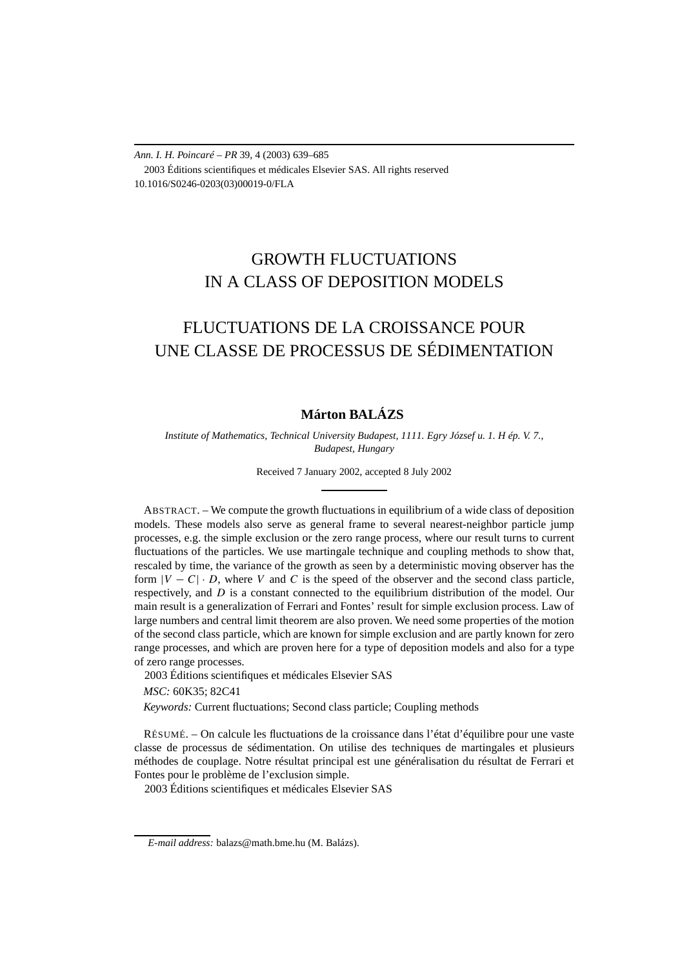*Ann. I. H. Poincaré – PR* 39, 4 (2003) 639–685 2003 Éditions scientifiques et médicales Elsevier SAS. All rights reserved 10.1016/S0246-0203(03)00019-0/FLA

# GROWTH FLUCTUATIONS IN A CLASS OF DEPOSITION MODELS

# FLUCTUATIONS DE LA CROISSANCE POUR UNE CLASSE DE PROCESSUS DE SÉDIMENTATION

## **Márton BALÁZS**

*Institute of Mathematics, Technical University Budapest, 1111. Egry József u. 1. H ép. V. 7., Budapest, Hungary*

Received 7 January 2002, accepted 8 July 2002

ABSTRACT. – We compute the growth fluctuations in equilibrium of a wide class of deposition models. These models also serve as general frame to several nearest-neighbor particle jump processes, e.g. the simple exclusion or the zero range process, where our result turns to current fluctuations of the particles. We use martingale technique and coupling methods to show that, rescaled by time, the variance of the growth as seen by a deterministic moving observer has the form  $|V - C| \cdot D$ , where *V* and *C* is the speed of the observer and the second class particle, respectively, and *D* is a constant connected to the equilibrium distribution of the model. Our main result is a generalization of Ferrari and Fontes' result for simple exclusion process. Law of large numbers and central limit theorem are also proven. We need some properties of the motion of the second class particle, which are known for simple exclusion and are partly known for zero range processes, and which are proven here for a type of deposition models and also for a type of zero range processes.

2003 Éditions scientifiques et médicales Elsevier SAS

*MSC:* 60K35; 82C41

*Keywords:* Current fluctuations; Second class particle; Coupling methods

RÉSUMÉ. – On calcule les fluctuations de la croissance dans l'état d'équilibre pour une vaste classe de processus de sédimentation. On utilise des techniques de martingales et plusieurs méthodes de couplage. Notre résultat principal est une généralisation du résultat de Ferrari et Fontes pour le problème de l'exclusion simple.

2003 Éditions scientifiques et médicales Elsevier SAS

*E-mail address:* balazs@math.bme.hu (M. Balázs).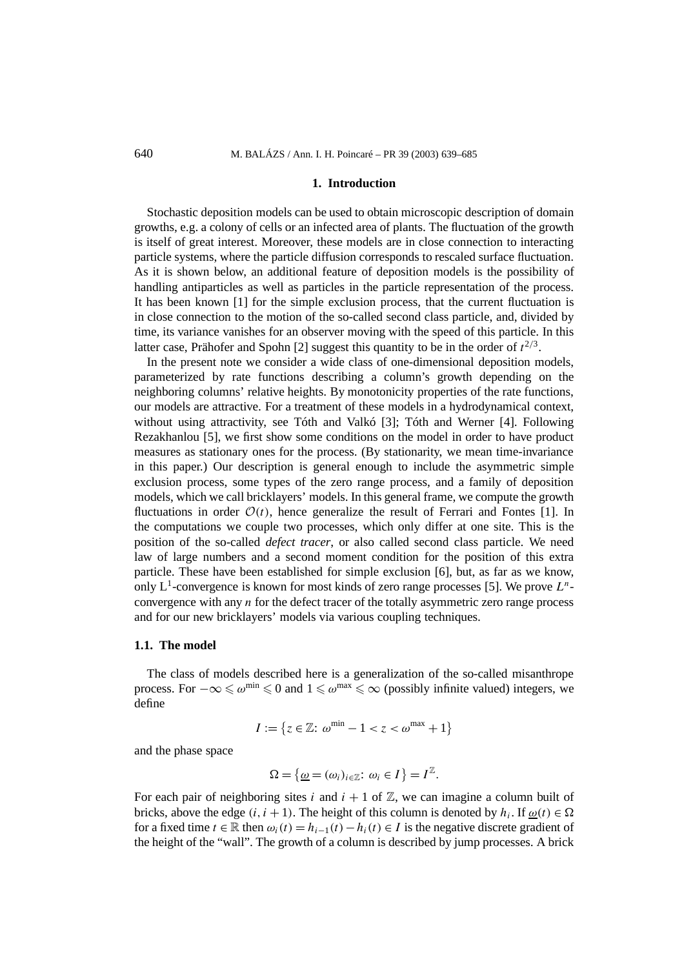#### **1. Introduction**

Stochastic deposition models can be used to obtain microscopic description of domain growths, e.g. a colony of cells or an infected area of plants. The fluctuation of the growth is itself of great interest. Moreover, these models are in close connection to interacting particle systems, where the particle diffusion corresponds to rescaled surface fluctuation. As it is shown below, an additional feature of deposition models is the possibility of handling antiparticles as well as particles in the particle representation of the process. It has been known [1] for the simple exclusion process, that the current fluctuation is in close connection to the motion of the so-called second class particle, and, divided by time, its variance vanishes for an observer moving with the speed of this particle. In this latter case, Prähofer and Spohn [2] suggest this quantity to be in the order of *t* <sup>2</sup>*/*3.

In the present note we consider a wide class of one-dimensional deposition models, parameterized by rate functions describing a column's growth depending on the neighboring columns' relative heights. By monotonicity properties of the rate functions, our models are attractive. For a treatment of these models in a hydrodynamical context, without using attractivity, see Tóth and Valkó [3]; Tóth and Werner [4]. Following Rezakhanlou [5], we first show some conditions on the model in order to have product measures as stationary ones for the process. (By stationarity, we mean time-invariance in this paper.) Our description is general enough to include the asymmetric simple exclusion process, some types of the zero range process, and a family of deposition models, which we call bricklayers' models. In this general frame, we compute the growth fluctuations in order  $\mathcal{O}(t)$ , hence generalize the result of Ferrari and Fontes [1]. In the computations we couple two processes, which only differ at one site. This is the position of the so-called *defect tracer*, or also called second class particle. We need law of large numbers and a second moment condition for the position of this extra particle. These have been established for simple exclusion [6], but, as far as we know, only  $L^1$ -convergence is known for most kinds of zero range processes [5]. We prove  $L^n$ convergence with any *n* for the defect tracer of the totally asymmetric zero range process and for our new bricklayers' models via various coupling techniques.

## **1.1. The model**

The class of models described here is a generalization of the so-called misanthrope process. For  $-\infty \leq \omega^{\min} \leq 0$  and  $1 \leq \omega^{\max} \leq \infty$  (possibly infinite valued) integers, we define

$$
I := \{ z \in \mathbb{Z} : \, \omega^{\min} - 1 < z < \omega^{\max} + 1 \}
$$

and the phase space

$$
\Omega = \{ \underline{\omega} = (\omega_i)_{i \in \mathbb{Z}} : \omega_i \in I \} = I^{\mathbb{Z}}.
$$

For each pair of neighboring sites *i* and  $i + 1$  of  $\mathbb{Z}$ , we can imagine a column built of bricks, above the edge  $(i, i + 1)$ . The height of this column is denoted by  $h_i$ . If  $\omega(t) \in \Omega$ for a fixed time  $t \in \mathbb{R}$  then  $\omega_i(t) = h_{i-1}(t) - h_i(t) \in I$  is the negative discrete gradient of the height of the "wall". The growth of a column is described by jump processes. A brick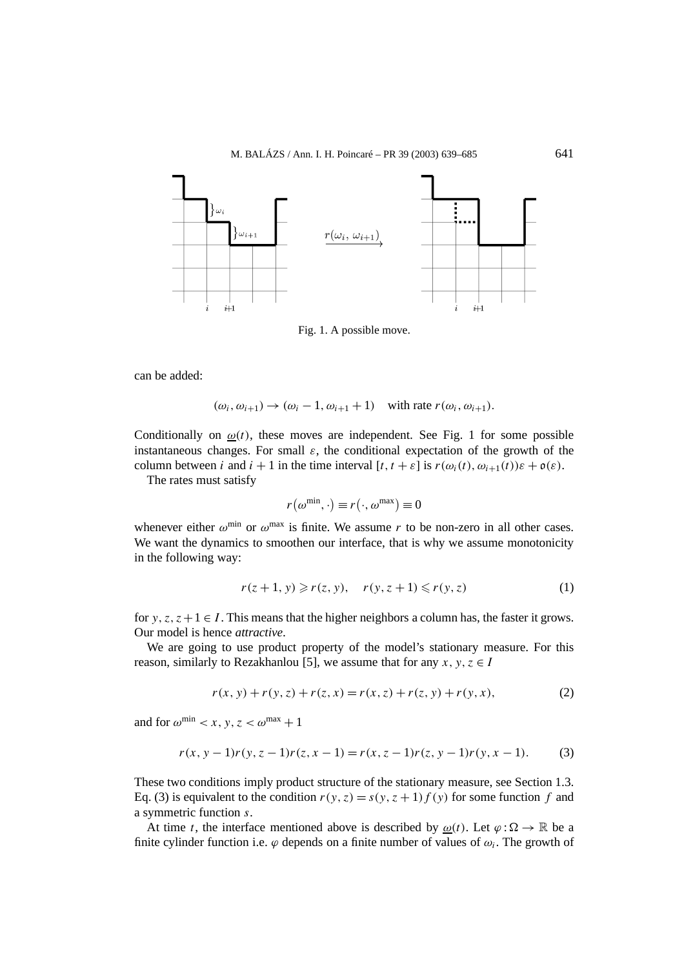

Fig. 1. A possible move.

can be added:

 $(\omega_i, \omega_{i+1}) \rightarrow (\omega_i - 1, \omega_{i+1} + 1)$  with rate  $r(\omega_i, \omega_{i+1})$ .

Conditionally on  $\omega(t)$ , these moves are independent. See Fig. 1 for some possible instantaneous changes. For small  $\varepsilon$ , the conditional expectation of the growth of the column between *i* and  $i + 1$  in the time interval  $[t, t + \varepsilon]$  is  $r(\omega_i(t), \omega_{i+1}(t))\varepsilon + \mathfrak{o}(\varepsilon)$ .

The rates must satisfy

$$
r(\omega^{\min}, \cdot) \equiv r(\cdot, \omega^{\max}) \equiv 0
$$

whenever either  $\omega^{\text{min}}$  or  $\omega^{\text{max}}$  is finite. We assume r to be non-zero in all other cases. We want the dynamics to smoothen our interface, that is why we assume monotonicity in the following way:

$$
r(z+1, y) \geq r(z, y), \quad r(y, z+1) \leq r(y, z)
$$
 (1)

for *y*,  $z$ ,  $z + 1 \in I$ . This means that the higher neighbors a column has, the faster it grows. Our model is hence *attractive*.

We are going to use product property of the model's stationary measure. For this reason, similarly to Rezakhanlou [5], we assume that for any  $x, y, z \in I$ 

$$
r(x, y) + r(y, z) + r(z, x) = r(x, z) + r(z, y) + r(y, x),
$$
\n(2)

and for  $\omega^{\min} < x, y, z < \omega^{\max} + 1$ 

$$
r(x, y - 1)r(y, z - 1)r(z, x - 1) = r(x, z - 1)r(z, y - 1)r(y, x - 1).
$$
 (3)

These two conditions imply product structure of the stationary measure, see Section 1.3. Eq. (3) is equivalent to the condition  $r(y, z) = s(y, z + 1) f(y)$  for some function f and a symmetric function *s*.

At time *t*, the interface mentioned above is described by  $\omega(t)$ . Let  $\varphi : \Omega \to \mathbb{R}$  be a finite cylinder function i.e.  $\varphi$  depends on a finite number of values of  $\omega_i$ . The growth of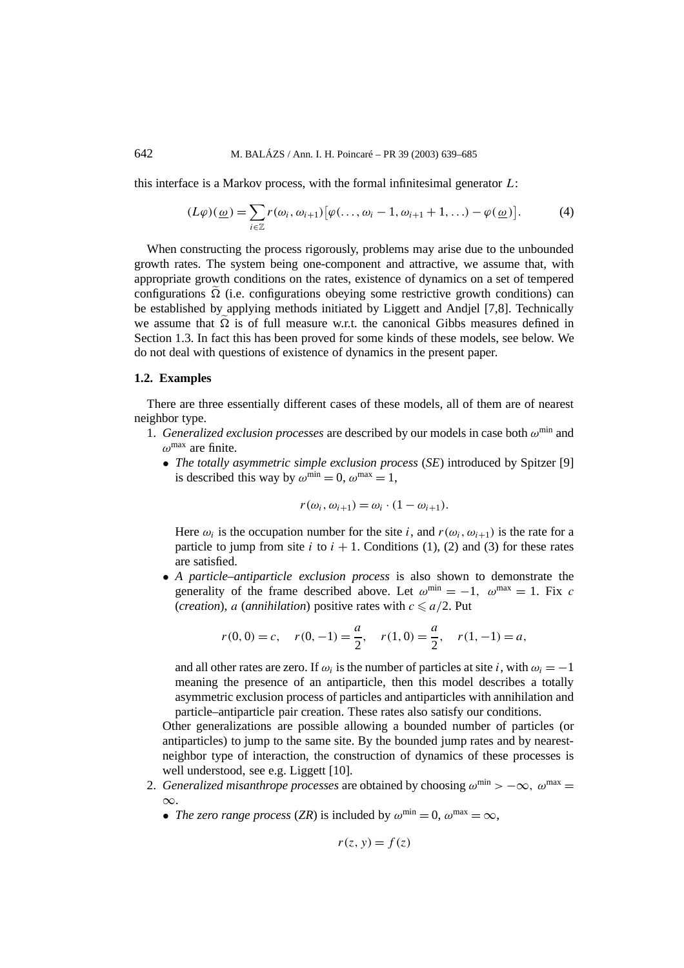this interface is a Markov process, with the formal infinitesimal generator *L*:

$$
(L\varphi)(\underline{\omega}) = \sum_{i \in \mathbb{Z}} r(\omega_i, \omega_{i+1}) [\varphi(\ldots, \omega_i - 1, \omega_{i+1} + 1, \ldots) - \varphi(\underline{\omega})]. \tag{4}
$$

When constructing the process rigorously, problems may arise due to the unbounded growth rates. The system being one-component and attractive, we assume that, with appropriate growth conditions on the rates, existence of dynamics on a set of tempered configurations  $\tilde{\Omega}$  (i.e. configurations obeying some restrictive growth conditions) can be established by applying methods initiated by Liggett and Andjel [7,8]. Technically we assume that  $\tilde{\Omega}$  is of full measure w.r.t. the canonical Gibbs measures defined in Section 1.3. In fact this has been proved for some kinds of these models, see below. We do not deal with questions of existence of dynamics in the present paper.

## **1.2. Examples**

There are three essentially different cases of these models, all of them are of nearest neighbor type.

- 1. *Generalized exclusion processes* are described by our models in case both *ω*min and *ω*max are finite.
	- *The totally asymmetric simple exclusion process* (*SE*) introduced by Spitzer [9] is described this way by  $\omega^{\min} = 0$ ,  $\omega^{\max} = 1$ ,

$$
r(\omega_i, \omega_{i+1}) = \omega_i \cdot (1 - \omega_{i+1}).
$$

Here  $\omega_i$  is the occupation number for the site *i*, and  $r(\omega_i, \omega_{i+1})$  is the rate for a particle to jump from site  $i$  to  $i + 1$ . Conditions (1), (2) and (3) for these rates are satisfied.

• *A particle–antiparticle exclusion process* is also shown to demonstrate the generality of the frame described above. Let  $\omega^{\min} = -1$ ,  $\omega^{\max} = 1$ . Fix *c* (*creation*), *a* (*annihilation*) positive rates with  $c \le a/2$ . Put

$$
r(0, 0) = c
$$
,  $r(0, -1) = \frac{a}{2}$ ,  $r(1, 0) = \frac{a}{2}$ ,  $r(1, -1) = a$ ,

and all other rates are zero. If  $\omega_i$  is the number of particles at site *i*, with  $\omega_i = -1$ meaning the presence of an antiparticle, then this model describes a totally asymmetric exclusion process of particles and antiparticles with annihilation and particle–antiparticle pair creation. These rates also satisfy our conditions.

Other generalizations are possible allowing a bounded number of particles (or antiparticles) to jump to the same site. By the bounded jump rates and by nearestneighbor type of interaction, the construction of dynamics of these processes is well understood, see e.g. Liggett [10].

- 2. *Generalized misanthrope processes* are obtained by choosing  $\omega^{\min} > -\infty$ ,  $\omega^{\max} =$ ∞.
	- *The zero range process* (*ZR*) is included by  $\omega^{\min} = 0$ ,  $\omega^{\max} = \infty$ ,

$$
r(z, y) = f(z)
$$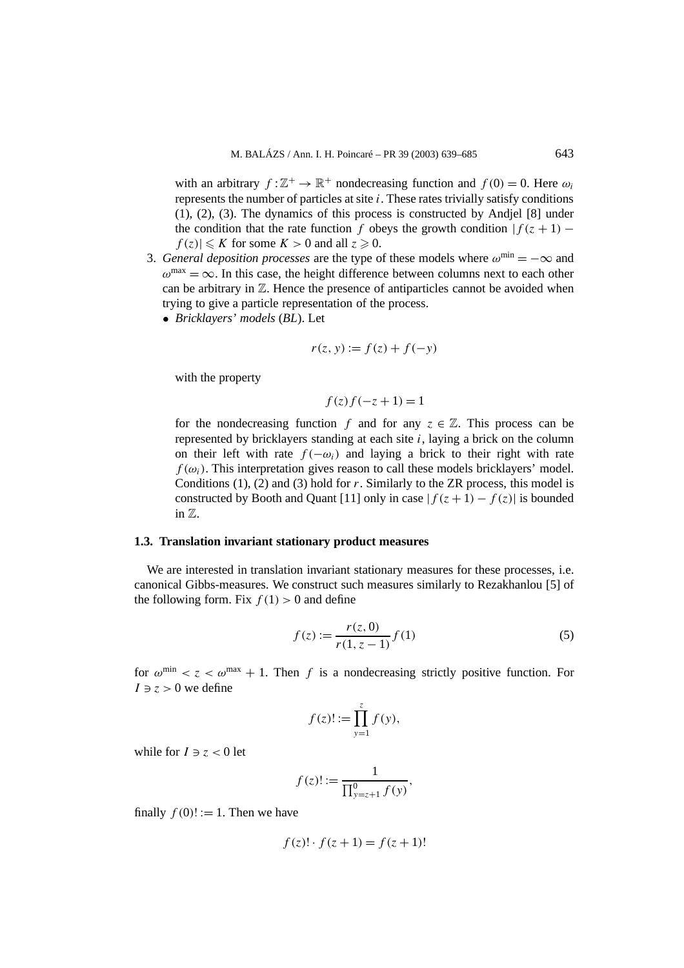with an arbitrary  $f: \mathbb{Z}^+ \to \mathbb{R}^+$  nondecreasing function and  $f(0) = 0$ . Here  $\omega_i$ represents the number of particles at site *i*. These rates trivially satisfy conditions (1), (2), (3). The dynamics of this process is constructed by Andjel [8] under the condition that the rate function *f* obeys the growth condition  $|f(z + 1)$  $f(z) \leq K$  for some  $K > 0$  and all  $z \geq 0$ .

- 3. *General deposition processes* are the type of these models where  $\omega^{\min} = -\infty$  and  $\omega^{\text{max}} = \infty$ . In this case, the height difference between columns next to each other can be arbitrary in  $\mathbb Z$ . Hence the presence of antiparticles cannot be avoided when trying to give a particle representation of the process.
	- *Bricklayers' models* (*BL*). Let

$$
r(z, y) := f(z) + f(-y)
$$

with the property

$$
f(z)f(-z+1) = 1
$$

for the nondecreasing function *f* and for any  $z \in \mathbb{Z}$ . This process can be represented by bricklayers standing at each site *i*, laying a brick on the column on their left with rate  $f(-\omega_i)$  and laying a brick to their right with rate  $f(\omega_i)$ . This interpretation gives reason to call these models bricklayers' model. Conditions (1), (2) and (3) hold for *r*. Similarly to the ZR process, this model is constructed by Booth and Quant [11] only in case  $|f(z+1) - f(z)|$  is bounded in Z.

## **1.3. Translation invariant stationary product measures**

We are interested in translation invariant stationary measures for these processes, i.e. canonical Gibbs-measures. We construct such measures similarly to Rezakhanlou [5] of the following form. Fix  $f(1) > 0$  and define

$$
f(z) := \frac{r(z,0)}{r(1,z-1)} f(1)
$$
 (5)

for  $\omega^{\min} < z < \omega^{\max} + 1$ . Then f is a nondecreasing strictly positive function. For  $I \ni z > 0$  we define

$$
f(z)! := \prod_{y=1}^{z} f(y),
$$

while for  $I \ni z < 0$  let

$$
f(z) := \frac{1}{\prod_{y=z+1}^{0} f(y)},
$$

finally  $f(0)! := 1$ . Then we have

$$
f(z)! \cdot f(z+1) = f(z+1)!
$$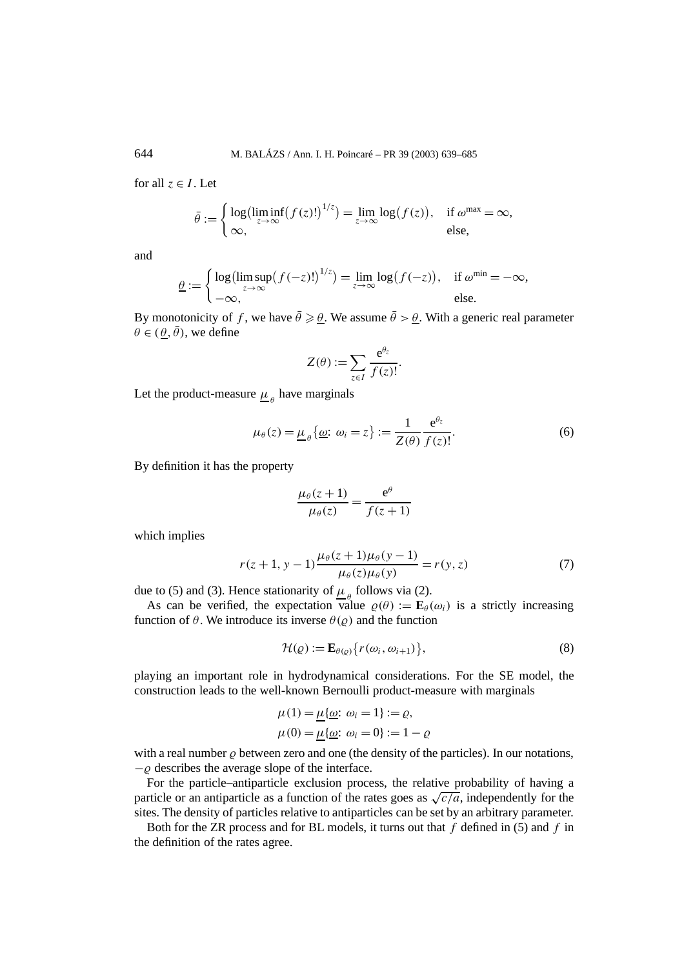for all  $z \in I$ . Let

$$
\bar{\theta} := \begin{cases} \log(\liminf_{z \to \infty} (f(z)!)^{1/z}) = \lim_{z \to \infty} \log(f(z)), & \text{if } \omega^{\max} = \infty, \\ \infty, & \text{else,} \end{cases}
$$

and

$$
\underline{\theta} := \begin{cases} \log(\limsup_{z \to \infty} (f(-z)!)^{1/z}) = \lim_{z \to \infty} \log(f(-z)), & \text{if } \omega^{\min} = -\infty, \\ -\infty, & \text{else.} \end{cases}
$$

By monotonicity of f, we have  $\bar{\theta} \ge \underline{\theta}$ . We assume  $\bar{\theta} > \underline{\theta}$ . With a generic real parameter  $\theta \in (\theta, \bar{\theta})$ , we define

$$
Z(\theta) := \sum_{z \in I} \frac{e^{\theta_z}}{f(z)!}.
$$

Let the product-measure  $\mu$ <sub>*θ*</sub> have marginals

$$
\mu_{\theta}(z) = \underline{\mu}_{\theta} \{ \underline{\omega} : \omega_i = z \} := \frac{1}{Z(\theta)} \frac{e^{\theta_z}}{f(z)!}.
$$
\n(6)

By definition it has the property

$$
\frac{\mu_{\theta}(z+1)}{\mu_{\theta}(z)} = \frac{e^{\theta}}{f(z+1)}
$$

which implies

$$
r(z+1, y-1) \frac{\mu_{\theta}(z+1)\mu_{\theta}(y-1)}{\mu_{\theta}(z)\mu_{\theta}(y)} = r(y, z)
$$
 (7)

due to (5) and (3). Hence stationarity of  $\mu_{\theta}$  follows via (2).

As can be verified, the expectation value  $\rho(\theta) := \mathbf{E}_{\theta}(\omega_i)$  is a strictly increasing function of  $\theta$ . We introduce its inverse  $\theta(\varrho)$  and the function

$$
\mathcal{H}(\varrho) := \mathbf{E}_{\theta(\varrho)} \{ r(\omega_i, \omega_{i+1}) \},\tag{8}
$$

playing an important role in hydrodynamical considerations. For the SE model, the construction leads to the well-known Bernoulli product-measure with marginals

$$
\mu(1) = \underline{\mu}\{\underline{\omega}: \omega_i = 1\} := \varrho,
$$
  

$$
\mu(0) = \underline{\mu}\{\underline{\omega}: \omega_i = 0\} := 1 - \varrho
$$

with a real number  $\rho$  between zero and one (the density of the particles). In our notations,  $-\rho$  describes the average slope of the interface.

For the particle–antiparticle exclusion process, the relative probability of having a particle or an antiparticle as a function of the rates goes as  $\sqrt{c/a}$ , independently for the sites. The density of particles relative to antiparticles can be set by an arbitrary parameter.

Both for the ZR process and for BL models, it turns out that *f* defined in (5) and *f* in the definition of the rates agree.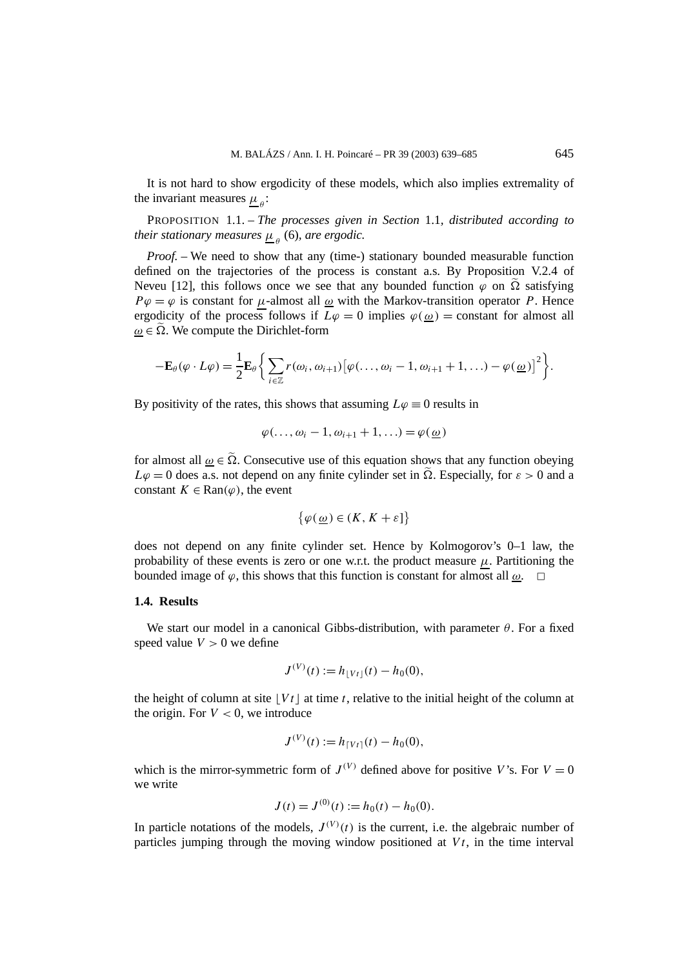It is not hard to show ergodicity of these models, which also implies extremality of the invariant measures  $\mu_{\rho}$ :

PROPOSITION 1.1. – *The processes given in Section* 1.1*, distributed according to their stationary measures*  $\mu_{\rho}$  (6)*, are ergodic.* 

*Proof.* – We need to show that any (time-) stationary bounded measurable function defined on the trajectories of the process is constant a.s. By Proposition V.2.4 of Neveu [12], this follows once we see that any bounded function  $\varphi$  on  $\tilde{\Omega}$  satisfying  $P\varphi = \varphi$  is constant for *µ*-almost all <u> $\omega$ </u> with the Markov-transition operator *P*. Hence ergodicity of the process follows if  $L\varphi = 0$  implies  $\varphi(\omega) =$  constant for almost all  $\omega \in \tilde{\Omega}$ . We compute the Dirichlet-form

$$
-\mathbf{E}_{\theta}(\varphi \cdot L\varphi) = \frac{1}{2}\mathbf{E}_{\theta}\bigg\{\sum_{i\in\mathbb{Z}} r(\omega_i,\omega_{i+1})\big[\varphi(\ldots,\omega_i-1,\omega_{i+1}+1,\ldots)-\varphi(\underline{\omega})\big]^2\bigg\}.
$$

By positivity of the rates, this shows that assuming  $L\varphi = 0$  results in

$$
\varphi(\ldots,\omega_i-1,\omega_{i+1}+1,\ldots)=\varphi(\underline{\omega})
$$

for almost all  $\omega \in \tilde{\Omega}$ . Consecutive use of this equation shows that any function obeying  $L\varphi = 0$  does a.s. not depend on any finite cylinder set in  $\tilde{\Omega}$ . Especially, for  $\varepsilon > 0$  and a constant  $K \in \text{Ran}(\varphi)$ , the event

$$
\{\varphi(\underline{\omega}) \in (K, K + \varepsilon]\}
$$

does not depend on any finite cylinder set. Hence by Kolmogorov's 0–1 law, the probability of these events is zero or one w.r.t. the product measure  $\mu$ . Partitioning the bounded image of  $\varphi$ , this shows that this function is constant for almost all  $\omega$ .

## **1.4. Results**

We start our model in a canonical Gibbs-distribution, with parameter *θ*. For a fixed speed value  $V > 0$  we define

$$
J^{(V)}(t) := h_{\lfloor Vt \rfloor}(t) - h_0(0),
$$

the height of column at site  $|Vt|$  at time t, relative to the initial height of the column at the origin. For  $V < 0$ , we introduce

$$
J^{(V)}(t) := h_{\lceil Vt \rceil}(t) - h_0(0),
$$

which is the mirror-symmetric form of  $J^{(V)}$  defined above for positive *V*'s. For  $V = 0$ we write

$$
J(t) = J^{(0)}(t) := h_0(t) - h_0(0).
$$

In particle notations of the models,  $J^{(V)}(t)$  is the current, i.e. the algebraic number of particles jumping through the moving window positioned at  $V_t$ , in the time interval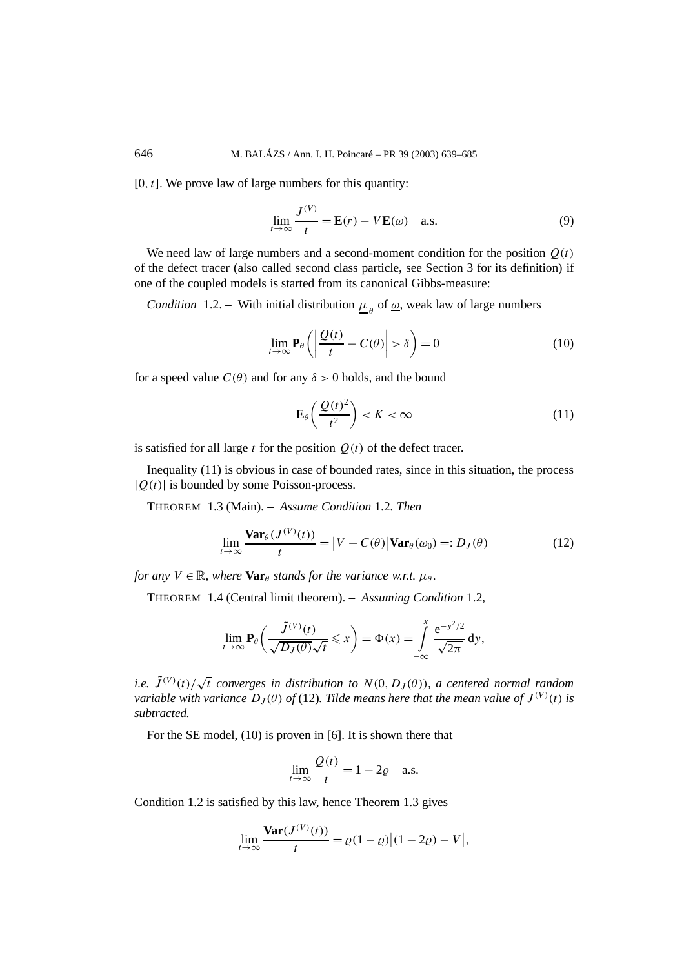$[0, t]$ . We prove law of large numbers for this quantity:

$$
\lim_{t \to \infty} \frac{J^{(V)}}{t} = \mathbf{E}(r) - V\mathbf{E}(\omega) \quad \text{a.s.}
$$
 (9)

We need law of large numbers and a second-moment condition for the position  $O(t)$ of the defect tracer (also called second class particle, see Section 3 for its definition) if one of the coupled models is started from its canonical Gibbs-measure:

*Condition* 1.2. – With initial distribution  $\mu_{\rho}$  of  $\underline{\omega}$ , weak law of large numbers

$$
\lim_{t \to \infty} \mathbf{P}_{\theta} \left( \left| \frac{\mathcal{Q}(t)}{t} - C(\theta) \right| > \delta \right) = 0 \tag{10}
$$

for a speed value  $C(\theta)$  and for any  $\delta > 0$  holds, and the bound

$$
\mathbf{E}_{\theta}\left(\frac{\mathcal{Q}(t)^2}{t^2}\right) < K < \infty \tag{11}
$$

is satisfied for all large  $t$  for the position  $Q(t)$  of the defect tracer.

Inequality (11) is obvious in case of bounded rates, since in this situation, the process |*Q(t)*| is bounded by some Poisson-process.

THEOREM 1.3 (Main). – *Assume Condition* 1.2*. Then*

$$
\lim_{t \to \infty} \frac{\text{Var}_{\theta}(J^{(V)}(t))}{t} = |V - C(\theta)| \text{Var}_{\theta}(\omega_0) =: D_J(\theta)
$$
\n(12)

*for any*  $V \in \mathbb{R}$ *, where*  $\textbf{Var}_{\theta}$  *stands for the variance w.r.t.*  $\mu_{\theta}$ *.* 

THEOREM 1.4 (Central limit theorem). – *Assuming Condition* 1.2*,*

$$
\lim_{t\to\infty}\mathbf{P}_{\theta}\left(\frac{\tilde{J}^{(V)}(t)}{\sqrt{D_J(\theta)}\sqrt{t}}\leqslant x\right)=\Phi(x)=\int\limits_{-\infty}^{x}\frac{e^{-y^2/2}}{\sqrt{2\pi}}dy,
$$

*i.e.*  $\tilde{J}^{(V)}(t)/\sqrt{t}$  converges in distribution to  $N(0, D_I(\theta))$ , a centered normal random *variable with variance*  $D_J(\theta)$  *of* (12)*. Tilde means here that the mean value of*  $J^{(V)}(t)$  *is subtracted.*

For the SE model, (10) is proven in [6]. It is shown there that

$$
\lim_{t \to \infty} \frac{Q(t)}{t} = 1 - 2\varrho \quad \text{a.s.}
$$

Condition 1.2 is satisfied by this law, hence Theorem 1.3 gives

$$
\lim_{t \to \infty} \frac{\text{Var}(J^{(V)}(t))}{t} = \varrho(1-\varrho) |(1-2\varrho) - V|,
$$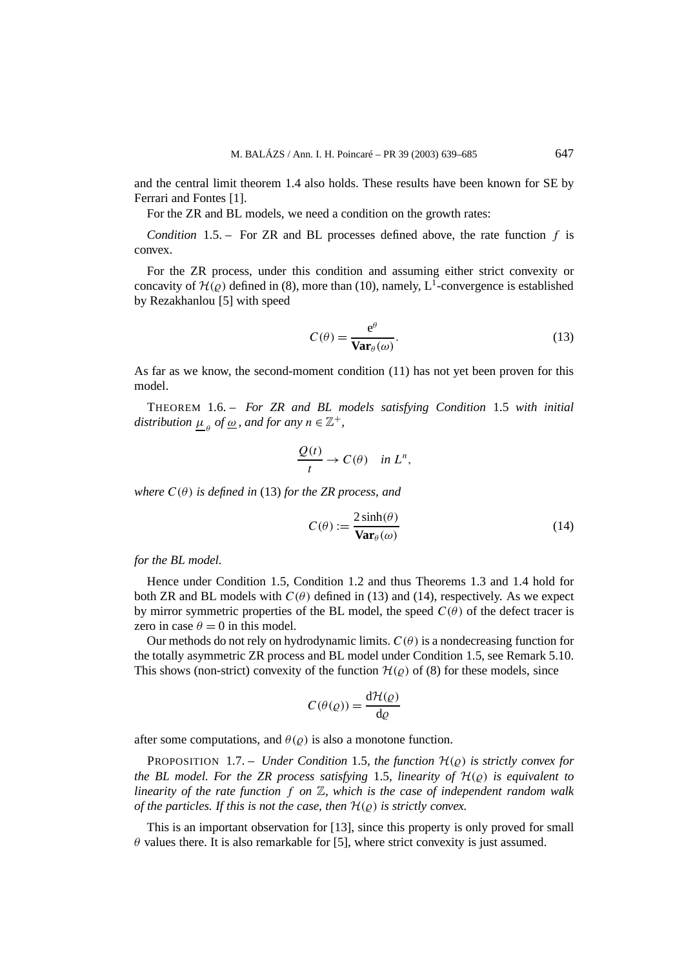and the central limit theorem 1.4 also holds. These results have been known for SE by Ferrari and Fontes [1].

For the ZR and BL models, we need a condition on the growth rates:

*Condition* 1.5. – For ZR and BL processes defined above, the rate function *f* is convex.

For the ZR process, under this condition and assuming either strict convexity or concavity of  $\mathcal{H}(\rho)$  defined in (8), more than (10), namely, L<sup>1</sup>-convergence is established by Rezakhanlou [5] with speed

$$
C(\theta) = \frac{e^{\theta}}{\text{Var}_{\theta}(\omega)}.
$$
 (13)

As far as we know, the second-moment condition (11) has not yet been proven for this model.

THEOREM 1.6. – *For ZR and BL models satisfying Condition* 1.5 *with initial distribution*  $\mu_{\theta}$  *of* <u> $\omega$ </u>, and for any  $n \in \mathbb{Z}^+$ ,

$$
\frac{Q(t)}{t} \to C(\theta) \quad \text{in } L^n,
$$

*where*  $C(\theta)$  *is defined in* (13) *for the ZR process, and* 

$$
C(\theta) := \frac{2\sinh(\theta)}{\text{Var}_{\theta}(\omega)}\tag{14}
$$

*for the BL model.*

Hence under Condition 1.5, Condition 1.2 and thus Theorems 1.3 and 1.4 hold for both ZR and BL models with  $C(\theta)$  defined in (13) and (14), respectively. As we expect by mirror symmetric properties of the BL model, the speed  $C(\theta)$  of the defect tracer is zero in case  $\theta = 0$  in this model.

Our methods do not rely on hydrodynamic limits.  $C(\theta)$  is a nondecreasing function for the totally asymmetric ZR process and BL model under Condition 1.5, see Remark 5.10. This shows (non-strict) convexity of the function  $\mathcal{H}(\rho)$  of (8) for these models, since

$$
C(\theta(\varrho)) = \frac{\mathrm{d}\mathcal{H}(\varrho)}{\mathrm{d}\varrho}
$$

after some computations, and  $\theta(\varrho)$  is also a monotone function.

**PROPOSITION** 1.7. – *Under Condition* 1.5*, the function*  $H(\rho)$  *is strictly convex for the BL model. For the ZR process satisfying* 1.5*, linearity of*  $H(\rho)$  *is equivalent to linearity of the rate function f on* Z*, which is the case of independent random walk of the particles. If this is not the case, then*  $H(\varrho)$  *is strictly convex.* 

This is an important observation for [13], since this property is only proved for small  $\theta$  values there. It is also remarkable for [5], where strict convexity is just assumed.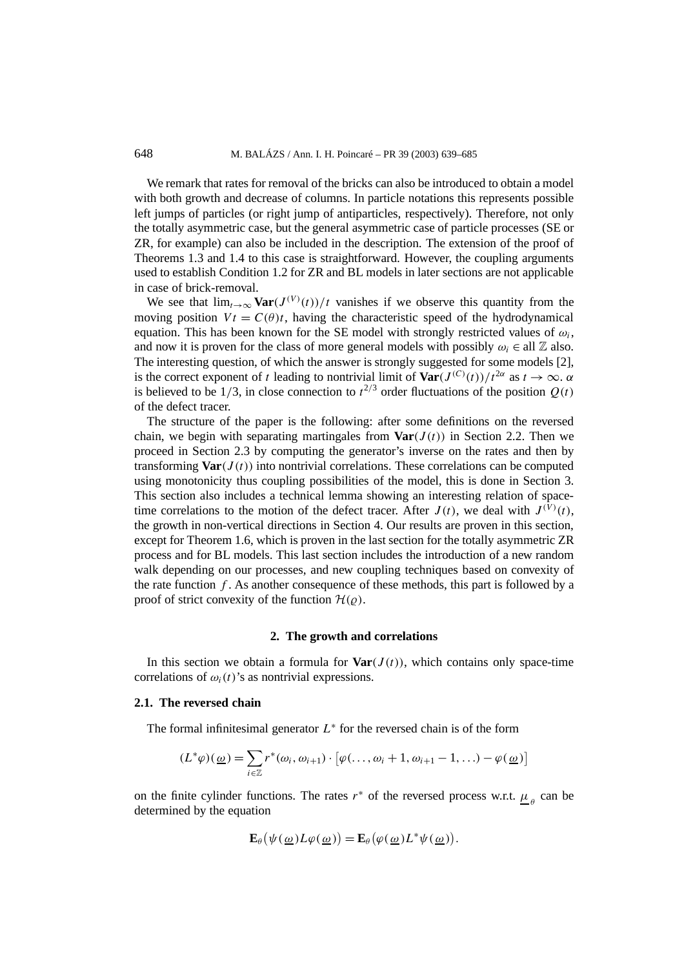We remark that rates for removal of the bricks can also be introduced to obtain a model with both growth and decrease of columns. In particle notations this represents possible left jumps of particles (or right jump of antiparticles, respectively). Therefore, not only the totally asymmetric case, but the general asymmetric case of particle processes (SE or ZR, for example) can also be included in the description. The extension of the proof of Theorems 1.3 and 1.4 to this case is straightforward. However, the coupling arguments used to establish Condition 1.2 for ZR and BL models in later sections are not applicable in case of brick-removal.

We see that  $\lim_{t\to\infty} \mathbf{Var}(J^{(V)}(t))/t$  vanishes if we observe this quantity from the moving position  $V t = C(\theta) t$ , having the characteristic speed of the hydrodynamical equation. This has been known for the SE model with strongly restricted values of  $\omega_i$ , and now it is proven for the class of more general models with possibly  $\omega_i \in \text{all } \mathbb{Z}$  also. The interesting question, of which the answer is strongly suggested for some models [2], is the correct exponent of *t* leading to nontrivial limit of  $\text{Var}(J^{(C)}(t))/t^{2\alpha}$  as  $t \to \infty$ .  $\alpha$ is believed to be  $1/3$ , in close connection to  $t^{2/3}$  order fluctuations of the position  $Q(t)$ of the defect tracer.

The structure of the paper is the following: after some definitions on the reversed chain, we begin with separating martingales from  $\text{Var}(J(t))$  in Section 2.2. Then we proceed in Section 2.3 by computing the generator's inverse on the rates and then by transforming  $\text{Var}(J(t))$  into nontrivial correlations. These correlations can be computed using monotonicity thus coupling possibilities of the model, this is done in Section 3. This section also includes a technical lemma showing an interesting relation of spacetime correlations to the motion of the defect tracer. After  $J(t)$ , we deal with  $J^{(\dot{V})}(t)$ , the growth in non-vertical directions in Section 4. Our results are proven in this section, except for Theorem 1.6, which is proven in the last section for the totally asymmetric ZR process and for BL models. This last section includes the introduction of a new random walk depending on our processes, and new coupling techniques based on convexity of the rate function  $f$ . As another consequence of these methods, this part is followed by a proof of strict convexity of the function  $\mathcal{H}(\varrho)$ .

## **2. The growth and correlations**

In this section we obtain a formula for  $\text{Var}(J(t))$ , which contains only space-time correlations of  $\omega_i(t)$ 's as nontrivial expressions.

## **2.1. The reversed chain**

The formal infinitesimal generator  $L^*$  for the reversed chain is of the form

$$
(L^*\varphi)(\underline{\omega}) = \sum_{i \in \mathbb{Z}} r^*(\omega_i, \omega_{i+1}) \cdot [\varphi(\ldots, \omega_i + 1, \omega_{i+1} - 1, \ldots) - \varphi(\underline{\omega})]
$$

on the finite cylinder functions. The rates  $r^*$  of the reversed process w.r.t.  $\mu_{\rho}$  can be determined by the equation

$$
\mathbf{E}_{\theta}(\psi(\underline{\omega})L\varphi(\underline{\omega})) = \mathbf{E}_{\theta}(\varphi(\underline{\omega})L^*\psi(\underline{\omega})).
$$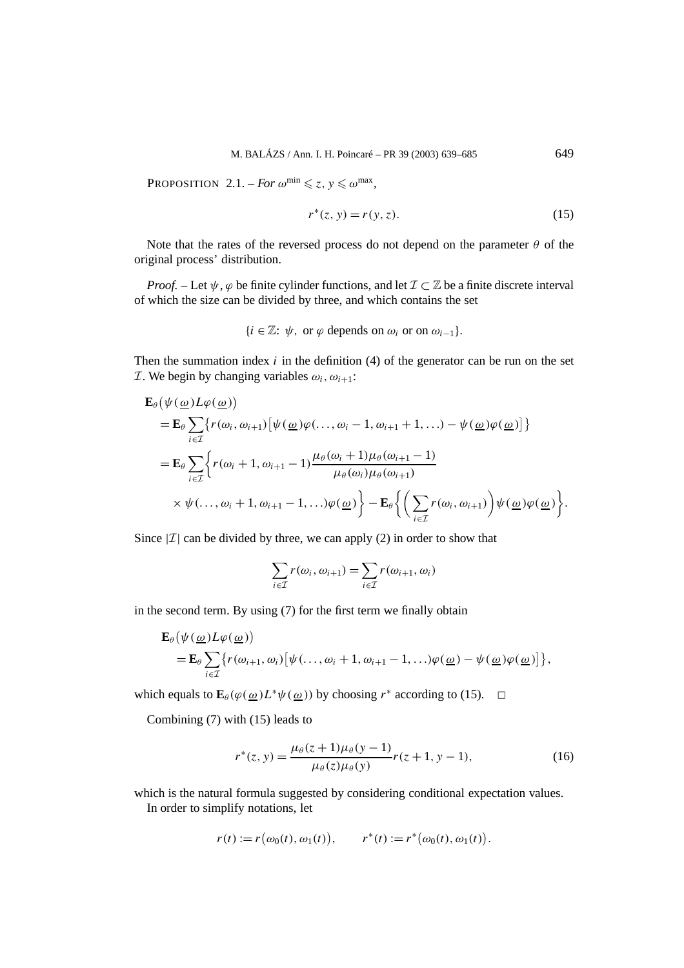PROPOSITION 2.1. – *For*  $\omega^{\min} \leq z, y \leq \omega^{\max}$ ,

$$
r^*(z, y) = r(y, z).
$$
 (15)

Note that the rates of the reversed process do not depend on the parameter *θ* of the original process' distribution.

*Proof.* – Let  $\psi$ ,  $\varphi$  be finite cylinder functions, and let  $\mathcal{I} \subset \mathbb{Z}$  be a finite discrete interval of which the size can be divided by three, and which contains the set

$$
\{i\in\mathbb{Z}\colon\psi,\text{ or }\varphi\text{ depends on }\omega_i\text{ or on }\omega_{i-1}\}.
$$

Then the summation index *i* in the definition (4) of the generator can be run on the set *T*. We begin by changing variables  $\omega_i$ ,  $\omega_{i+1}$ :

$$
\mathbf{E}_{\theta}(\psi(\underline{\omega})L\varphi(\underline{\omega}))
$$
\n
$$
= \mathbf{E}_{\theta} \sum_{i \in \mathcal{I}} \{r(\omega_{i}, \omega_{i+1})[\psi(\underline{\omega})\varphi(\ldots, \omega_{i}-1, \omega_{i+1}+1, \ldots) - \psi(\underline{\omega})\varphi(\underline{\omega})]\}
$$
\n
$$
= \mathbf{E}_{\theta} \sum_{i \in \mathcal{I}} \{r(\omega_{i}+1, \omega_{i+1}-1) \frac{\mu_{\theta}(\omega_{i}+1)\mu_{\theta}(\omega_{i+1}-1)}{\mu_{\theta}(\omega_{i})\mu_{\theta}(\omega_{i+1})}\n\times \psi(\ldots, \omega_{i}+1, \omega_{i+1}-1, \ldots)\varphi(\underline{\omega})\} - \mathbf{E}_{\theta} \{ \left(\sum_{i \in \mathcal{I}} r(\omega_{i}, \omega_{i+1})\right) \psi(\underline{\omega})\varphi(\underline{\omega})\}.
$$

Since  $|\mathcal{I}|$  can be divided by three, we can apply (2) in order to show that

$$
\sum_{i \in \mathcal{I}} r(\omega_i, \omega_{i+1}) = \sum_{i \in \mathcal{I}} r(\omega_{i+1}, \omega_i)
$$

in the second term. By using (7) for the first term we finally obtain

$$
\mathbf{E}_{\theta}(\psi(\underline{\omega})L\varphi(\underline{\omega}))
$$
\n
$$
= \mathbf{E}_{\theta} \sum_{i \in \mathcal{I}} \{r(\omega_{i+1}, \omega_i) [\psi(\ldots, \omega_i + 1, \omega_{i+1} - 1, \ldots) \varphi(\underline{\omega}) - \psi(\underline{\omega}) \varphi(\underline{\omega})] \},
$$

which equals to  $\mathbf{E}_{\theta}(\varphi(\omega)L^*\psi(\omega))$  by choosing  $r^*$  according to (15).  $\Box$ 

Combining (7) with (15) leads to

$$
r^{*}(z, y) = \frac{\mu_{\theta}(z+1)\mu_{\theta}(y-1)}{\mu_{\theta}(z)\mu_{\theta}(y)}r(z+1, y-1),
$$
 (16)

which is the natural formula suggested by considering conditional expectation values.

In order to simplify notations, let

$$
r(t) := r(\omega_0(t), \omega_1(t)), \qquad r^*(t) := r^*(\omega_0(t), \omega_1(t)).
$$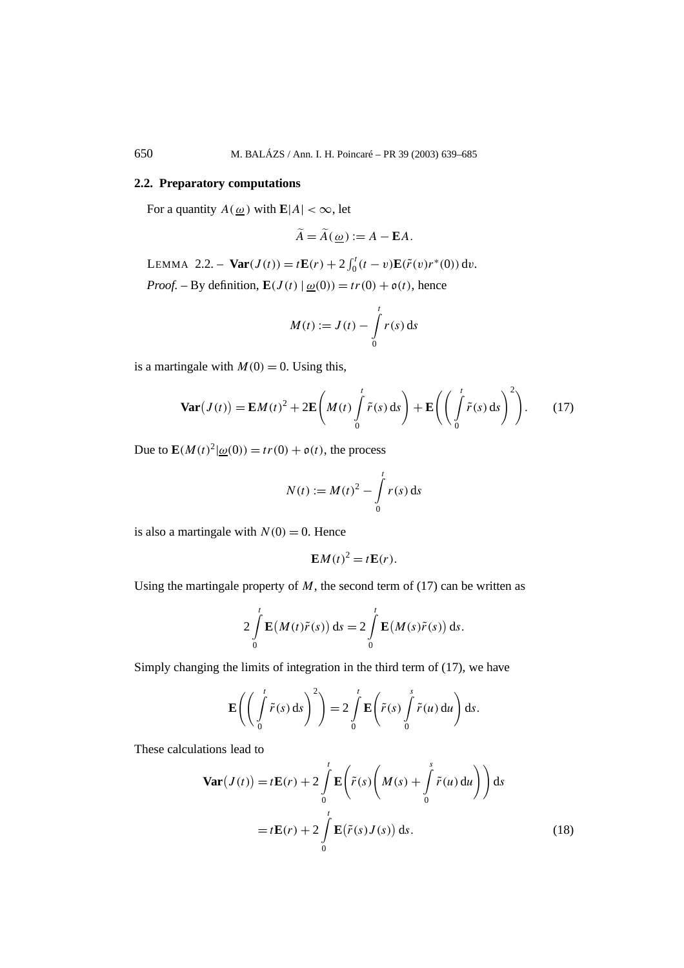## **2.2. Preparatory computations**

For a quantity  $A(\omega)$  with  $\mathbf{E}|A| < \infty$ , let

$$
\widetilde{A} = \widetilde{A}(\underline{\omega}) := A - \mathbf{E}A.
$$

LEMMA 2.2. – **Var** $(J(t)) = tE(r) + 2 \int_0^t (t - v)E(\tilde{r}(v)r^*(0)) dv$ . *Proof.* – By definition,  $\mathbf{E}(J(t) | \omega(0)) = tr(0) + o(t)$ , hence

$$
M(t) := J(t) - \int\limits_0^t r(s) \, \mathrm{d}s
$$

is a martingale with  $M(0) = 0$ . Using this,

$$
\mathbf{Var}(J(t)) = \mathbf{E}M(t)^2 + 2\mathbf{E}\left(M(t)\int\limits_0^t \tilde{r}(s) \,ds\right) + \mathbf{E}\left(\left(\int\limits_0^t \tilde{r}(s) \,ds\right)^2\right). \tag{17}
$$

Due to  $\mathbf{E}(M(t)^2|\omega(0)) = tr(0) + o(t)$ , the process

$$
N(t) := M(t)^{2} - \int_{0}^{t} r(s) \, ds
$$

is also a martingale with  $N(0) = 0$ . Hence

$$
\mathbf{E}M(t)^2 = t\mathbf{E}(r).
$$

Using the martingale property of  $M$ , the second term of (17) can be written as

$$
2\int\limits_{0}^{t}\mathbf{E}(M(t)\tilde{r}(s))\,\mathrm{d}s=2\int\limits_{0}^{t}\mathbf{E}(M(s)\tilde{r}(s))\,\mathrm{d}s.
$$

Simply changing the limits of integration in the third term of (17), we have

$$
\mathbf{E}\left(\left(\int\limits_0^t \tilde{r}(s) \,ds\right)^2\right) = 2\int\limits_0^t \mathbf{E}\left(\tilde{r}(s)\int\limits_0^s \tilde{r}(u) \,du\right) ds.
$$

These calculations lead to

$$
\mathbf{Var}(J(t)) = t\mathbf{E}(r) + 2\int_{0}^{t} \mathbf{E}\left(\tilde{r}(s)\left(M(s) + \int_{0}^{s} \tilde{r}(u) du\right)\right) ds
$$

$$
= t\mathbf{E}(r) + 2\int_{0}^{t} \mathbf{E}(\tilde{r}(s)J(s)) ds.
$$
(18)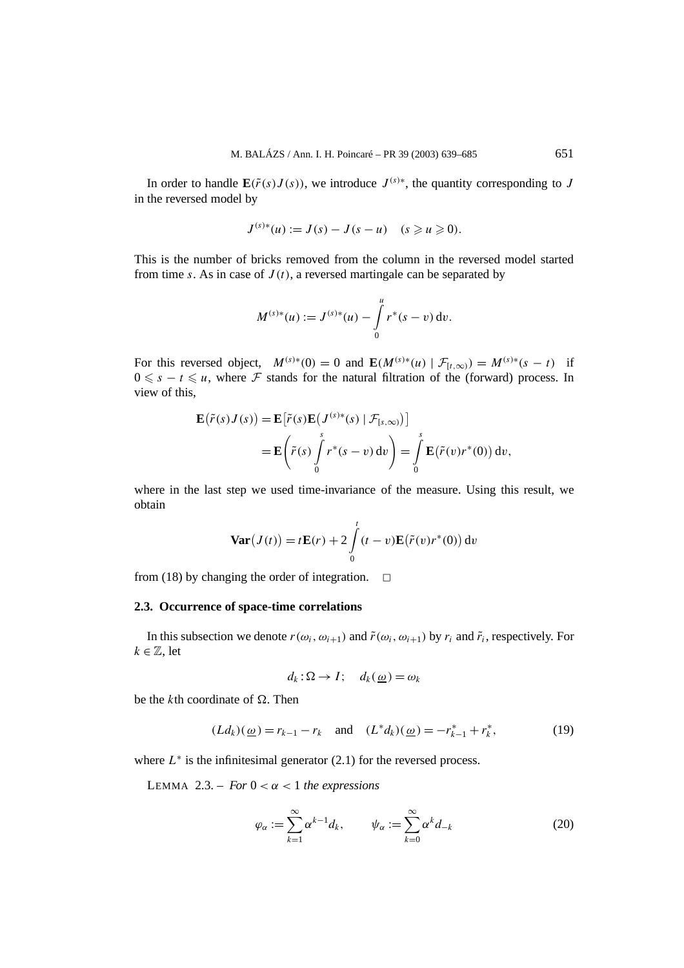In order to handle  $\mathbf{E}(\tilde{r}(s)J(s))$ , we introduce  $J^{(s)*}$ , the quantity corresponding to *J* in the reversed model by

$$
J^{(s)*}(u) := J(s) - J(s - u) \quad (s \geq u \geq 0).
$$

This is the number of bricks removed from the column in the reversed model started from time *s*. As in case of  $J(t)$ , a reversed martingale can be separated by

$$
M^{(s)*}(u) := J^{(s)*}(u) - \int\limits_{0}^{u} r^{*}(s-v) dv.
$$

For this reversed object,  $M^{(s)*}(0) = 0$  and  $\mathbf{E}(M^{(s)*}(u) | \mathcal{F}_{[t,\infty)}) = M^{(s)*}(s - t)$  if  $0 \leq s - t \leq u$ , where F stands for the natural filtration of the (forward) process. In view of this

$$
\mathbf{E}(\tilde{r}(s)J(s)) = \mathbf{E}[\tilde{r}(s)\mathbf{E}(J^{(s)*}(s) | \mathcal{F}_{[s,\infty)})]
$$
  
= 
$$
\mathbf{E}\left(\tilde{r}(s)\int_{0}^{s} r^{*}(s-v) dv\right) = \int_{0}^{s} \mathbf{E}(\tilde{r}(v)r^{*}(0)) dv,
$$

where in the last step we used time-invariance of the measure. Using this result, we obtain

$$
\mathbf{Var}(J(t)) = t\mathbf{E}(r) + 2\int_{0}^{t} (t - v)\mathbf{E}(\tilde{r}(v)r^{*}(0)) dv
$$

from (18) by changing the order of integration.  $\Box$ 

## **2.3. Occurrence of space-time correlations**

In this subsection we denote  $r(\omega_i, \omega_{i+1})$  and  $\tilde{r}(\omega_i, \omega_{i+1})$  by  $r_i$  and  $\tilde{r}_i$ , respectively. For  $k \in \mathbb{Z}$ , let

$$
d_k : \Omega \to I; \quad d_k(\underline{\omega}) = \omega_k
$$

be the *k*th coordinate of  $\Omega$ . Then

$$
(Ld_k)(\underline{\omega}) = r_{k-1} - r_k \quad \text{and} \quad (L^*d_k)(\underline{\omega}) = -r_{k-1}^* + r_k^*, \tag{19}
$$

where  $L^*$  is the infinitesimal generator  $(2.1)$  for the reversed process.

LEMMA 2.3. – *For*  $0 < \alpha < 1$  *the expressions* 

$$
\varphi_{\alpha} := \sum_{k=1}^{\infty} \alpha^{k-1} d_k, \qquad \psi_{\alpha} := \sum_{k=0}^{\infty} \alpha^k d_{-k}
$$
 (20)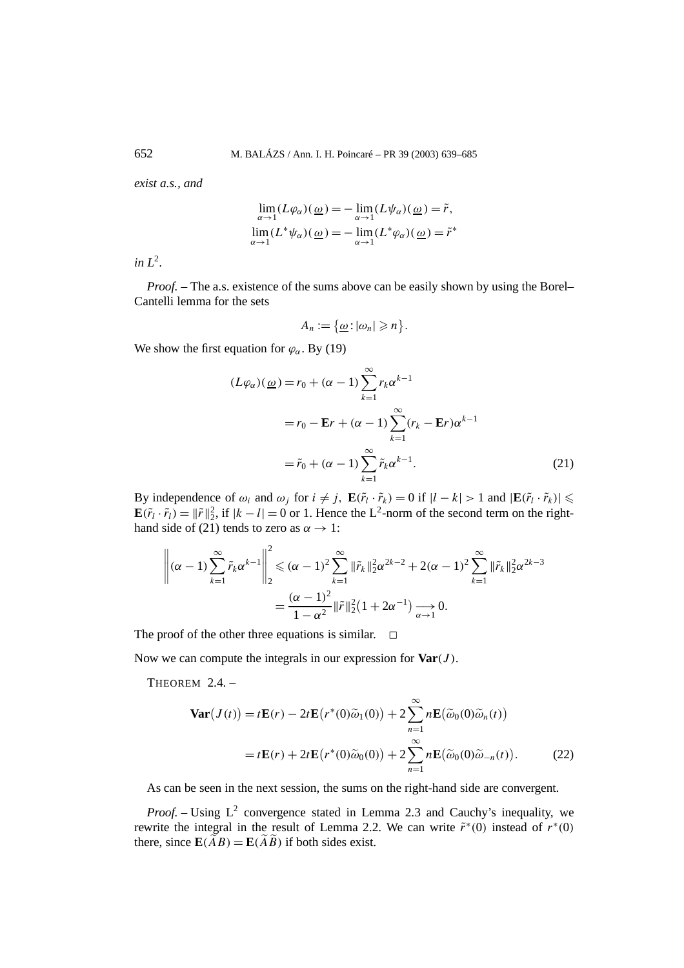*exist a.s., and*

$$
\lim_{\alpha \to 1} (L\varphi_{\alpha})(\underline{\omega}) = -\lim_{\alpha \to 1} (L\psi_{\alpha})(\underline{\omega}) = \tilde{r},
$$
  

$$
\lim_{\alpha \to 1} (L^*\psi_{\alpha})(\underline{\omega}) = -\lim_{\alpha \to 1} (L^*\varphi_{\alpha})(\underline{\omega}) = \tilde{r}^*
$$

 $\int$ *in I*<sup>2</sup>.

*Proof.* – The a.s. existence of the sums above can be easily shown by using the Borel– Cantelli lemma for the sets

$$
A_n:=\{\underline{\omega}:|\omega_n|\geqslant n\}.
$$

We show the first equation for  $\varphi_{\alpha}$ . By (19)

$$
(L\varphi_{\alpha})(\underline{\omega}) = r_0 + (\alpha - 1) \sum_{k=1}^{\infty} r_k \alpha^{k-1}
$$
  
=  $r_0 - \mathbf{E}r + (\alpha - 1) \sum_{k=1}^{\infty} (r_k - \mathbf{E}r) \alpha^{k-1}$   
=  $\tilde{r}_0 + (\alpha - 1) \sum_{k=1}^{\infty} \tilde{r}_k \alpha^{k-1}.$  (21)

By independence of  $\omega_i$  and  $\omega_j$  for  $i \neq j$ ,  $\mathbf{E}(\tilde{r}_l \cdot \tilde{r}_k) = 0$  if  $|l - k| > 1$  and  $|\mathbf{E}(\tilde{r}_l \cdot \tilde{r}_k)| \leq$  $\mathbf{E}(\tilde{r}_l \cdot \tilde{r}_l) = ||\tilde{r}||_2^2$ , if  $|k - l| = 0$  or 1. Hence the L<sup>2</sup>-norm of the second term on the righthand side of (21) tends to zero as  $\alpha \rightarrow 1$ :

$$
\left\| (\alpha - 1) \sum_{k=1}^{\infty} \tilde{r}_k \alpha^{k-1} \right\|_2^2 \leq (\alpha - 1)^2 \sum_{k=1}^{\infty} \|\tilde{r}_k\|_2^2 \alpha^{2k-2} + 2(\alpha - 1)^2 \sum_{k=1}^{\infty} \|\tilde{r}_k\|_2^2 \alpha^{2k-3}
$$

$$
= \frac{(\alpha - 1)^2}{1 - \alpha^2} \|\tilde{r}\|_2^2 (1 + 2\alpha^{-1}) \xrightarrow[\alpha \to 1]{}
$$
0.

The proof of the other three equations is similar.  $\Box$ 

Now we can compute the integrals in our expression for **Var***(J )*.

THEOREM 2.4. –

$$
\mathbf{Var}(J(t)) = t\mathbf{E}(r) - 2t\mathbf{E}(r^*(0)\tilde{\omega}_1(0)) + 2\sum_{n=1}^{\infty} n\mathbf{E}(\tilde{\omega}_0(0)\tilde{\omega}_n(t))
$$
  
=  $t\mathbf{E}(r) + 2t\mathbf{E}(r^*(0)\tilde{\omega}_0(0)) + 2\sum_{n=1}^{\infty} n\mathbf{E}(\tilde{\omega}_0(0)\tilde{\omega}_{-n}(t)).$  (22)

As can be seen in the next session, the sums on the right-hand side are convergent.

*Proof.* – Using L<sup>2</sup> convergence stated in Lemma 2.3 and Cauchy's inequality, we rewrite the integral in the result of Lemma 2.2. We can write  $\tilde{r}^*(0)$  instead of  $r^*(0)$ there, since  $\mathbf{E}(\widetilde{A}B) = \mathbf{E}(\widetilde{A}B)$  if both sides exist.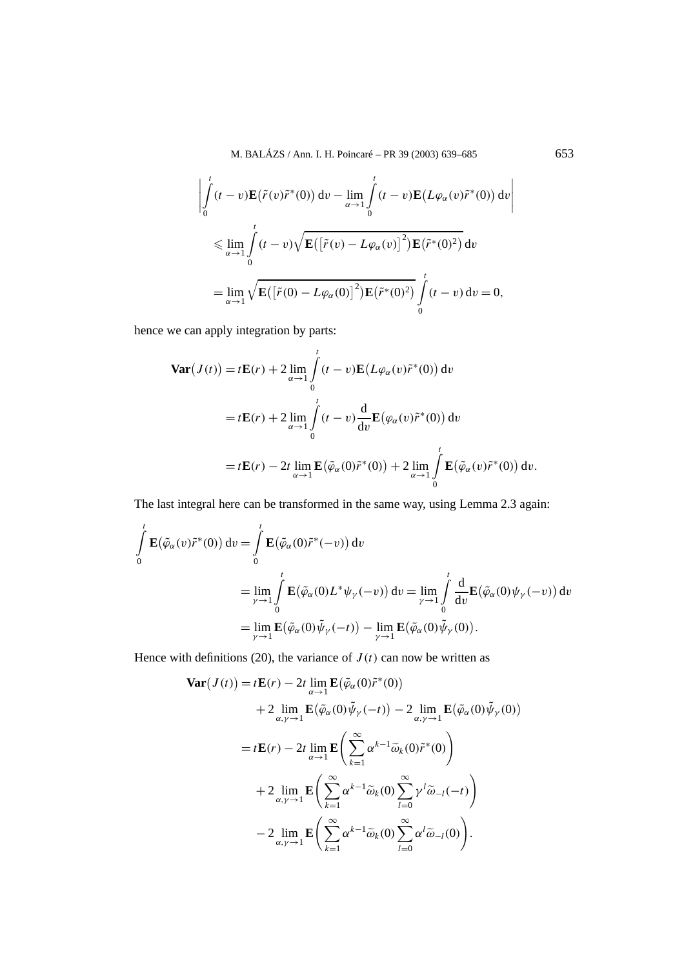M. BALÁZS / Ann. I. H. Poincaré – PR 39 (2003) 639–685 653

$$
\left| \int_{0}^{t} (t-v) \mathbf{E}(\tilde{r}(v)\tilde{r}^{*}(0)) dv - \lim_{\alpha \to 1} \int_{0}^{t} (t-v) \mathbf{E}(L\varphi_{\alpha}(v)\tilde{r}^{*}(0)) dv \right|
$$
  

$$
\leq \lim_{\alpha \to 1} \int_{0}^{t} (t-v) \sqrt{\mathbf{E}([\tilde{r}(v) - L\varphi_{\alpha}(v)]^{2}) \mathbf{E}(\tilde{r}^{*}(0)^{2})} dv
$$
  

$$
= \lim_{\alpha \to 1} \sqrt{\mathbf{E}([\tilde{r}(0) - L\varphi_{\alpha}(0)]^{2}) \mathbf{E}(\tilde{r}^{*}(0)^{2})} \int_{0}^{t} (t-v) dv = 0,
$$

hence we can apply integration by parts:

$$
\begin{split} \mathbf{Var}(J(t)) &= t\mathbf{E}(r) + 2\lim_{\alpha \to 1} \int_{0}^{t} (t - v)\mathbf{E}\left(L\varphi_{\alpha}(v)\tilde{r}^{*}(0)\right) \mathrm{d}v \\ &= t\mathbf{E}(r) + 2\lim_{\alpha \to 1} \int_{0}^{t} (t - v)\frac{\mathrm{d}}{\mathrm{d}v}\mathbf{E}\left(\varphi_{\alpha}(v)\tilde{r}^{*}(0)\right) \mathrm{d}v \\ &= t\mathbf{E}(r) - 2t\lim_{\alpha \to 1} \mathbf{E}\left(\tilde{\varphi}_{\alpha}(0)\tilde{r}^{*}(0)\right) + 2\lim_{\alpha \to 1} \int_{0}^{t} \mathbf{E}\left(\tilde{\varphi}_{\alpha}(v)\tilde{r}^{*}(0)\right) \mathrm{d}v. \end{split}
$$

The last integral here can be transformed in the same way, using Lemma 2.3 again:

$$
\int_{0}^{t} \mathbf{E}(\tilde{\varphi}_{\alpha}(v)\tilde{r}^{*}(0)) dv = \int_{0}^{t} \mathbf{E}(\tilde{\varphi}_{\alpha}(0)\tilde{r}^{*}(-v)) dv
$$
\n
$$
= \lim_{\gamma \to 1} \int_{0}^{t} \mathbf{E}(\tilde{\varphi}_{\alpha}(0)L^{*}\psi_{\gamma}(-v)) dv = \lim_{\gamma \to 1} \int_{0}^{t} \frac{d}{dv} \mathbf{E}(\tilde{\varphi}_{\alpha}(0)\psi_{\gamma}(-v)) dv
$$
\n
$$
= \lim_{\gamma \to 1} \mathbf{E}(\tilde{\varphi}_{\alpha}(0)\tilde{\psi}_{\gamma}(-t)) - \lim_{\gamma \to 1} \mathbf{E}(\tilde{\varphi}_{\alpha}(0)\tilde{\psi}_{\gamma}(0)).
$$

Hence with definitions (20), the variance of  $J(t)$  can now be written as

$$
\begin{split} \mathbf{Var}(J(t)) &= t\mathbf{E}(r) - 2t \lim_{\alpha \to 1} \mathbf{E}\big(\tilde{\varphi}_{\alpha}(0)\tilde{r}^*(0)\big) \\ &+ 2 \lim_{\alpha, \gamma \to 1} \mathbf{E}\big(\tilde{\varphi}_{\alpha}(0)\tilde{\psi}_{\gamma}(-t)\big) - 2 \lim_{\alpha, \gamma \to 1} \mathbf{E}\big(\tilde{\varphi}_{\alpha}(0)\tilde{\psi}_{\gamma}(0)\big) \\ &= t\mathbf{E}(r) - 2t \lim_{\alpha \to 1} \mathbf{E}\bigg(\sum_{k=1}^{\infty} \alpha^{k-1} \tilde{\omega}_{k}(0)\tilde{r}^*(0)\bigg) \\ &+ 2 \lim_{\alpha, \gamma \to 1} \mathbf{E}\bigg(\sum_{k=1}^{\infty} \alpha^{k-1} \tilde{\omega}_{k}(0)\sum_{l=0}^{\infty} \gamma^l \tilde{\omega}_{-l}(-t)\bigg) \\ &- 2 \lim_{\alpha, \gamma \to 1} \mathbf{E}\bigg(\sum_{k=1}^{\infty} \alpha^{k-1} \tilde{\omega}_{k}(0)\sum_{l=0}^{\infty} \alpha^l \tilde{\omega}_{-l}(0)\bigg). \end{split}
$$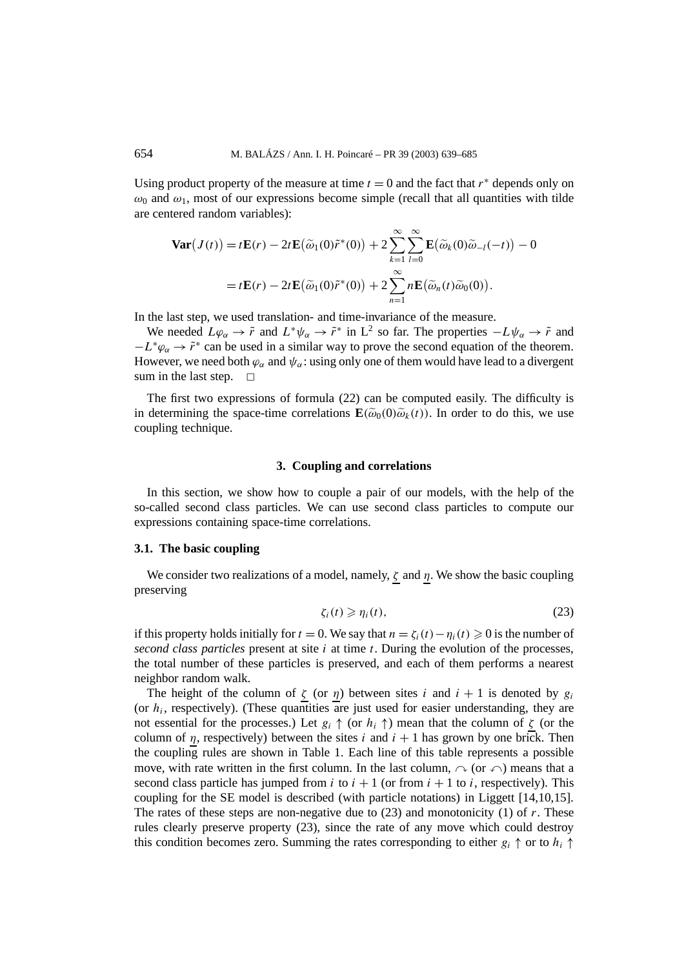Using product property of the measure at time  $t = 0$  and the fact that  $r^*$  depends only on  $\omega_0$  and  $\omega_1$ , most of our expressions become simple (recall that all quantities with tilde are centered random variables):

$$
\mathbf{Var}(J(t)) = t\mathbf{E}(r) - 2t\mathbf{E}(\widetilde{\omega}_1(0)\widetilde{r}^*(0)) + 2\sum_{k=1}^{\infty} \sum_{l=0}^{\infty} \mathbf{E}(\widetilde{\omega}_k(0)\widetilde{\omega}_{-l}(-t)) - 0
$$
  
=  $t\mathbf{E}(r) - 2t\mathbf{E}(\widetilde{\omega}_1(0)\widetilde{r}^*(0)) + 2\sum_{n=1}^{\infty} n\mathbf{E}(\widetilde{\omega}_n(t)\widetilde{\omega}_0(0)).$ 

In the last step, we used translation- and time-invariance of the measure.

We needed  $L\varphi_{\alpha} \to \tilde{r}$  and  $L^*\psi_{\alpha} \to \tilde{r}^*$  in  $L^2$  so far. The properties  $-L\psi_{\alpha} \to \tilde{r}$  and  $-L^*\varphi_\alpha \to \tilde{r}^*$  can be used in a similar way to prove the second equation of the theorem. However, we need both  $\varphi_{\alpha}$  and  $\psi_{\alpha}$ : using only one of them would have lead to a divergent sum in the last step.  $\Box$ 

The first two expressions of formula (22) can be computed easily. The difficulty is in determining the space-time correlations  $\mathbf{E}(\tilde{\omega}_0(0)\tilde{\omega}_k(t))$ . In order to do this, we use coupling technique.

#### **3. Coupling and correlations**

In this section, we show how to couple a pair of our models, with the help of the so-called second class particles. We can use second class particles to compute our expressions containing space-time correlations.

## **3.1. The basic coupling**

We consider two realizations of a model, namely, *ζ* and *η*. We show the basic coupling preserving

$$
\zeta_i(t) \geqslant \eta_i(t),\tag{23}
$$

if this property holds initially for  $t = 0$ . We say that  $n = \zeta_i(t) - \eta_i(t) \geq 0$  is the number of *second class particles* present at site *i* at time *t*. During the evolution of the processes, the total number of these particles is preserved, and each of them performs a nearest neighbor random walk.

The height of the column of  $\zeta$  (or  $\eta$ ) between sites *i* and  $i + 1$  is denoted by  $g_i$ (or  $h_i$ , respectively). (These quantities are just used for easier understanding, they are not essential for the processes.) Let  $g_i \uparrow$  (or  $h_i \uparrow$ ) mean that the column of *ζ* (or the column of  $\eta$ , respectively) between the sites *i* and  $i + 1$  has grown by one brick. Then the coupling rules are shown in Table 1. Each line of this table represents a possible move, with rate written in the first column. In the last column,  $\sim$  (or  $\curvearrowleft$ ) means that a second class particle has jumped from  $i$  to  $i + 1$  (or from  $i + 1$  to  $i$ , respectively). This coupling for the SE model is described (with particle notations) in Liggett [14,10,15]. The rates of these steps are non-negative due to  $(23)$  and monotonicity  $(1)$  of r. These rules clearly preserve property (23), since the rate of any move which could destroy this condition becomes zero. Summing the rates corresponding to either  $g_i \uparrow$  or to  $h_i \uparrow$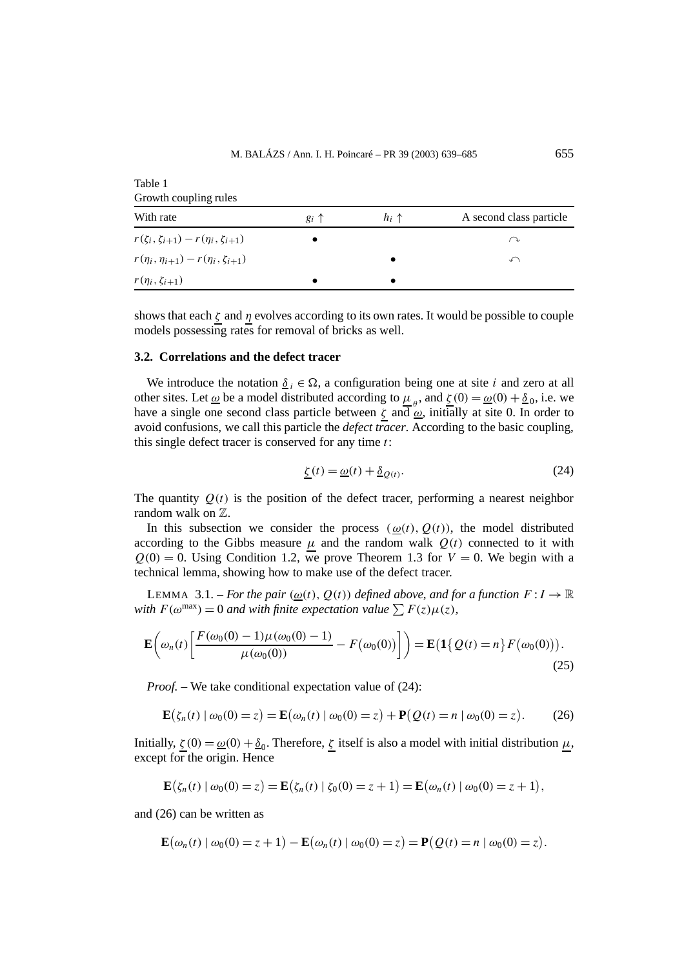| Growth coupling rules                              |                |                |                         |
|----------------------------------------------------|----------------|----------------|-------------------------|
| With rate                                          | $g_i \uparrow$ | $h_i \uparrow$ | A second class particle |
| $r(\zeta_i, \zeta_{i+1}) - r(\eta_i, \zeta_{i+1})$ | $\bullet$      |                | ⌒ℷ                      |
| $r(\eta_i, \eta_{i+1}) - r(\eta_i, \zeta_{i+1})$   |                |                | ∽                       |
| $r(\eta_i, \zeta_{i+1})$                           |                |                |                         |

Table 1

shows that each  $\zeta$  and  $\eta$  evolves according to its own rates. It would be possible to couple models possessing rates for removal of bricks as well.

#### **3.2. Correlations and the defect tracer**

We introduce the notation  $\delta_i \in \Omega$ , a configuration being one at site *i* and zero at all other sites. Let <u> $\omega$ </u> be a model distributed according to  $\mu_{\rho}$ , and  $\zeta(0) = \omega(0) + \delta_0$ , i.e. we have a single one second class particle between  $\zeta$  and  $\omega$ , initially at site 0. In order to avoid confusions, we call this particle the *defect tracer*. According to the basic coupling, this single defect tracer is conserved for any time *t*:

$$
\underline{\zeta}(t) = \underline{\omega}(t) + \underline{\delta}_{Q(t)}.\tag{24}
$$

The quantity  $Q(t)$  is the position of the defect tracer, performing a nearest neighbor random walk on  $\mathbb{Z}$ .

In this subsection we consider the process  $(\omega(t), Q(t))$ , the model distributed according to the Gibbs measure  $\mu$  and the random walk  $Q(t)$  connected to it with  $Q(0) = 0$ . Using Condition 1.2, we prove Theorem 1.3 for  $V = 0$ . We begin with a technical lemma, showing how to make use of the defect tracer.

LEMMA 3.1. – *For the pair*  $(\omega(t), Q(t))$  *defined above, and for a function*  $F: I \to \mathbb{R}$ *with*  $F(\omega^{\max}) = 0$  *and with finite expectation value*  $\sum F(z) \mu(z)$ *,* 

$$
\mathbf{E}\left(\omega_n(t)\left[\frac{F(\omega_0(0)-1)\mu(\omega_0(0)-1)}{\mu(\omega_0(0))}-F(\omega_0(0))\right]\right) = \mathbf{E}\left(\mathbf{1}\{Q(t)=n\}F(\omega_0(0))\right).
$$
\n(25)

*Proof.* – We take conditional expectation value of (24):

$$
\mathbf{E}(\zeta_n(t) \mid \omega_0(0) = z) = \mathbf{E}(\omega_n(t) \mid \omega_0(0) = z) + \mathbf{P}(Q(t) = n \mid \omega_0(0) = z).
$$
 (26)

Initially,  $\zeta(0) = \omega(0) + \underline{\delta}_0$ . Therefore,  $\zeta$  itself is also a model with initial distribution *μ*, except for the origin. Hence

$$
\mathbf{E}(\zeta_n(t) | \omega_0(0) = z) = \mathbf{E}(\zeta_n(t) | \zeta_0(0) = z + 1) = \mathbf{E}(\omega_n(t) | \omega_0(0) = z + 1),
$$

and (26) can be written as

$$
\mathbf{E}(\omega_n(t) | \omega_0(0) = z + 1) - \mathbf{E}(\omega_n(t) | \omega_0(0) = z) = \mathbf{P}(Q(t) = n | \omega_0(0) = z).
$$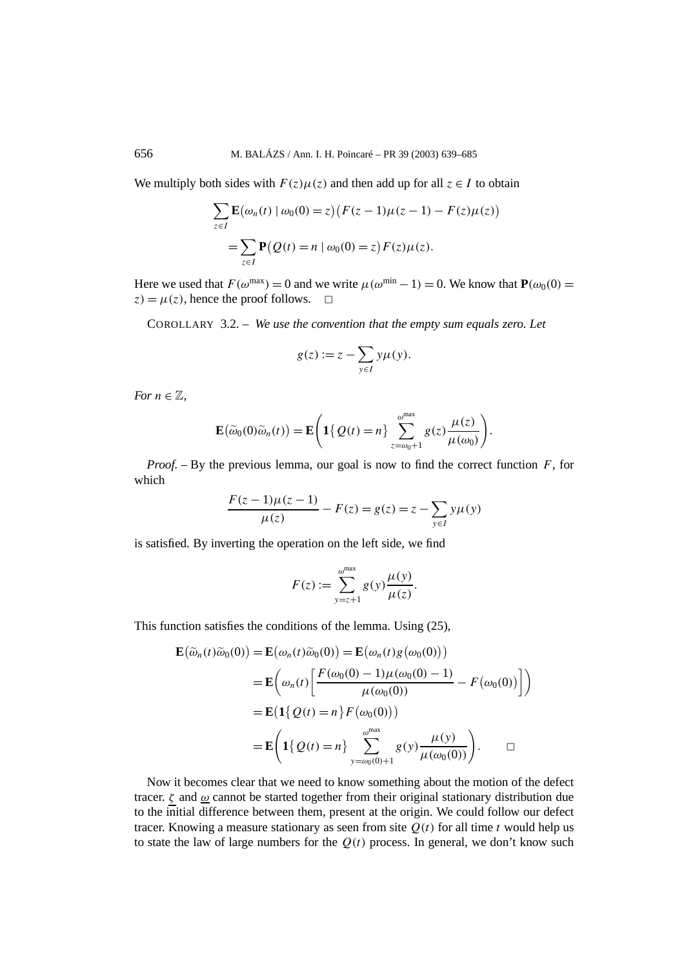We multiply both sides with  $F(z) \mu(z)$  and then add up for all  $z \in I$  to obtain

$$
\sum_{z \in I} \mathbf{E}(\omega_n(t) | \omega_0(0) = z) (F(z - 1)\mu(z - 1) - F(z)\mu(z))
$$
  
= 
$$
\sum_{z \in I} \mathbf{P}(Q(t) = n | \omega_0(0) = z) F(z) \mu(z).
$$

Here we used that  $F(\omega^{\text{max}}) = 0$  and we write  $\mu(\omega^{\text{min}} - 1) = 0$ . We know that  $\mathbf{P}(\omega_0(0) = 0)$  $z) = \mu(z)$ , hence the proof follows.  $\Box$ 

COROLLARY 3.2. – *We use the convention that the empty sum equals zero. Let*

$$
g(z) := z - \sum_{y \in I} y\mu(y).
$$

*For*  $n \in \mathbb{Z}$ *,* 

$$
\mathbf{E}(\widetilde{\omega}_0(0)\widetilde{\omega}_n(t)) = \mathbf{E}\Bigg(\mathbf{1}\big\{\mathcal{Q}(t)=n\big\}\sum_{z=\omega_0+1}^{\omega^{\max}} g(z)\frac{\mu(z)}{\mu(\omega_0)}\Bigg).
$$

*Proof. –* By the previous lemma, our goal is now to find the correct function *F*, for which

$$
\frac{F(z-1)\mu(z-1)}{\mu(z)} - F(z) = g(z) = z - \sum_{y \in I} y\mu(y)
$$

is satisfied. By inverting the operation on the left side, we find

$$
F(z) := \sum_{y=z+1}^{\omega^{\max}} g(y) \frac{\mu(y)}{\mu(z)}.
$$

This function satisfies the conditions of the lemma. Using (25),

$$
\mathbf{E}(\widetilde{\omega}_n(t)\widetilde{\omega}_0(0)) = \mathbf{E}(\omega_n(t)\widetilde{\omega}_0(0)) = \mathbf{E}(\omega_n(t)g(\omega_0(0)))
$$
  
\n
$$
= \mathbf{E}\left(\omega_n(t)\left[\frac{F(\omega_0(0) - 1)\mu(\omega_0(0) - 1)}{\mu(\omega_0(0))} - F(\omega_0(0))\right]\right)
$$
  
\n
$$
= \mathbf{E}\left(\mathbf{1}\{Q(t) = n\}F(\omega_0(0))\right)
$$
  
\n
$$
= \mathbf{E}\left(\mathbf{1}\{Q(t) = n\}\sum_{y = \omega_0(0) + 1}^{\omega^{\text{max}}} g(y) \frac{\mu(y)}{\mu(\omega_0(0))}\right).
$$

Now it becomes clear that we need to know something about the motion of the defect tracer. *ζ* and *ω* cannot be started together from their original stationary distribution due to the initial difference between them, present at the origin. We could follow our defect tracer. Knowing a measure stationary as seen from site  $Q(t)$  for all time *t* would help us to state the law of large numbers for the  $Q(t)$  process. In general, we don't know such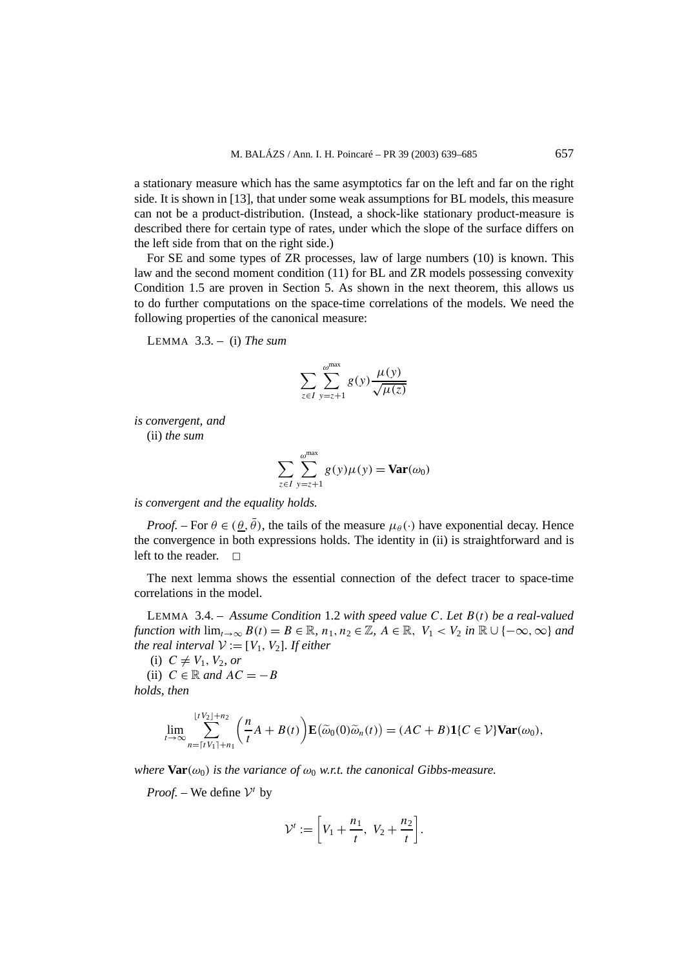a stationary measure which has the same asymptotics far on the left and far on the right side. It is shown in [13], that under some weak assumptions for BL models, this measure can not be a product-distribution. (Instead, a shock-like stationary product-measure is described there for certain type of rates, under which the slope of the surface differs on the left side from that on the right side.)

For SE and some types of ZR processes, law of large numbers (10) is known. This law and the second moment condition (11) for BL and ZR models possessing convexity Condition 1.5 are proven in Section 5. As shown in the next theorem, this allows us to do further computations on the space-time correlations of the models. We need the following properties of the canonical measure:

LEMMA 3.3. – (i) *The sum*

$$
\sum_{z \in I} \sum_{y=z+1}^{\omega^{\max}} g(y) \frac{\mu(y)}{\sqrt{\mu(z)}}
$$

*is convergent, and* (ii) *the sum*

$$
\sum_{z \in I} \sum_{y=z+1}^{\omega^{\max}} g(y)\mu(y) = \mathbf{Var}(\omega_0)
$$

*is convergent and the equality holds.*

*Proof.* – For  $\theta \in (\theta, \bar{\theta})$ , the tails of the measure  $\mu_{\theta}(\cdot)$  have exponential decay. Hence the convergence in both expressions holds. The identity in (ii) is straightforward and is left to the reader.  $\Box$ 

The next lemma shows the essential connection of the defect tracer to space-time correlations in the model.

LEMMA 3.4. – *Assume Condition* 1.2 *with speed value C. Let B(t) be a real-valued function with*  $\lim_{t\to\infty} B(t) = B \in \mathbb{R}$ ,  $n_1, n_2 \in \mathbb{Z}$ ,  $A \in \mathbb{R}$ ,  $V_1 < V_2$  *in*  $\mathbb{R} \cup \{-\infty, \infty\}$  *and the real interval*  $V := [V_1, V_2]$ *. If either* 

 $(i)$   $C \neq V_1$ ,  $V_2$ , or (ii)  $C \in \mathbb{R}$  *and*  $AC = -B$ *holds, then*

$$
\lim_{t\to\infty}\sum_{n=\lceil tV_1\rceil+n_1}^{\lfloor tV_2\rfloor+n_2}\left(\frac{n}{t}A+B(t)\right)\mathbf{E}\big(\widetilde{\omega}_0(0)\widetilde{\omega}_n(t)\big)=(AC+B)\mathbf{1}\{C\in\mathcal{V}\}\mathbf{Var}(\omega_0),
$$

*where*  $\text{Var}(\omega_0)$  *is the variance of*  $\omega_0$  *w.r.t. the canonical Gibbs-measure.* 

*Proof.* – We define  $V^t$  by

$$
\mathcal{V}^t := \left[ V_1 + \frac{n_1}{t}, \ V_2 + \frac{n_2}{t} \right].
$$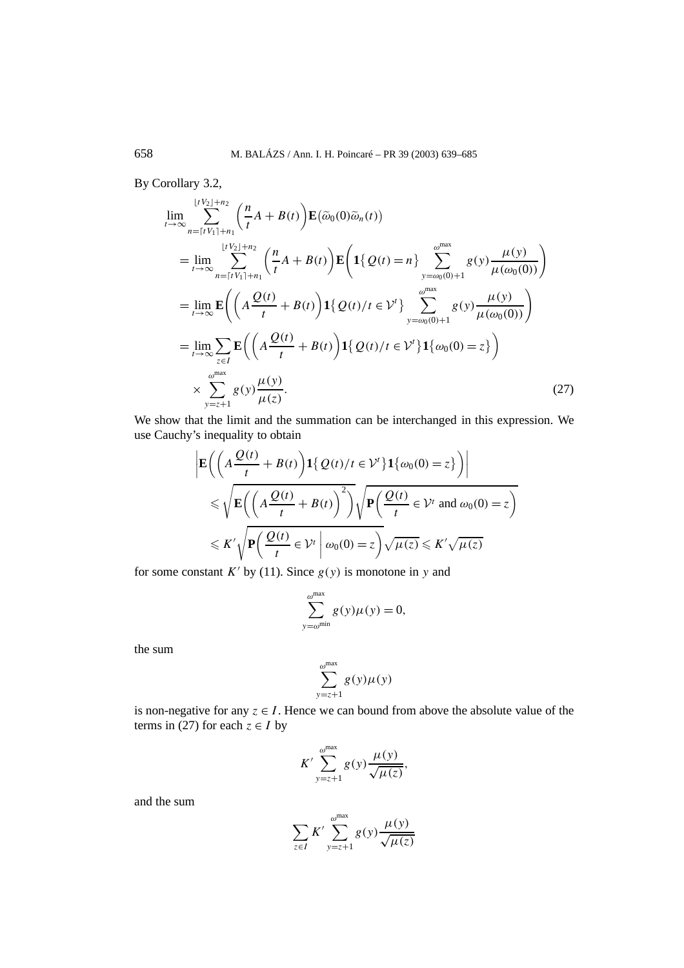By Corollary 3.2,

$$
\lim_{t \to \infty} \sum_{n=\lceil t V_1 \rceil + n_1}^{\lfloor t V_2 \rfloor + n_2} \left( \frac{n}{t} A + B(t) \right) \mathbf{E}(\tilde{\omega}_0(0) \tilde{\omega}_n(t))
$$
\n
$$
= \lim_{t \to \infty} \sum_{n=\lceil t V_1 \rceil + n_1}^{\lfloor t V_2 \rfloor + n_2} \left( \frac{n}{t} A + B(t) \right) \mathbf{E} \left( \mathbf{1} \{ Q(t) = n \} \sum_{y = \omega_0(0) + 1}^{\omega^{\max}} g(y) \frac{\mu(y)}{\mu(\omega_0(0))} \right)
$$
\n
$$
= \lim_{t \to \infty} \mathbf{E} \left( \left( A \frac{Q(t)}{t} + B(t) \right) \mathbf{1} \{ Q(t) / t \in \mathcal{V}^t \} \sum_{y = \omega_0(0) + 1}^{\omega^{\max}} g(y) \frac{\mu(y)}{\mu(\omega_0(0))} \right)
$$
\n
$$
= \lim_{t \to \infty} \sum_{z \in I} \mathbf{E} \left( \left( A \frac{Q(t)}{t} + B(t) \right) \mathbf{1} \{ Q(t) / t \in \mathcal{V}^t \} \mathbf{1} \{ \omega_0(0) = z \} \right)
$$
\n
$$
\times \sum_{y = z + 1}^{\omega^{\max}} g(y) \frac{\mu(y)}{\mu(z)}.
$$
\n(27)

We show that the limit and the summation can be interchanged in this expression. We use Cauchy's inequality to obtain

$$
\left| \mathbf{E} \left( \left( A \frac{\mathcal{Q}(t)}{t} + B(t) \right) \mathbf{1} \{ \mathcal{Q}(t) / t \in \mathcal{V}' \} \mathbf{1} \{ \omega_0(0) = z \} \right) \right|
$$
  
\$\leq \sqrt{\mathbf{E} \left( \left( A \frac{\mathcal{Q}(t)}{t} + B(t) \right)^2 \right)} \sqrt{\mathbf{P} \left( \frac{\mathcal{Q}(t)}{t} \in \mathcal{V}' \text{ and } \omega\_0(0) = z \right)}\$  
\$\leq K' \sqrt{\mathbf{P} \left( \frac{\mathcal{Q}(t)}{t} \in \mathcal{V}' \mid \omega\_0(0) = z \right)} \sqrt{\mu(z)} \leq K' \sqrt{\mu(z)}\$

for some constant  $K'$  by (11). Since  $g(y)$  is monotone in y and

$$
\sum_{y=\omega^{\min}}^{\omega^{\max}} g(y)\mu(y) = 0,
$$

the sum

$$
\sum_{y=z+1}^{\omega^{\max}} g(y)\mu(y)
$$

is non-negative for any  $z \in I$ . Hence we can bound from above the absolute value of the terms in (27) for each  $z \in I$  by

$$
K' \sum_{y=z+1}^{\omega^{\max}} g(y) \frac{\mu(y)}{\sqrt{\mu(z)}},
$$

and the sum

$$
\sum_{z \in I} K' \sum_{y=z+1}^{\omega^{\max}} g(y) \frac{\mu(y)}{\sqrt{\mu(z)}}
$$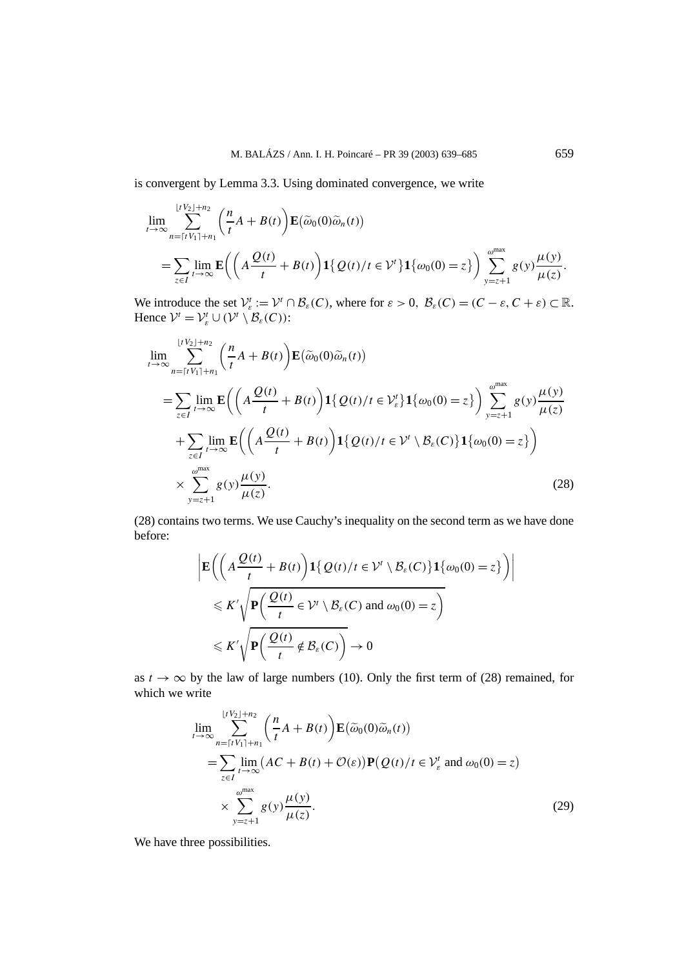is convergent by Lemma 3.3. Using dominated convergence, we write

$$
\lim_{t \to \infty} \sum_{n=\lceil t V_1 \rceil + n_1}^{\lfloor t V_2 \rfloor + n_2} \left( \frac{n}{t} A + B(t) \right) \mathbf{E}(\widetilde{\omega}_0(0) \widetilde{\omega}_n(t))
$$
\n
$$
= \sum_{z \in I} \lim_{t \to \infty} \mathbf{E} \left( \left( A \frac{Q(t)}{t} + B(t) \right) \mathbf{1} \{ Q(t) / t \in \mathcal{V}^t \} \mathbf{1} \{ \omega_0(0) = z \} \right) \sum_{y=z+1}^{\omega^{\max}} g(y) \frac{\mu(y)}{\mu(z)}.
$$

We introduce the set  $V_{\varepsilon}^t := V^t \cap \mathcal{B}_{\varepsilon}(C)$ , where for  $\varepsilon > 0$ ,  $\mathcal{B}_{\varepsilon}(C) = (C - \varepsilon, C + \varepsilon) \subset \mathbb{R}$ . Hence  $V^t = V^t_{\varepsilon} \cup (V^t \setminus \mathcal{B}_{\varepsilon}(C))$ :

$$
\lim_{t \to \infty} \sum_{n=\lceil t V_1 \rceil + n_1}^{\lfloor t V_2 \rfloor + n_2} \left( \frac{n}{t} A + B(t) \right) \mathbf{E}(\tilde{\omega}_0(0) \tilde{\omega}_n(t))
$$
\n
$$
= \sum_{z \in I} \lim_{t \to \infty} \mathbf{E} \left( \left( A \frac{Q(t)}{t} + B(t) \right) \mathbf{1} \{ Q(t) / t \in V_{\varepsilon}^t \} \mathbf{1} \{ \omega_0(0) = z \} \right) \sum_{y = z + 1}^{\omega^{\max}} g(y) \frac{\mu(y)}{\mu(z)}
$$
\n
$$
+ \sum_{z \in I} \lim_{t \to \infty} \mathbf{E} \left( \left( A \frac{Q(t)}{t} + B(t) \right) \mathbf{1} \{ Q(t) / t \in V^t \setminus B_{\varepsilon}(C) \} \mathbf{1} \{ \omega_0(0) = z \} \right)
$$
\n
$$
\times \sum_{y = z + 1}^{\omega^{\max}} g(y) \frac{\mu(y)}{\mu(z)}.
$$
\n(28)

(28) contains two terms. We use Cauchy's inequality on the second term as we have done before:

$$
\left| \mathbf{E} \bigg( \bigg( A \frac{\mathcal{Q}(t)}{t} + B(t) \bigg) \mathbf{1} \{ \mathcal{Q}(t) / t \in \mathcal{V}^t \setminus \mathcal{B}_{\varepsilon}(C) \} \mathbf{1} \{ \omega_0(0) = z \} \bigg) \right|
$$
  
\$\leqslant K' \sqrt{\mathbf{P} \bigg( \frac{\mathcal{Q}(t)}{t} \in \mathcal{V}^t \setminus \mathcal{B}\_{\varepsilon}(C) \text{ and } \omega\_0(0) = z \bigg)}\$  
\$\leqslant K' \sqrt{\mathbf{P} \bigg( \frac{\mathcal{Q}(t)}{t} \notin \mathcal{B}\_{\varepsilon}(C) \bigg)} \to 0\$

as  $t \to \infty$  by the law of large numbers (10). Only the first term of (28) remained, for which we write

$$
\lim_{t \to \infty} \sum_{n=\lceil t V_1 \rceil + n_1}^{\lfloor t V_2 \rfloor + n_2} \left( \frac{n}{t} A + B(t) \right) \mathbf{E}(\widetilde{\omega}_0(0) \widetilde{\omega}_n(t))
$$
\n
$$
= \sum_{z \in I} \lim_{t \to \infty} \left( AC + B(t) + \mathcal{O}(\varepsilon) \right) \mathbf{P}(\mathcal{Q}(t) / t \in \mathcal{V}_{\varepsilon}^t \text{ and } \omega_0(0) = z)
$$
\n
$$
\times \sum_{y=z+1}^{\omega^{\max}} g(y) \frac{\mu(y)}{\mu(z)}.
$$
\n(29)

We have three possibilities.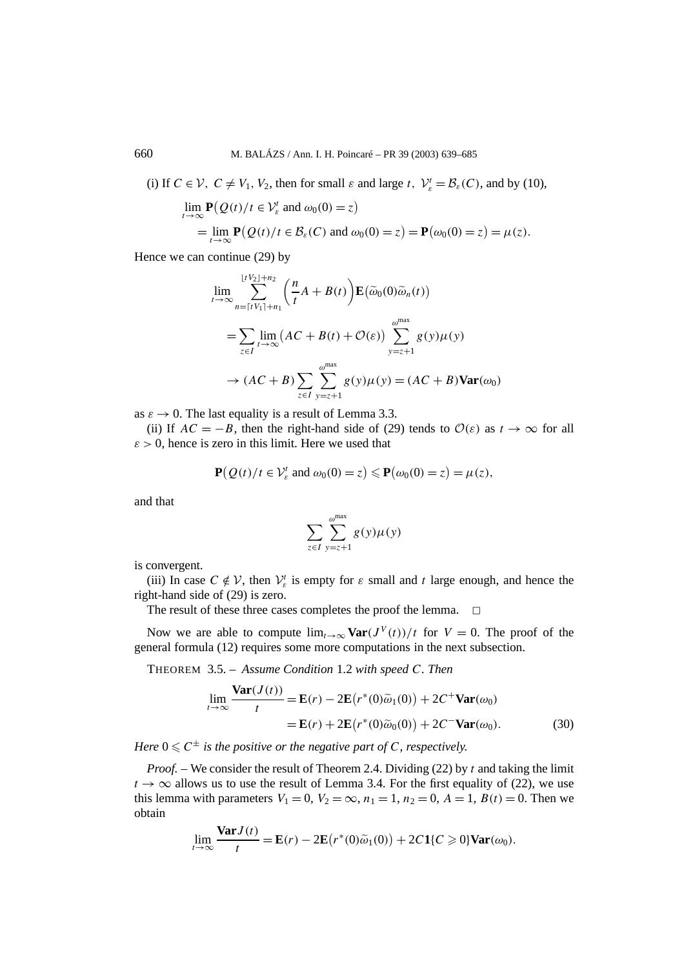(i) If  $C \in \mathcal{V}$ ,  $C \neq V_1$ ,  $V_2$ , then for small  $\varepsilon$  and large  $t$ ,  $\mathcal{V}_{\varepsilon}^t = \mathcal{B}_{\varepsilon}(C)$ , and by (10),

$$
\lim_{t \to \infty} \mathbf{P}(Q(t)/t \in \mathcal{V}_{\varepsilon}^{t} \text{ and } \omega_{0}(0) = z)
$$
  
= 
$$
\lim_{t \to \infty} \mathbf{P}(Q(t)/t \in \mathcal{B}_{\varepsilon}(C) \text{ and } \omega_{0}(0) = z) = \mathbf{P}(\omega_{0}(0) = z) = \mu(z).
$$

Hence we can continue (29) by

$$
\lim_{t \to \infty} \sum_{n=\lceil t V_1 \rceil + n_1}^{\lfloor t V_2 \rfloor + n_2} \left( \frac{n}{t} A + B(t) \right) \mathbf{E}(\widetilde{\omega}_0(0) \widetilde{\omega}_n(t))
$$
\n
$$
= \sum_{z \in I} \lim_{t \to \infty} \left( AC + B(t) + \mathcal{O}(\varepsilon) \right) \sum_{y=z+1}^{\omega^{\max}} g(y) \mu(y)
$$
\n
$$
\to (AC + B) \sum_{z \in I} \sum_{y=z+1}^{\omega^{\max}} g(y) \mu(y) = (AC + B) \text{Var}(\omega_0)
$$

as  $\varepsilon \to 0$ . The last equality is a result of Lemma 3.3.

(ii) If  $AC = -B$ , then the right-hand side of (29) tends to  $\mathcal{O}(\varepsilon)$  as  $t \to \infty$  for all  $\varepsilon$  > 0, hence is zero in this limit. Here we used that

$$
\mathbf{P}(Q(t)/t \in \mathcal{V}_{\varepsilon}^{t} \text{ and } \omega_0(0) = z) \leq \mathbf{P}(\omega_0(0) = z) = \mu(z),
$$

and that

$$
\sum_{z \in I} \sum_{y=z+1}^{\omega^{\max}} g(y) \mu(y)
$$

is convergent.

(iii) In case  $C \notin V$ , then  $V_{\varepsilon}$  is empty for  $\varepsilon$  small and  $t$  large enough, and hence the right-hand side of (29) is zero.

The result of these three cases completes the proof the lemma.  $\Box$ 

Now we are able to compute  $\lim_{t\to\infty} \text{Var}(J^V(t))/t$  for  $V=0$ . The proof of the general formula (12) requires some more computations in the next subsection.

THEOREM 3.5. – *Assume Condition* 1.2 *with speed C. Then*

$$
\lim_{t \to \infty} \frac{\text{Var}(J(t))}{t} = \mathbf{E}(r) - 2\mathbf{E}(r^*(0)\tilde{\omega}_1(0)) + 2C^+\text{Var}(\omega_0)
$$

$$
= \mathbf{E}(r) + 2\mathbf{E}(r^*(0)\tilde{\omega}_0(0)) + 2C^-\text{Var}(\omega_0).
$$
(30)

*Here*  $0 \le C^{\pm}$  *is the positive or the negative part of C, respectively.* 

*Proof. –* We consider the result of Theorem 2.4. Dividing (22) by *t* and taking the limit  $t \to \infty$  allows us to use the result of Lemma 3.4. For the first equality of (22), we use this lemma with parameters  $V_1 = 0$ ,  $V_2 = \infty$ ,  $n_1 = 1$ ,  $n_2 = 0$ ,  $A = 1$ ,  $B(t) = 0$ . Then we obtain

$$
\lim_{t \to \infty} \frac{\text{Var} J(t)}{t} = \mathbf{E}(r) - 2\mathbf{E}\big(r^*(0)\widetilde{\omega}_1(0)\big) + 2C\mathbf{1}\{C \geq 0\}\text{Var}(\omega_0).
$$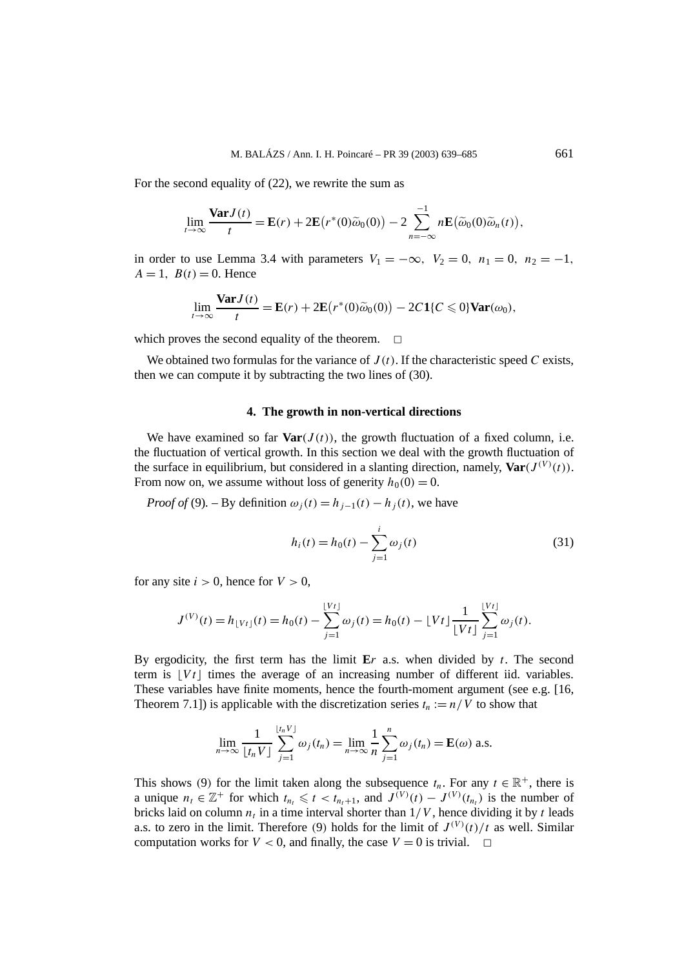For the second equality of (22), we rewrite the sum as

$$
\lim_{t\to\infty}\frac{\text{Var}J(t)}{t}=\mathbf{E}(r)+2\mathbf{E}\big(r^*(0)\widetilde{\omega}_0(0)\big)-2\sum_{n=-\infty}^{-1}n\mathbf{E}\big(\widetilde{\omega}_0(0)\widetilde{\omega}_n(t)\big),
$$

in order to use Lemma 3.4 with parameters  $V_1 = -\infty$ ,  $V_2 = 0$ ,  $n_1 = 0$ ,  $n_2 = -1$ ,  $A = 1$ ,  $B(t) = 0$ . Hence

$$
\lim_{t\to\infty}\frac{\text{Var}J(t)}{t}=\mathbf{E}(r)+2\mathbf{E}\big(r^*(0)\widetilde{\omega}_0(0)\big)-2C\mathbf{1}\{C\leq 0\}\text{Var}(\omega_0),
$$

which proves the second equality of the theorem.  $\Box$ 

We obtained two formulas for the variance of  $J(t)$ . If the characteristic speed C exists, then we can compute it by subtracting the two lines of (30).

#### **4. The growth in non-vertical directions**

We have examined so far  $\text{Var}(J(t))$ , the growth fluctuation of a fixed column, i.e. the fluctuation of vertical growth. In this section we deal with the growth fluctuation of the surface in equilibrium, but considered in a slanting direction, namely,  $\text{Var}(J^{(V)}(t))$ . From now on, we assume without loss of generity  $h_0(0) = 0$ .

*Proof of* (9). – By definition  $\omega_i(t) = h_{i-1}(t) - h_i(t)$ , we have

$$
h_i(t) = h_0(t) - \sum_{j=1}^{i} \omega_j(t)
$$
\n(31)

for any site  $i > 0$ , hence for  $V > 0$ ,

$$
J^{(V)}(t) = h_{\lfloor Vt \rfloor}(t) = h_0(t) - \sum_{j=1}^{\lfloor Vt \rfloor} \omega_j(t) = h_0(t) - \lfloor Vt \rfloor \frac{1}{\lfloor Vt \rfloor} \sum_{j=1}^{\lfloor Vt \rfloor} \omega_j(t).
$$

By ergodicity, the first term has the limit **E***r* a.s. when divided by *t*. The second term is  $|Vt|$  times the average of an increasing number of different iid. variables. These variables have finite moments, hence the fourth-moment argument (see e.g. [16, Theorem 7.1]) is applicable with the discretization series  $t_n := n/V$  to show that

$$
\lim_{n\to\infty}\frac{1}{\lfloor t_nV\rfloor}\sum_{j=1}^{\lfloor t_nV\rfloor}\omega_j(t_n)=\lim_{n\to\infty}\frac{1}{n}\sum_{j=1}^n\omega_j(t_n)=\mathbf{E}(\omega) \text{ a.s.}
$$

This shows (9) for the limit taken along the subsequence  $t_n$ . For any  $t \in \mathbb{R}^+$ , there is a unique  $n_t \in \mathbb{Z}^+$  for which  $t_{n_t} \leq t < t_{n_t+1}$ , and  $J^{(V)}(t) - J^{(V)}(t_{n_t})$  is the number of bricks laid on column  $n_t$  in a time interval shorter than  $1/V$ , hence dividing it by *t* leads a.s. to zero in the limit. Therefore (9) holds for the limit of  $J^{(V)}(t)/t$  as well. Similar computation works for  $V < 0$ , and finally, the case  $V = 0$  is trivial.  $\Box$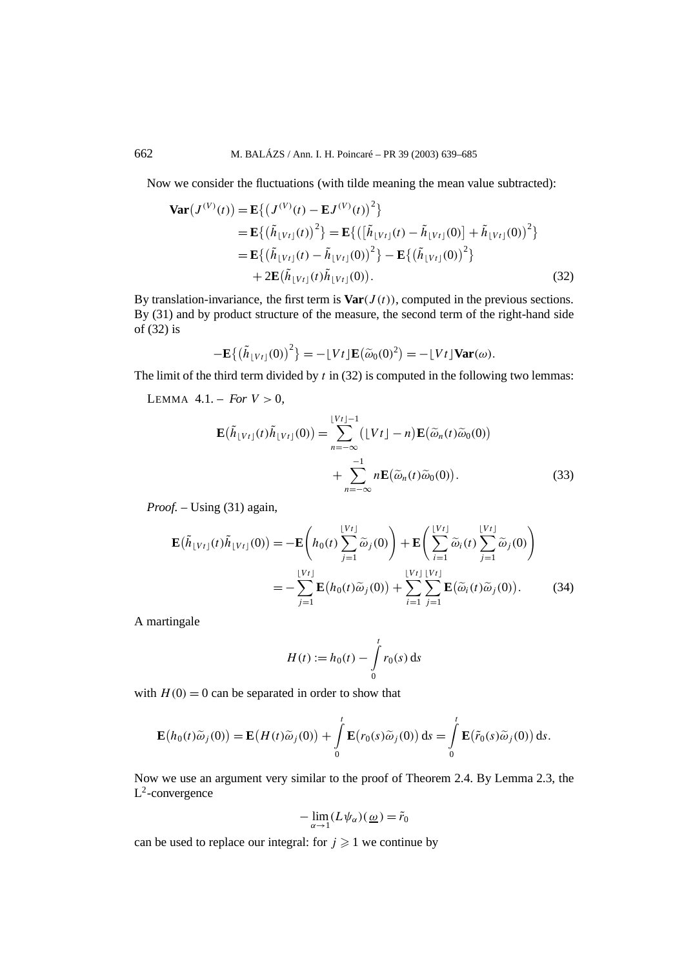Now we consider the fluctuations (with tilde meaning the mean value subtracted):

$$
\begin{split} \mathbf{Var}(J^{(V)}(t)) &= \mathbf{E}\left\{ \left( J^{(V)}(t) - \mathbf{E}J^{(V)}(t) \right)^{2} \right\} \\ &= \mathbf{E}\left\{ \left( \tilde{h}_{\lfloor Vt \rfloor}(t) \right)^{2} \right\} = \mathbf{E}\left\{ \left( \left[ \tilde{h}_{\lfloor Vt \rfloor}(t) - \tilde{h}_{\lfloor Vt \rfloor}(0) \right] + \tilde{h}_{\lfloor Vt \rfloor}(0) \right)^{2} \right\} \\ &= \mathbf{E}\left\{ \left( \tilde{h}_{\lfloor Vt \rfloor}(t) - \tilde{h}_{\lfloor Vt \rfloor}(0) \right)^{2} \right\} - \mathbf{E}\left\{ \left( \tilde{h}_{\lfloor Vt \rfloor}(0) \right)^{2} \right\} \\ &+ 2\mathbf{E}(\tilde{h}_{\lfloor Vt \rfloor}(t)\tilde{h}_{\lfloor Vt \rfloor}(0)). \end{split} \tag{32}
$$

By translation-invariance, the first term is  $\text{Var}(J(t))$ , computed in the previous sections. By (31) and by product structure of the measure, the second term of the right-hand side of (32) is

$$
-\mathbf{E}\{(\tilde{h}_{\lfloor Vt\rfloor}(0))^2\} = -\lfloor Vt\rfloor \mathbf{E}(\tilde{\omega}_0(0)^2) = -\lfloor Vt\rfloor \text{Var}(\omega).
$$

The limit of the third term divided by *t* in (32) is computed in the following two lemmas:

LEMMA  $4.1 - For V > 0$ ,

$$
\mathbf{E}(\tilde{h}_{\lfloor Vt\rfloor}(t)\tilde{h}_{\lfloor Vt\rfloor}(0)) = \sum_{n=-\infty}^{\lfloor Vt\rfloor-1} (\lfloor Vt\rfloor - n) \mathbf{E}(\tilde{\omega}_n(t)\tilde{\omega}_0(0)) + \sum_{n=-\infty}^{-1} n \mathbf{E}(\tilde{\omega}_n(t)\tilde{\omega}_0(0)).
$$
\n(33)

*Proof. –* Using (31) again,

$$
\mathbf{E}(\tilde{h}_{\lfloor Vt\rfloor}(t)\tilde{h}_{\lfloor Vt\rfloor}(0)) = -\mathbf{E}\left(h_0(t)\sum_{j=1}^{\lfloor Vt\rfloor} \tilde{\omega}_j(0)\right) + \mathbf{E}\left(\sum_{i=1}^{\lfloor Vt\rfloor} \tilde{\omega}_i(t)\sum_{j=1}^{\lfloor Vt\rfloor} \tilde{\omega}_j(0)\right)
$$

$$
= -\sum_{j=1}^{\lfloor Vt\rfloor} \mathbf{E}(h_0(t)\tilde{\omega}_j(0)) + \sum_{i=1}^{\lfloor Vt\rfloor} \sum_{j=1}^{\lfloor Vt\rfloor} \mathbf{E}(\tilde{\omega}_i(t)\tilde{\omega}_j(0)). \tag{34}
$$

A martingale

$$
H(t) := h_0(t) - \int_0^t r_0(s) \, \mathrm{d}s
$$

with  $H(0) = 0$  can be separated in order to show that

$$
\mathbf{E}(h_0(t)\widetilde{\omega}_j(0)) = \mathbf{E}(H(t)\widetilde{\omega}_j(0)) + \int_0^t \mathbf{E}(r_0(s)\widetilde{\omega}_j(0)) ds = \int_0^t \mathbf{E}(\widetilde{r}_0(s)\widetilde{\omega}_j(0)) ds.
$$

Now we use an argument very similar to the proof of Theorem 2.4. By Lemma 2.3, the  $L^2$ -convergence

$$
-\lim_{\alpha\to 1}(L\psi_\alpha)(\underline{\omega})=\tilde{r}_0
$$

can be used to replace our integral: for  $j \geq 1$  we continue by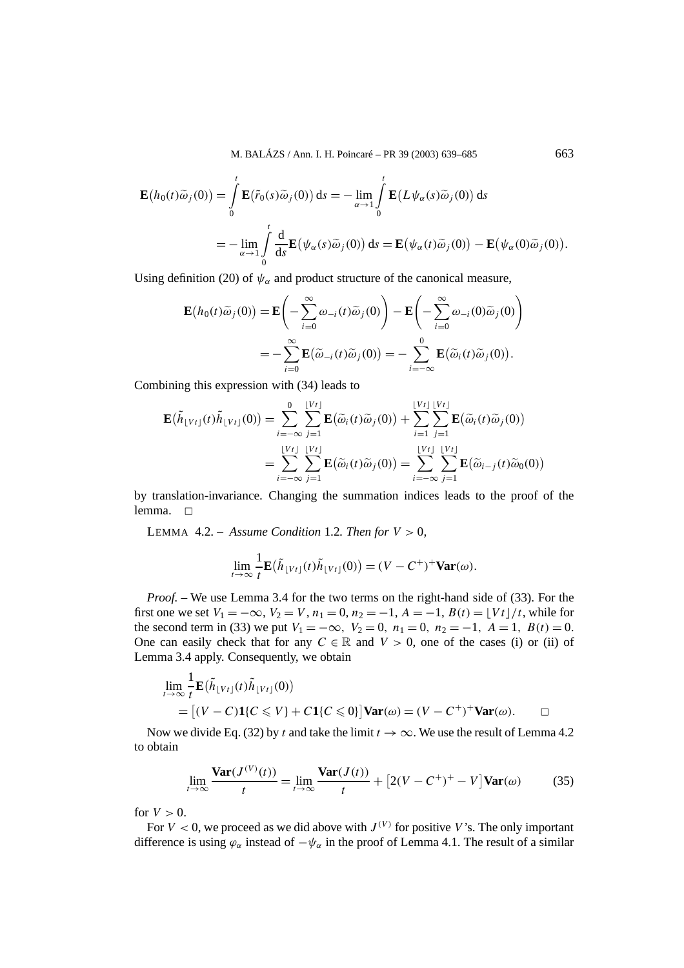$$
\mathbf{E}(h_0(t)\tilde{\omega}_j(0)) = \int_0^t \mathbf{E}(\tilde{r}_0(s)\tilde{\omega}_j(0)) ds = -\lim_{\alpha \to 1} \int_0^t \mathbf{E}(L\psi_\alpha(s)\tilde{\omega}_j(0)) ds
$$
  
= 
$$
-\lim_{\alpha \to 1} \int_0^t \frac{d}{ds} \mathbf{E}(\psi_\alpha(s)\tilde{\omega}_j(0)) ds = \mathbf{E}(\psi_\alpha(t)\tilde{\omega}_j(0)) - \mathbf{E}(\psi_\alpha(0)\tilde{\omega}_j(0)).
$$

Using definition (20) of  $\psi_{\alpha}$  and product structure of the canonical measure,

$$
\mathbf{E}(h_0(t)\tilde{\omega}_j(0)) = \mathbf{E}\left(-\sum_{i=0}^{\infty} \omega_{-i}(t)\tilde{\omega}_j(0)\right) - \mathbf{E}\left(-\sum_{i=0}^{\infty} \omega_{-i}(0)\tilde{\omega}_j(0)\right)
$$

$$
= -\sum_{i=0}^{\infty} \mathbf{E}(\tilde{\omega}_{-i}(t)\tilde{\omega}_j(0)) = -\sum_{i=-\infty}^{0} \mathbf{E}(\tilde{\omega}_i(t)\tilde{\omega}_j(0)).
$$

Combining this expression with (34) leads to

$$
\mathbf{E}(\tilde{h}_{\lfloor Vt\rfloor}(t)\tilde{h}_{\lfloor Vt\rfloor}(0)) = \sum_{i=-\infty}^{0} \sum_{j=1}^{\lfloor Vt\rfloor} \mathbf{E}(\tilde{\omega}_i(t)\tilde{\omega}_j(0)) + \sum_{i=1}^{\lfloor Vt\rfloor} \sum_{j=1}^{\lfloor Vt\rfloor} \mathbf{E}(\tilde{\omega}_i(t)\tilde{\omega}_j(0))
$$
  

$$
= \sum_{i=-\infty}^{\lfloor Vt\rfloor} \sum_{j=1}^{\lfloor Vt\rfloor} \mathbf{E}(\tilde{\omega}_i(t)\tilde{\omega}_j(0)) = \sum_{i=-\infty}^{\lfloor Vt\rfloor} \sum_{j=1}^{\lfloor Vt\rfloor} \mathbf{E}(\tilde{\omega}_{i-j}(t)\tilde{\omega}_0(0))
$$

by translation-invariance. Changing the summation indices leads to the proof of the lemma.  $\Box$ 

LEMMA 4.2. – Assume Condition 1.2. Then for  $V > 0$ ,

$$
\lim_{t\to\infty}\frac{1}{t}\mathbf{E}(\tilde{h}_{\lfloor Vt\rfloor}(t)\tilde{h}_{\lfloor Vt\rfloor}(0))=(V-C^+)^+\mathbf{Var}(\omega).
$$

*Proof. –* We use Lemma 3.4 for the two terms on the right-hand side of (33). For the first one we set  $V_1 = -\infty$ ,  $V_2 = V$ ,  $n_1 = 0$ ,  $n_2 = -1$ ,  $A = -1$ ,  $B(t) = \lfloor V_t \rfloor / t$ , while for the second term in (33) we put  $V_1 = -\infty$ ,  $V_2 = 0$ ,  $n_1 = 0$ ,  $n_2 = -1$ ,  $A = 1$ ,  $B(t) = 0$ . One can easily check that for any  $C \in \mathbb{R}$  and  $V > 0$ , one of the cases (i) or (ii) of Lemma 3.4 apply. Consequently, we obtain

$$
\lim_{t \to \infty} \frac{1}{t} \mathbf{E}(\tilde{h}_{\lfloor Vt \rfloor}(t) \tilde{h}_{\lfloor Vt \rfloor}(0))
$$
\n
$$
= [(V - C)1\{C \leq V\} + C1\{C \leq 0\}] \text{Var}(\omega) = (V - C^{+})^{+} \text{Var}(\omega). \qquad \Box
$$

Now we divide Eq. (32) by *t* and take the limit  $t \to \infty$ . We use the result of Lemma 4.2 to obtain

$$
\lim_{t \to \infty} \frac{\text{Var}(J^{(V)}(t))}{t} = \lim_{t \to \infty} \frac{\text{Var}(J(t))}{t} + \left[2(V - C^+)^\dagger - V\right] \text{Var}(\omega) \tag{35}
$$

for  $V > 0$ .

For  $V < 0$ , we proceed as we did above with  $J^{(V)}$  for positive V's. The only important difference is using  $\varphi_{\alpha}$  instead of  $-\psi_{\alpha}$  in the proof of Lemma 4.1. The result of a similar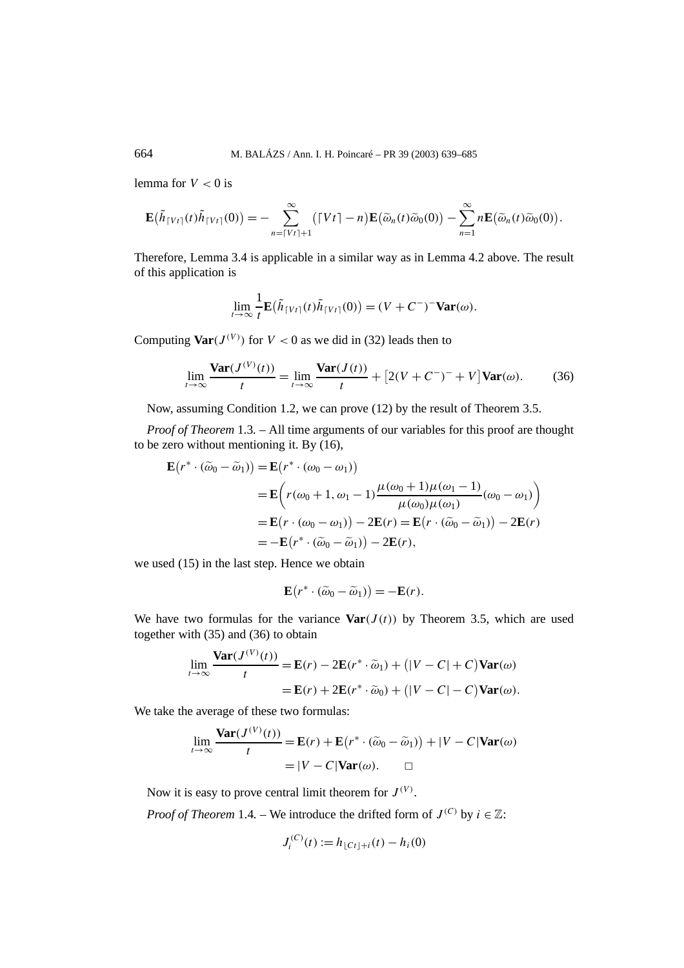lemma for  $V < 0$  is

$$
\mathbf{E}(\tilde{h}_{\lceil Vt\rceil}(t)\tilde{h}_{\lceil Vt\rceil}(0))=-\sum_{n=\lceil Vt\rceil+1}^{\infty}(\lceil Vt\rceil-n)\mathbf{E}(\tilde{\omega}_n(t)\tilde{\omega}_0(0))-\sum_{n=1}^{\infty}n\mathbf{E}(\tilde{\omega}_n(t)\tilde{\omega}_0(0)).
$$

Therefore, Lemma 3.4 is applicable in a similar way as in Lemma 4.2 above. The result of this application is

$$
\lim_{t\to\infty}\frac{1}{t}\mathbf{E}(\tilde{h}_{\lceil Vt\rceil}(t)\tilde{h}_{\lceil Vt\rceil}(0))=(V+C^-)^-\mathbf{Var}(\omega).
$$

Computing  $\text{Var}(J^{(V)})$  for  $V < 0$  as we did in (32) leads then to

$$
\lim_{t \to \infty} \frac{\text{Var}(J^{(V)}(t))}{t} = \lim_{t \to \infty} \frac{\text{Var}(J(t))}{t} + \left[2(V + C^{-})^{-} + V\right] \text{Var}(\omega). \tag{36}
$$

Now, assuming Condition 1.2, we can prove (12) by the result of Theorem 3.5.

*Proof of Theorem* 1.3*. –* All time arguments of our variables for this proof are thought to be zero without mentioning it. By (16),

$$
\mathbf{E}(r^* \cdot (\widetilde{\omega}_0 - \widetilde{\omega}_1)) = \mathbf{E}(r^* \cdot (\omega_0 - \omega_1))
$$
  
\n
$$
= \mathbf{E}\Big(r(\omega_0 + 1, \omega_1 - 1)\frac{\mu(\omega_0 + 1)\mu(\omega_1 - 1)}{\mu(\omega_0)\mu(\omega_1)}(\omega_0 - \omega_1)\Big)
$$
  
\n
$$
= \mathbf{E}(r \cdot (\omega_0 - \omega_1)) - 2\mathbf{E}(r) = \mathbf{E}(r \cdot (\widetilde{\omega}_0 - \widetilde{\omega}_1)) - 2\mathbf{E}(r)
$$
  
\n
$$
= -\mathbf{E}(r^* \cdot (\widetilde{\omega}_0 - \widetilde{\omega}_1)) - 2\mathbf{E}(r),
$$

we used (15) in the last step. Hence we obtain

$$
\mathbf{E}(r^*\cdot(\widetilde{\omega}_0-\widetilde{\omega}_1))=-\mathbf{E}(r).
$$

We have two formulas for the variance  $\text{Var}(J(t))$  by Theorem 3.5, which are used together with (35) and (36) to obtain

$$
\lim_{t \to \infty} \frac{\text{Var}(J^{(V)}(t))}{t} = \mathbf{E}(r) - 2\mathbf{E}(r^* \cdot \widetilde{\omega}_1) + (|V - C| + C)\text{Var}(\omega)
$$

$$
= \mathbf{E}(r) + 2\mathbf{E}(r^* \cdot \widetilde{\omega}_0) + (|V - C| - C)\text{Var}(\omega).
$$

We take the average of these two formulas:

$$
\lim_{t \to \infty} \frac{\text{Var}(J^{(V)}(t))}{t} = \mathbf{E}(r) + \mathbf{E}(r^* \cdot (\widetilde{\omega}_0 - \widetilde{\omega}_1)) + |V - C| \text{Var}(\omega)
$$

$$
= |V - C| \text{Var}(\omega). \qquad \Box
$$

Now it is easy to prove central limit theorem for  $J^{(V)}$ .

*Proof of Theorem* 1.4*.* – We introduce the drifted form of  $J^{(C)}$  by  $i \in \mathbb{Z}$ :

$$
J_i^{(C)}(t) := h_{\lfloor Ct\rfloor+i}(t) - h_i(0)
$$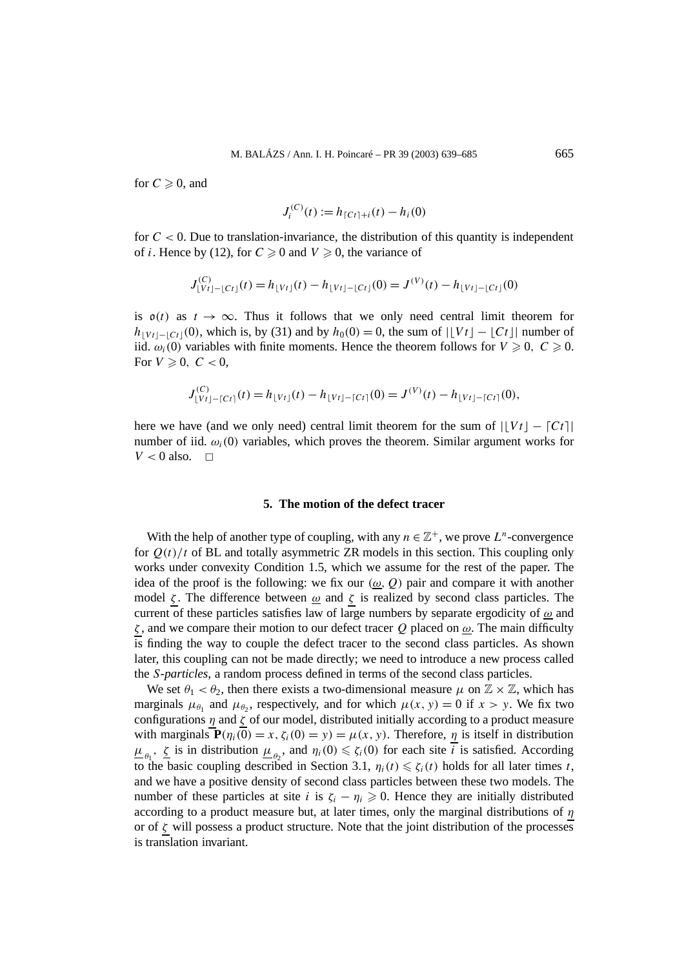for  $C \geqslant 0$ , and

$$
J_i^{(C)}(t) := h_{\lceil Ct\rceil+i}(t) - h_i(0)
$$

for  $C < 0$ . Due to translation-invariance, the distribution of this quantity is independent of *i*. Hence by (12), for  $C \ge 0$  and  $V \ge 0$ , the variance of

$$
J_{\lfloor Vt \rfloor - \lfloor Ct \rfloor}^{(C)}(t) = h_{\lfloor Vt \rfloor}(t) - h_{\lfloor Vt \rfloor - \lfloor Ct \rfloor}(0) = J^{(V)}(t) - h_{\lfloor Vt \rfloor - \lfloor Ct \rfloor}(0)
$$

is  $o(t)$  as  $t \to \infty$ . Thus it follows that we only need central limit theorem for  $h_{|V_t|-|C_t|}(0)$ , which is, by (31) and by  $h_0(0) = 0$ , the sum of  $|V_t| - |C_t|$  number of iid.  $\omega_i(0)$  variables with finite moments. Hence the theorem follows for  $V \ge 0$ ,  $C \ge 0$ . For  $V \geqslant 0$ ,  $C < 0$ ,

$$
J_{\lfloor Vt \rfloor - \lceil Ct \rceil}^{(C)}(t) = h_{\lfloor Vt \rfloor}(t) - h_{\lfloor Vt \rfloor - \lceil Ct \rceil}(0) = J^{(V)}(t) - h_{\lfloor Vt \rfloor - \lceil Ct \rceil}(0),
$$

here we have (and we only need) central limit theorem for the sum of  $|Vt| - |Ct|$ number of iid.  $\omega_i(0)$  variables, which proves the theorem. Similar argument works for  $V < 0$  also.  $\Box$ 

## **5. The motion of the defect tracer**

With the help of another type of coupling, with any  $n \in \mathbb{Z}^+$ , we prove  $L^n$ -convergence for  $Q(t)/t$  of BL and totally asymmetric ZR models in this section. This coupling only works under convexity Condition 1.5, which we assume for the rest of the paper. The idea of the proof is the following: we fix our  $(\omega, Q)$  pair and compare it with another model  $\zeta$ . The difference between  $\omega$  and  $\zeta$  is realized by second class particles. The current of these particles satisfies law of large numbers by separate ergodicity of *ω* and *ζ* , and we compare their motion to our defect tracer *Q* placed on *ω*. The main difficulty is finding the way to couple the defect tracer to the second class particles. As shown later, this coupling can not be made directly; we need to introduce a new process called the *S*-*particles*, a random process defined in terms of the second class particles.

We set  $\theta_1 < \theta_2$ , then there exists a two-dimensional measure  $\mu$  on  $\mathbb{Z} \times \mathbb{Z}$ , which has marginals  $\mu_{\theta_1}$  and  $\mu_{\theta_2}$ , respectively, and for which  $\mu(x, y) = 0$  if  $x > y$ . We fix two configurations *η* and *ζ* of our model, distributed initially according to a product measure with marginals  $P(\eta_i(0) = x, \zeta_i(0) = y) = \mu(x, y)$ . Therefore,  $\eta$  is itself in distribution  $\mu_{\theta_1}$ ,  $\zeta$  is in distribution  $\mu_{\theta_2}$ , and  $\eta_i(0) \leq \zeta_i(0)$  for each site *i* is satisfied. According to the basic coupling described in Section 3.1,  $\eta_i(t) \leq \zeta_i(t)$  holds for all later times *t*, and we have a positive density of second class particles between these two models. The number of these particles at site *i* is  $\zeta_i - \eta_i \geq 0$ . Hence they are initially distributed according to a product measure but, at later times, only the marginal distributions of *η* or of  $\zeta$  will possess a product structure. Note that the joint distribution of the processes is translation invariant.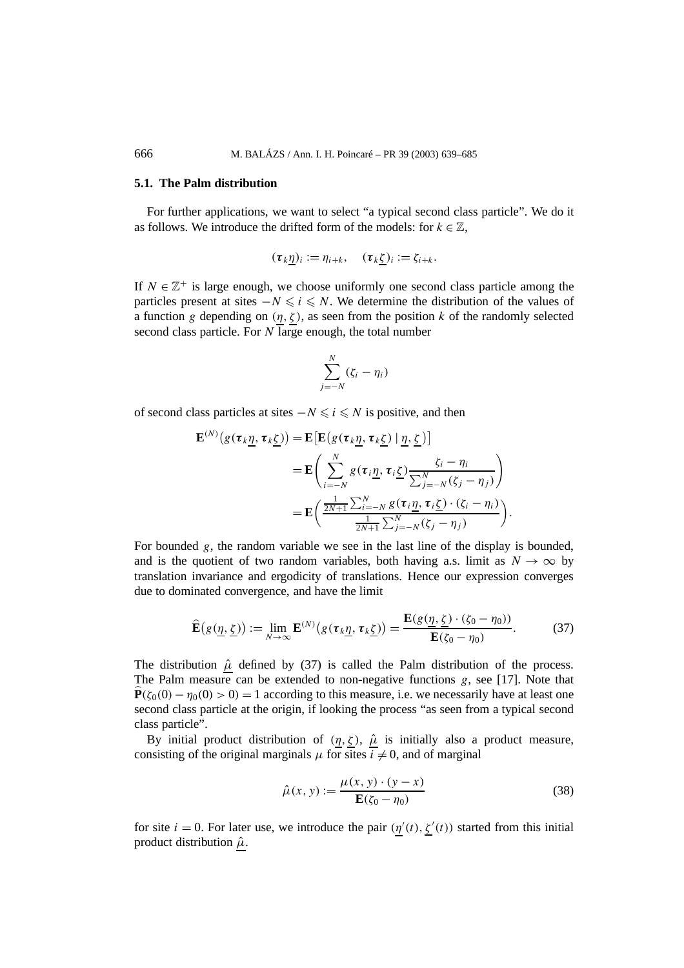#### **5.1. The Palm distribution**

For further applications, we want to select "a typical second class particle". We do it as follows. We introduce the drifted form of the models: for  $k \in \mathbb{Z}$ ,

$$
(\tau_k \underline{\eta})_i := \eta_{i+k}, \quad (\tau_k \underline{\zeta})_i := \zeta_{i+k}.
$$

If  $N \in \mathbb{Z}^+$  is large enough, we choose uniformly one second class particle among the particles present at sites  $-N \le i \le N$ . We determine the distribution of the values of a function *g* depending on  $(\eta, \zeta)$ , as seen from the position *k* of the randomly selected second class particle. For *N* large enough, the total number

$$
\sum_{j=-N}^{N}(\zeta_i-\eta_i)
$$

of second class particles at sites  $−N \le i \le N$  is positive, and then

$$
\mathbf{E}^{(N)}(g(\tau_k \underline{\eta}, \tau_k \underline{\zeta})) = \mathbf{E}[\mathbf{E}(g(\tau_k \underline{\eta}, \tau_k \underline{\zeta}) \mid \underline{\eta}, \underline{\zeta})]
$$
  
\n
$$
= \mathbf{E}\left(\sum_{i=-N}^{N} g(\tau_i \underline{\eta}, \tau_i \underline{\zeta}) \frac{\zeta_i - \eta_i}{\sum_{j=-N}^{N} (\zeta_j - \eta_j)}\right)
$$
  
\n
$$
= \mathbf{E}\left(\frac{\frac{1}{2N+1}\sum_{i=-N}^{N} g(\tau_i \underline{\eta}, \tau_i \underline{\zeta}) \cdot (\zeta_i - \eta_i)}{\frac{1}{2N+1}\sum_{j=-N}^{N} (\zeta_j - \eta_j)}\right).
$$

For bounded *g*, the random variable we see in the last line of the display is bounded, and is the quotient of two random variables, both having a.s. limit as  $N \to \infty$  by translation invariance and ergodicity of translations. Hence our expression converges due to dominated convergence, and have the limit

$$
\widehat{\mathbf{E}}(g(\underline{\eta},\underline{\zeta})) := \lim_{N \to \infty} \mathbf{E}^{(N)}(g(\tau_k \underline{\eta}, \tau_k \underline{\zeta})) = \frac{\mathbf{E}(g(\underline{\eta},\underline{\zeta}) \cdot (\zeta_0 - \eta_0))}{\mathbf{E}(\zeta_0 - \eta_0)}.
$$
(37)

The distribution  $\hat{\mu}$  defined by (37) is called the Palm distribution of the process. The Palm measure can be extended to non-negative functions *g*, see [17]. Note that  $\mathbf{P}(\zeta_0(0) - \eta_0(0) > 0) = 1$  according to this measure, i.e. we necessarily have at least one second class particle at the origin, if looking the process "as seen from a typical second class particle".

By initial product distribution of  $(\eta, \zeta)$ ,  $\hat{\mu}$  is initially also a product measure, consisting of the original marginals  $\mu$  for sites  $\overline{i} \neq 0$ , and of marginal

$$
\hat{\mu}(x, y) := \frac{\mu(x, y) \cdot (y - x)}{\mathbf{E}(\zeta_0 - \eta_0)}
$$
\n(38)

for site  $i = 0$ . For later use, we introduce the pair  $(\eta'(t), \zeta'(t))$  started from this initial product distribution  $\hat{\mu}$ .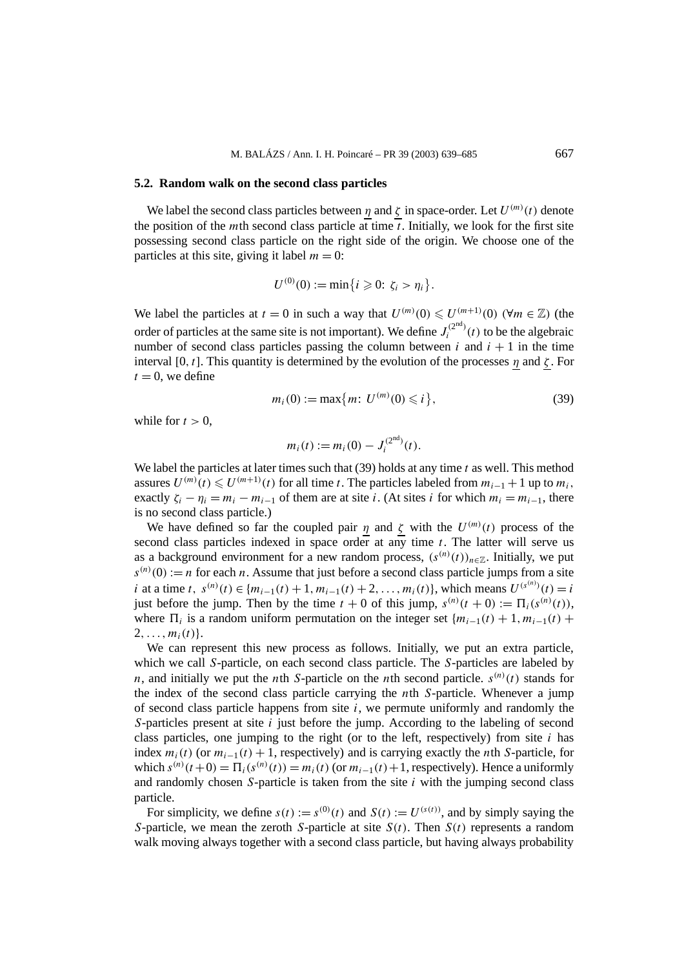#### **5.2. Random walk on the second class particles**

We label the second class particles between *η* and  $\zeta$  in space-order. Let  $U^{(m)}(t)$  denote the position of the *m*th second class particle at time  $\overline{t}$ . Initially, we look for the first site possessing second class particle on the right side of the origin. We choose one of the particles at this site, giving it label  $m = 0$ :

$$
U^{(0)}(0) := \min\{i \geq 0: \zeta_i > \eta_i\}.
$$

We label the particles at  $t = 0$  in such a way that  $U^{(m)}(0) \leq U^{(m+1)}(0)$  ( $\forall m \in \mathbb{Z}$ ) (the order of particles at the same site is not important). We define  $J_i^{(2nd)}(t)$  to be the algebraic number of second class particles passing the column between  $i$  and  $i + 1$  in the time interval [0, t]. This quantity is determined by the evolution of the processes  $\eta$  and  $\zeta$ . For  $t = 0$ , we define

$$
m_i(0) := \max\{m: \, U^{(m)}(0) \leq i\},\tag{39}
$$

while for  $t > 0$ .

$$
m_i(t) := m_i(0) - J_i^{(2nd)}(t).
$$

We label the particles at later times such that (39) holds at any time *t* as well. This method assures  $U^{(m)}(t)$  ≤  $U^{(m+1)}(t)$  for all time *t*. The particles labeled from  $m_{i-1} + 1$  up to  $m_i$ , exactly  $\zeta_i - \eta_i = m_i - m_{i-1}$  of them are at site *i*. (At sites *i* for which  $m_i = m_{i-1}$ , there is no second class particle.)

We have defined so far the coupled pair  $\eta$  and  $\zeta$  with the  $U^{(m)}(t)$  process of the second class particles indexed in space order at any time  $t$ . The latter will serve us as a background environment for a new random process,  $(s^{(n)}(t))_{n \in \mathbb{Z}}$ . Initially, we put  $s^{(n)}(0) := n$  for each *n*. Assume that just before a second class particle jumps from a site *i* at a time *t*,  $s^{(n)}(t) \in \{m_{i-1}(t) + 1, m_{i-1}(t) + 2, ..., m_i(t)\}$ , which means  $U^{(s^{(n)})}(t) = i$ just before the jump. Then by the time  $t + 0$  of this jump,  $s^{(n)}(t + 0) := \prod_i (s^{(n)}(t))$ , where  $\Pi_i$  is a random uniform permutation on the integer set { $m_{i-1}(t) + 1, m_{i-1}(t)$  +  $2, \ldots, m_i(t)$ .

We can represent this new process as follows. Initially, we put an extra particle, which we call *S*-particle, on each second class particle. The *S*-particles are labeled by *n*, and initially we put the *n*th *S*-particle on the *n*th second particle.  $s^{(n)}(t)$  stands for the index of the second class particle carrying the *n*th *S*-particle. Whenever a jump of second class particle happens from site *i*, we permute uniformly and randomly the *S*-particles present at site *i* just before the jump. According to the labeling of second class particles, one jumping to the right (or to the left, respectively) from site *i* has index  $m_i(t)$  (or  $m_{i-1}(t) + 1$ , respectively) and is carrying exactly the *n*th *S*-particle, for which  $s^{(n)}(t+0) = \prod_i (s^{(n)}(t)) = m_i(t)$  (or  $m_{i-1}(t) + 1$ , respectively). Hence a uniformly and randomly chosen *S*-particle is taken from the site *i* with the jumping second class particle.

For simplicity, we define  $s(t) := s^{(0)}(t)$  and  $S(t) := U^{(s(t))}$ , and by simply saying the *S*-particle, we mean the zeroth *S*-particle at site  $S(t)$ . Then  $S(t)$  represents a random walk moving always together with a second class particle, but having always probability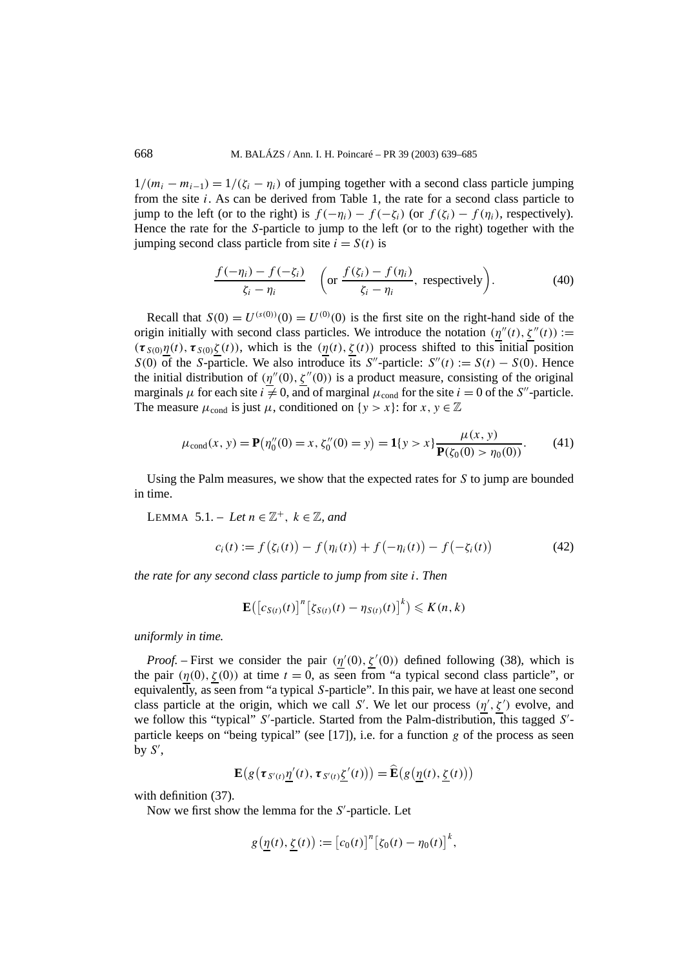$1/(m_i - m_{i-1}) = 1/(\zeta_i - \eta_i)$  of jumping together with a second class particle jumping from the site *i*. As can be derived from Table 1, the rate for a second class particle to jump to the left (or to the right) is  $f(-\eta_i) - f(-\zeta_i)$  (or  $f(\zeta_i) - f(\eta_i)$ , respectively). Hence the rate for the *S*-particle to jump to the left (or to the right) together with the jumping second class particle from site  $i = S(t)$  is

$$
\frac{f(-\eta_i) - f(-\zeta_i)}{\zeta_i - \eta_i} \quad \left( \text{or } \frac{f(\zeta_i) - f(\eta_i)}{\zeta_i - \eta_i}, \text{ respectively} \right). \tag{40}
$$

Recall that  $S(0) = U^{(s(0))}(0) = U^{(0)}(0)$  is the first site on the right-hand side of the origin initially with second class particles. We introduce the notation  $(\eta''(t), \zeta''(t)) :=$  $(\tau_{S(0)}\eta(t), \tau_{S(0)}\zeta(t))$ , which is the  $(\eta(t), \zeta(t))$  process shifted to this initial position *S*(0) of the *S*-particle. We also introduce its *S*"-particle:  $S''(t) := S(t) - S(0)$ . Hence the initial distribution of  $(\eta''(0), \zeta''(0))$  is a product measure, consisting of the original marginals  $\mu$  for each site  $i \neq 0$ , and of marginal  $\mu_{cond}$  for the site  $i = 0$  of the *S*<sup>"</sup>-particle. The measure  $\mu_{cond}$  is just  $\mu$ , conditioned on  $\{y > x\}$ : for  $x, y \in \mathbb{Z}$ 

$$
\mu_{\text{cond}}(x, y) = \mathbf{P}(\eta_0''(0) = x, \zeta_0''(0) = y) = \mathbf{1}\{y > x\} \frac{\mu(x, y)}{\mathbf{P}(\zeta_0(0) > \eta_0(0))}.
$$
 (41)

Using the Palm measures, we show that the expected rates for *S* to jump are bounded in time.

LEMMA 5.1. – Let  $n \in \mathbb{Z}^+$ ,  $k \in \mathbb{Z}$ , and

$$
c_i(t) := f(\zeta_i(t)) - f(\eta_i(t)) + f(-\eta_i(t)) - f(-\zeta_i(t))
$$
 (42)

*the rate for any second class particle to jump from site i. Then*

$$
\mathbf{E}\big(\big[c_{S(t)}(t)\big]^n\big[\zeta_{S(t)}(t)-\eta_{S(t)}(t)\big]^k\big)\leqslant K(n,k)
$$

*uniformly in time.*

*Proof.* – First we consider the pair  $(\eta'(0), \zeta'(0))$  defined following (38), which is the pair  $(\eta(0), \zeta(0))$  at time  $t = 0$ , as seen from "a typical second class particle", or equivalently, as seen from "a typical *S*-particle". In this pair, we have at least one second class particle at the origin, which we call *S'*. We let our process  $(\eta', \zeta')$  evolve, and we follow this "typical" *S'*-particle. Started from the Palm-distribution, this tagged *S'*particle keeps on "being typical" (see [17]), i.e. for a function *g* of the process as seen by  $S'$ ,

$$
\mathbf{E}\big(g\big(\tau_{S'(t)}\underline{\eta}'(t),\tau_{S'(t)}\underline{\zeta}'(t)\big)\big)=\widehat{\mathbf{E}}\big(g\big(\underline{\eta}(t),\underline{\zeta}(t)\big)\big)
$$

with definition (37).

Now we first show the lemma for the *S'*-particle. Let

$$
g\left(\underline{\eta}(t), \underline{\zeta}(t)\right) := \left[c_0(t)\right]^n \left[\zeta_0(t) - \eta_0(t)\right]^k,
$$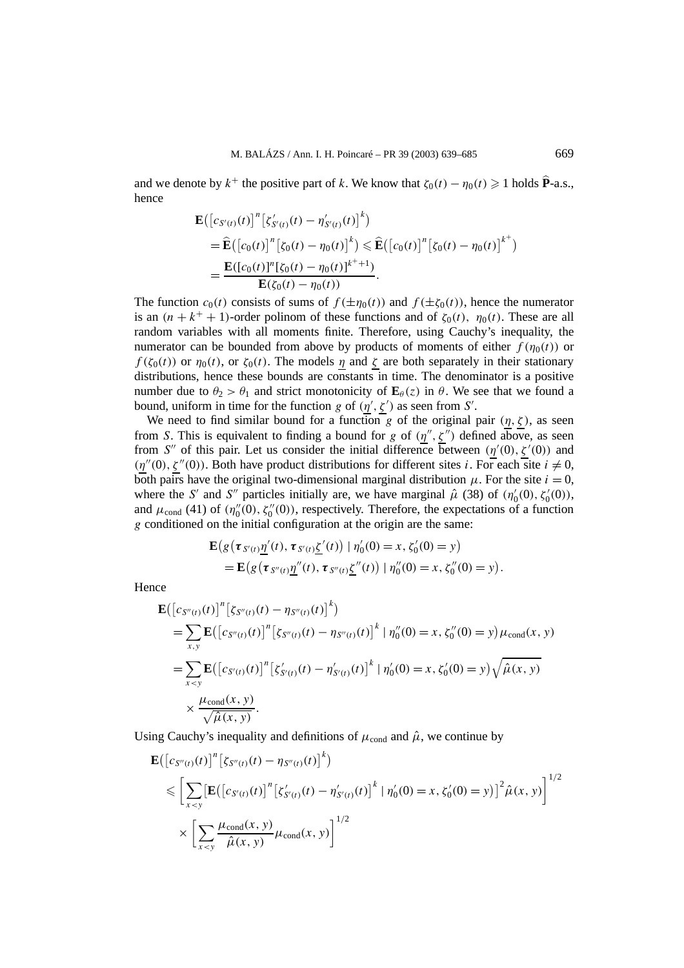and we denote by  $k^+$  the positive part of *k*. We know that  $\zeta_0(t) - \eta_0(t) \geq 1$  holds  $\hat{P}$ -a.s., hence

$$
\mathbf{E}\big(\big[c_{S'(t)}(t)\big]^n \big[\zeta'_{S'(t)}(t) - \eta'_{S'(t)}(t)\big]^k\big) \n= \widehat{\mathbf{E}}\big(\big[c_0(t)\big]^n \big[\zeta_0(t) - \eta_0(t)\big]^k\big) \leqslant \widehat{\mathbf{E}}\big(\big[c_0(t)\big]^n \big[\zeta_0(t) - \eta_0(t)\big]^{k^+}\big) \n= \frac{\mathbf{E}\big([c_0(t)]^n \big[\zeta_0(t) - \eta_0(t)\big]^{k^+ + 1}\big)}{\mathbf{E}(\zeta_0(t) - \eta_0(t))}.
$$

The function  $c_0(t)$  consists of sums of  $f(\pm \eta_0(t))$  and  $f(\pm \zeta_0(t))$ , hence the numerator is an  $(n + k<sup>+</sup> + 1)$ -order polinom of these functions and of  $\zeta_0(t)$ ,  $\eta_0(t)$ . These are all random variables with all moments finite. Therefore, using Cauchy's inequality, the numerator can be bounded from above by products of moments of either  $f(\eta_0(t))$  or  $f(\zeta_0(t))$  or  $\eta_0(t)$ , or  $\zeta_0(t)$ . The models  $\eta$  and  $\zeta$  are both separately in their stationary distributions, hence these bounds are constants in time. The denominator is a positive number due to  $\theta_2 > \theta_1$  and strict monotonicity of  $\mathbf{E}_{\theta}(z)$  in  $\theta$ . We see that we found a bound, uniform in time for the function *g* of  $(\eta', \zeta')$  as seen from *S'*.

We need to find similar bound for a function *g* of the original pair  $(\eta, \zeta)$ , as seen from *S*. This is equivalent to finding a bound for *g* of  $(\eta'', \zeta'')$  defined above, as seen from *S*<sup>"</sup> of this pair. Let us consider the initial difference between  $(\eta'(0), \zeta'(0))$  and  $(\eta''(0), \zeta''(0))$ . Both have product distributions for different sites *i*. For each site  $i \neq 0$ , both pairs have the original two-dimensional marginal distribution  $\mu$ . For the site  $i = 0$ , where the *S'* and *S''* particles initially are, we have marginal  $\hat{\mu}$  (38) of  $(\eta_0'(0), \zeta_0'(0))$ , and  $\mu_{\text{cond}}(41)$  of  $(\eta_0''(0), \zeta_0''(0))$ , respectively. Therefore, the expectations of a function *g* conditioned on the initial configuration at the origin are the same:

$$
\mathbf{E}\big(g\big(\tau_{S'(t)}\underline{\eta}'(t), \tau_{S'(t)}\underline{\zeta}'(t)\big) | \eta'_0(0) = x, \zeta'_0(0) = y\big) \n= \mathbf{E}\big(g\big(\tau_{S''(t)}\underline{\eta}''(t), \tau_{S''(t)}\underline{\zeta}''(t)\big) | \eta''_0(0) = x, \zeta''_0(0) = y\big).
$$

Hence

$$
\mathbf{E}\left(\left[c_{S''(t)}(t)\right]^n\left[\zeta_{S''(t)}(t) - \eta_{S''(t)}(t)\right]^k\right) \n= \sum_{x,y} \mathbf{E}\left(\left[c_{S''(t)}(t)\right]^n\left[\zeta_{S''(t)}(t) - \eta_{S''(t)}(t)\right]^k | \eta''_0(0) = x, \zeta''_0(0) = y\right) \mu_{cond}(x, y) \n= \sum_{x < y} \mathbf{E}\left(\left[c_{S'(t)}(t)\right]^n\left[\zeta'_{S'(t)}(t) - \eta'_{S'(t)}(t)\right]^k | \eta'_0(0) = x, \zeta'_0(0) = y\right) \sqrt{\hat{\mu}(x, y)} \n\times \frac{\mu_{cond}(x, y)}{\sqrt{\hat{\mu}(x, y)}}.
$$

Using Cauchy's inequality and definitions of  $\mu_{\text{cond}}$  and  $\hat{\mu}$ , we continue by

$$
\mathbf{E}\left(\left[c_{S''(t)}(t)\right]^{n}\left[\zeta_{S''(t)}(t) - \eta_{S''(t)}(t)\right]^{k}\right)
$$
\n
$$
\leqslant \left[\sum_{x < y}\left[\mathbf{E}\left(\left[c_{S'(t)}(t)\right]^{n}\left[\zeta'_{S'(t)}(t) - \eta'_{S'(t)}(t)\right]^{k} \mid \eta'_{0}(0) = x, \zeta'_{0}(0) = y\right]\right]^{2} \hat{\mu}(x, y)\right]^{1/2}
$$
\n
$$
\times \left[\sum_{x < y}\frac{\mu_{\text{cond}}(x, y)}{\hat{\mu}(x, y)}\mu_{\text{cond}}(x, y)\right]^{1/2}
$$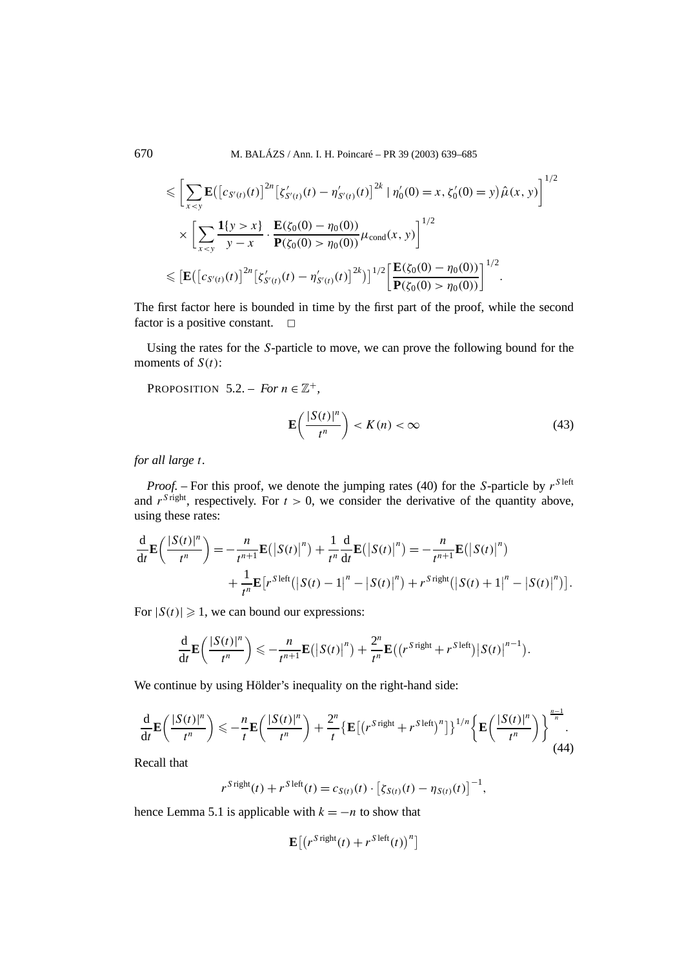670 M. BALÁZS / Ann. I. H. Poincaré – PR 39 (2003) 639–685

$$
\leqslant \left[ \sum_{x < y} \mathbf{E} \big( \big[ c_{S'(t)}(t) \big]^{2n} \big[ \zeta'_{S'(t)}(t) - \eta'_{S'(t)}(t) \big]^{2k} \mid \eta'_{0}(0) = x, \zeta'_{0}(0) = y \big) \hat{\mu}(x, y) \right]^{1/2}
$$
\n
$$
\times \left[ \sum_{x < y} \frac{\mathbf{1}\{y > x\}}{y - x} \cdot \frac{\mathbf{E}(\zeta_{0}(0) - \eta_{0}(0))}{\mathbf{P}(\zeta_{0}(0) > \eta_{0}(0))} \mu_{cond}(x, y) \right]^{1/2}
$$
\n
$$
\leqslant \left[ \mathbf{E} \big( \big[ c_{S'(t)}(t) \big]^{2n} \big[ \zeta'_{S'(t)}(t) - \eta'_{S'(t)}(t) \big]^{2k} \big]^{1/2} \left[ \frac{\mathbf{E}(\zeta_{0}(0) - \eta_{0}(0))}{\mathbf{P}(\zeta_{0}(0) > \eta_{0}(0))} \right]^{1/2}.
$$

The first factor here is bounded in time by the first part of the proof, while the second factor is a positive constant.  $\Box$ 

Using the rates for the *S*-particle to move, we can prove the following bound for the moments of *S(t)*:

PROPOSITION 5.2. – *For*  $n \in \mathbb{Z}^+$ ,

$$
\mathbf{E}\left(\frac{|S(t)|^n}{t^n}\right) < K(n) < \infty \tag{43}
$$

*for all large t.*

*Proof.* – For this proof, we denote the jumping rates (40) for the *S*-particle by  $r^{S \text{ left}}$ and  $r^{S}$  right, respectively. For  $t > 0$ , we consider the derivative of the quantity above, using these rates:

$$
\frac{\mathrm{d}}{\mathrm{d}t} \mathbf{E} \left( \frac{|S(t)|^n}{t^n} \right) = -\frac{n}{t^{n+1}} \mathbf{E} \left( \left| S(t) \right|^n \right) + \frac{1}{t^n} \frac{\mathrm{d}}{\mathrm{d}t} \mathbf{E} \left( \left| S(t) \right|^n \right) = -\frac{n}{t^{n+1}} \mathbf{E} \left( \left| S(t) \right|^n \right) \n+ \frac{1}{t^n} \mathbf{E} \left[ r^{S \text{ left}} \left( \left| S(t) - 1 \right|^n - \left| S(t) \right|^n \right) + r^{S \text{ right}} \left( \left| S(t) + 1 \right|^n - \left| S(t) \right|^n \right) \right].
$$

For  $|S(t)| \geq 1$ , we can bound our expressions:

$$
\frac{\mathrm{d}}{\mathrm{d}t} \mathbf{E}\left(\frac{|S(t)|^n}{t^n}\right) \leqslant -\frac{n}{t^{n+1}} \mathbf{E}\left(\left|S(t)\right|^n\right) + \frac{2^n}{t^n} \mathbf{E}\left(\left(r^{S \text{ right}} + r^{S \text{ left}}\right)\left|S(t)\right|^{n-1}\right).
$$

We continue by using Hölder's inequality on the right-hand side:

$$
\frac{\mathrm{d}}{\mathrm{d}t} \mathbf{E}\left(\frac{|S(t)|^n}{t^n}\right) \leqslant -\frac{n}{t} \mathbf{E}\left(\frac{|S(t)|^n}{t^n}\right) + \frac{2^n}{t} \left\{ \mathbf{E}\left[\left(r^{S \text{ right}} + r^{S \text{ left}}\right)^n\right] \right\}^{1/n} \left\{ \mathbf{E}\left(\frac{|S(t)|^n}{t^n}\right) \right\}^{\frac{n-1}{n}}.\tag{44}
$$

Recall that

$$
r^{S\,\text{right}}(t) + r^{S\,\text{left}}(t) = c_{S(t)}(t) \cdot \left[ \zeta_{S(t)}(t) - \eta_{S(t)}(t) \right]^{-1},
$$

hence Lemma 5.1 is applicable with  $k = -n$  to show that

$$
\mathbf{E}\big[\big(r^{S\,\mathrm{right}}(t)+r^{S\,\mathrm{left}}(t)\big)^n\big]
$$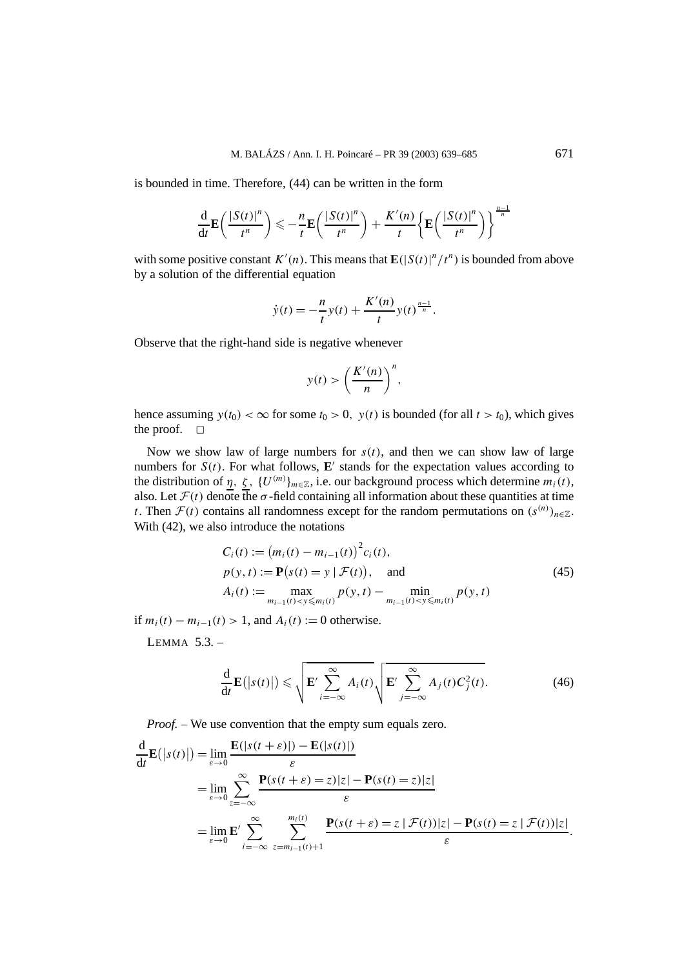is bounded in time. Therefore, (44) can be written in the form

$$
\frac{\mathrm{d}}{\mathrm{d}t} \mathbf{E}\left(\frac{|S(t)|^n}{t^n}\right) \leqslant -\frac{n}{t} \mathbf{E}\left(\frac{|S(t)|^n}{t^n}\right) + \frac{K'(n)}{t} \left\{ \mathbf{E}\left(\frac{|S(t)|^n}{t^n}\right) \right\}^{\frac{n-1}{n}}
$$

with some positive constant  $K'(n)$ . This means that  $\mathbf{E}(|S(t)|^n / t^n)$  is bounded from above by a solution of the differential equation

$$
\dot{y}(t) = -\frac{n}{t}y(t) + \frac{K'(n)}{t}y(t)^{\frac{n-1}{n}}.
$$

Observe that the right-hand side is negative whenever

$$
y(t) > \left(\frac{K'(n)}{n}\right)^n,
$$

hence assuming  $y(t_0) < \infty$  for some  $t_0 > 0$ ,  $y(t)$  is bounded (for all  $t > t_0$ ), which gives the proof.  $\square$ 

Now we show law of large numbers for  $s(t)$ , and then we can show law of large numbers for  $S(t)$ . For what follows, **E**' stands for the expectation values according to the distribution of  $\eta$ ,  $\zeta$ ,  $\{U^{(m)}\}_{m\in\mathbb{Z}}$ , i.e. our background process which determine  $m_i(t)$ , also. Let  $\mathcal{F}(t)$  denote the  $\sigma$ -field containing all information about these quantities at time *t*. Then  $\mathcal{F}(t)$  contains all randomness except for the random permutations on  $(s^{(n)})_{n\in\mathbb{Z}}$ . With  $(42)$ , we also introduce the notations

$$
C_i(t) := (m_i(t) - m_{i-1}(t))^2 c_i(t),
$$
  
\n
$$
p(y, t) := \mathbf{P}(s(t) = y | \mathcal{F}(t)),
$$
 and  
\n
$$
A_i(t) := \max_{m_{i-1}(t) < y \le m_i(t)} p(y, t) - \min_{m_{i-1}(t) < y \le m_i(t)} p(y, t)
$$
\n(45)

if *m<sub>i</sub>*(*t*) − *m<sub>i−1</sub>*(*t*) > 1, and *A<sub>i</sub>*(*t*) := 0 otherwise.

LEMMA  $5.3.$  –

$$
\frac{\mathrm{d}}{\mathrm{d}t} \mathbf{E}(|s(t)|) \leqslant \sqrt{\mathbf{E}' \sum_{i=-\infty}^{\infty} A_i(t)} \sqrt{\mathbf{E}' \sum_{j=-\infty}^{\infty} A_j(t) C_j^2(t)}.
$$
\n(46)

*Proof. –* We use convention that the empty sum equals zero.

$$
\frac{d}{dt} \mathbf{E}(|s(t)|) = \lim_{\varepsilon \to 0} \frac{\mathbf{E}(|s(t + \varepsilon)|) - \mathbf{E}(|s(t)|)}{\varepsilon}
$$
\n
$$
= \lim_{\varepsilon \to 0} \sum_{z = -\infty}^{\infty} \frac{\mathbf{P}(s(t + \varepsilon)) - \mathbf{E}(|s(t)|)}{\varepsilon}
$$
\n
$$
= \lim_{\varepsilon \to 0} \mathbf{E}' \sum_{i = -\infty}^{\infty} \sum_{z = m_{i-1}(t) + 1}^{m_i(t)} \frac{\mathbf{P}(s(t + \varepsilon)) - \mathbf{P}(s(t)}{\varepsilon}
$$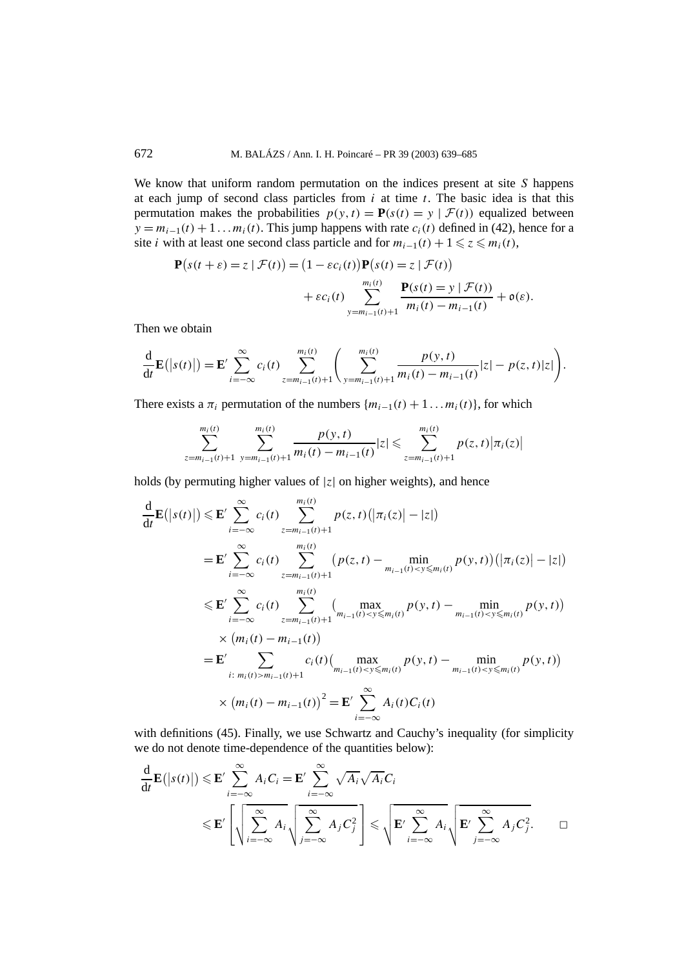We know that uniform random permutation on the indices present at site *S* happens at each jump of second class particles from *i* at time *t*. The basic idea is that this permutation makes the probabilities  $p(y, t) = P(s(t) = y | \mathcal{F}(t))$  equalized between  $y = m_{i-1}(t) + 1 \dots m_i(t)$ . This jump happens with rate  $c_i(t)$  defined in (42), hence for a site *i* with at least one second class particle and for  $m_{i-1}(t) + 1 \leq z \leq m_i(t)$ ,

$$
\mathbf{P}(s(t+\varepsilon)=z \mid \mathcal{F}(t)) = (1-\varepsilon c_i(t))\mathbf{P}(s(t)=z \mid \mathcal{F}(t)) \n+ \varepsilon c_i(t) \sum_{y=m_{i-1}(t)+1}^{m_i(t)} \frac{\mathbf{P}(s(t)=y \mid \mathcal{F}(t))}{m_i(t)-m_{i-1}(t)} + o(\varepsilon).
$$

Then we obtain

$$
\frac{\mathrm{d}}{\mathrm{d}t}\mathbf{E}(|s(t)|)=\mathbf{E}'\sum_{i=-\infty}^{\infty}c_i(t)\sum_{z=m_{i-1}(t)+1}^{m_i(t)}\left(\sum_{y=m_{i-1}(t)+1}^{m_i(t)}\frac{p(y,t)}{m_i(t)-m_{i-1}(t)}|z|-p(z,t)|z|\right).
$$

There exists a  $\pi_i$  permutation of the numbers  $\{m_{i-1}(t) + 1 \dots m_i(t)\}\$ , for which

$$
\sum_{z=m_{i-1}(t)+1}^{m_i(t)} \sum_{y=m_{i-1}(t)+1}^{m_i(t)} \frac{p(y,t)}{m_i(t)-m_{i-1}(t)}|z| \leqslant \sum_{z=m_{i-1}(t)+1}^{m_i(t)} p(z,t) |\pi_i(z)|
$$

holds (by permuting higher values of  $|z|$  on higher weights), and hence

$$
\frac{d}{dt}\mathbf{E}(|s(t)|) \leq \mathbf{E}' \sum_{i=-\infty}^{\infty} c_i(t) \sum_{z=m_{i-1}(t)+1}^{m_i(t)} p(z, t) (|\pi_i(z)| - |z|)
$$
\n
$$
= \mathbf{E}' \sum_{i=-\infty}^{\infty} c_i(t) \sum_{z=m_{i-1}(t)+1}^{m_i(t)} (p(z, t) - \min_{m_{i-1}(t) < y \leq m_i(t)} p(y, t)) (|\pi_i(z)| - |z|)
$$
\n
$$
\leq \mathbf{E}' \sum_{i=-\infty}^{\infty} c_i(t) \sum_{z=m_{i-1}(t)+1}^{m_i(t)} (\max_{m_{i-1}(t) < y \leq m_i(t)} p(y, t) - \min_{m_{i-1}(t) < y \leq m_i(t)} p(y, t))
$$
\n
$$
\times (m_i(t) - m_{i-1}(t))
$$
\n
$$
= \mathbf{E}' \sum_{i:\ m_i(t) > m_{i-1}(t)+1}^{m_i(t) + m_{i-1}(t) < y \leq m_i(t)} p(y, t) - \min_{m_{i-1}(t) < y \leq m_i(t)} p(y, t))
$$
\n
$$
\times (m_i(t) - m_{i-1}(t))^2 = \mathbf{E}' \sum_{i=-\infty}^{\infty} A_i(t) C_i(t)
$$

with definitions (45). Finally, we use Schwartz and Cauchy's inequality (for simplicity we do not denote time-dependence of the quantities below):

$$
\frac{d}{dt}\mathbf{E}(|s(t)|) \leqslant \mathbf{E}' \sum_{i=-\infty}^{\infty} A_i C_i = \mathbf{E}' \sum_{i=-\infty}^{\infty} \sqrt{A_i} \sqrt{A_i} C_i
$$
\n
$$
\leqslant \mathbf{E}' \left[ \sqrt{\sum_{i=-\infty}^{\infty} A_i} \sqrt{\sum_{j=-\infty}^{\infty} A_j C_j^2} \right] \leqslant \sqrt{\mathbf{E}' \sum_{i=-\infty}^{\infty} A_i} \sqrt{\mathbf{E}' \sum_{j=-\infty}^{\infty} A_j C_j^2}.\qquad \Box
$$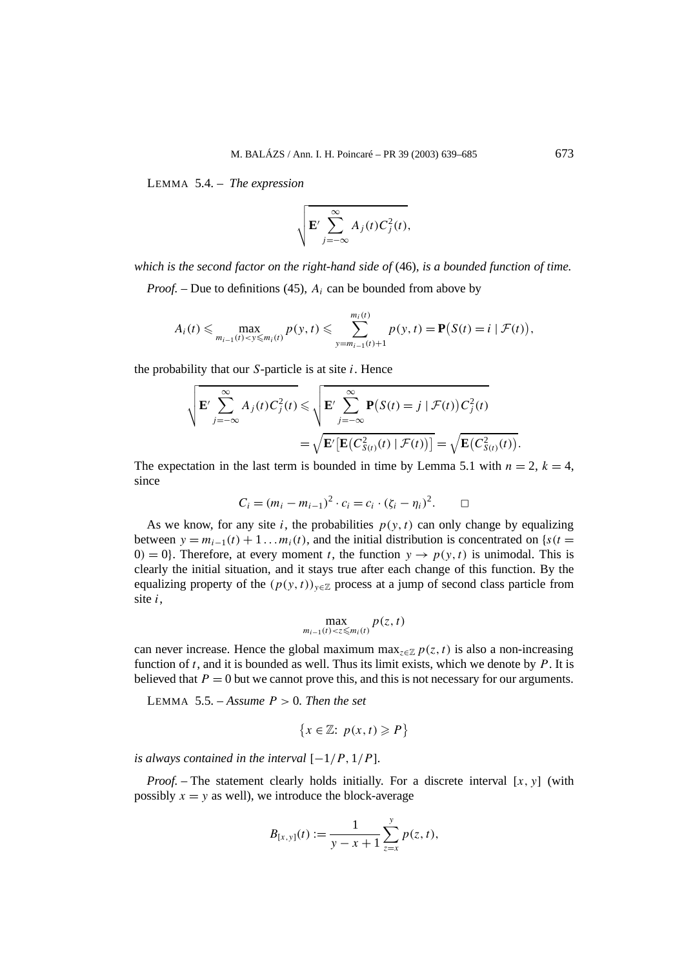LEMMA 5.4. – *The expression*

$$
\sqrt{\mathbf{E}'\sum_{j=-\infty}^{\infty}A_j(t)C_j^2(t)},
$$

*which is the second factor on the right-hand side of* (46)*, is a bounded function of time.*

*Proof. –* Due to definitions (45), *Ai* can be bounded from above by

$$
A_i(t) \leq \max_{m_{i-1}(t) < y \leq m_i(t)} p(y, t) \leq \sum_{y=m_{i-1}(t)+1}^{m_i(t)} p(y, t) = \mathbf{P}(S(t) = i \mid \mathcal{F}(t)),
$$

the probability that our *S*-particle is at site *i*. Hence

$$
\sqrt{\mathbf{E}' \sum_{j=-\infty}^{\infty} A_j(t) C_j^2(t)} \leqslant \sqrt{\mathbf{E}' \sum_{j=-\infty}^{\infty} \mathbf{P}(S(t) = j \mid \mathcal{F}(t)) C_j^2(t)}
$$

$$
= \sqrt{\mathbf{E}' [\mathbf{E}(C_{S(t)}^2(t) \mid \mathcal{F}(t))] } = \sqrt{\mathbf{E}(C_{S(t)}^2(t))}.
$$

The expectation in the last term is bounded in time by Lemma 5.1 with  $n = 2$ ,  $k = 4$ , since

$$
C_i = (m_i - m_{i-1})^2 \cdot c_i = c_i \cdot (\zeta_i - \eta_i)^2.
$$

As we know, for any site *i*, the probabilities  $p(y, t)$  can only change by equalizing between  $y = m_{i-1}(t) + 1 \dots m_i(t)$ , and the initial distribution is concentrated on {*s(t* = 0*)* = 0*}*. Therefore, at every moment *t*, the function  $y \rightarrow p(y, t)$  is unimodal. This is clearly the initial situation, and it stays true after each change of this function. By the equalizing property of the  $(p(y, t))_{y \in \mathbb{Z}}$  process at a jump of second class particle from site *i*,

$$
\max_{m_{i-1}(t)<\leq \leq m_i(t)} p(z,t)
$$

can never increase. Hence the global maximum max<sub> $z \in \mathbb{Z}$ </sub>  $p(z, t)$  is also a non-increasing function of *t*, and it is bounded as well. Thus its limit exists, which we denote by *P*. It is believed that  $P = 0$  but we cannot prove this, and this is not necessary for our arguments.

LEMMA 5.5. – Assume  $P > 0$ . Then the set

$$
\{x \in \mathbb{Z} : p(x, t) \geq P\}
$$

*is always contained in the interval*  $[-1/P, 1/P]$ *.* 

*Proof.* – The statement clearly holds initially. For a discrete interval  $[x, y]$  (with possibly  $x = y$  as well), we introduce the block-average

$$
B_{[x,y]}(t) := \frac{1}{y - x + 1} \sum_{z=x}^{y} p(z,t),
$$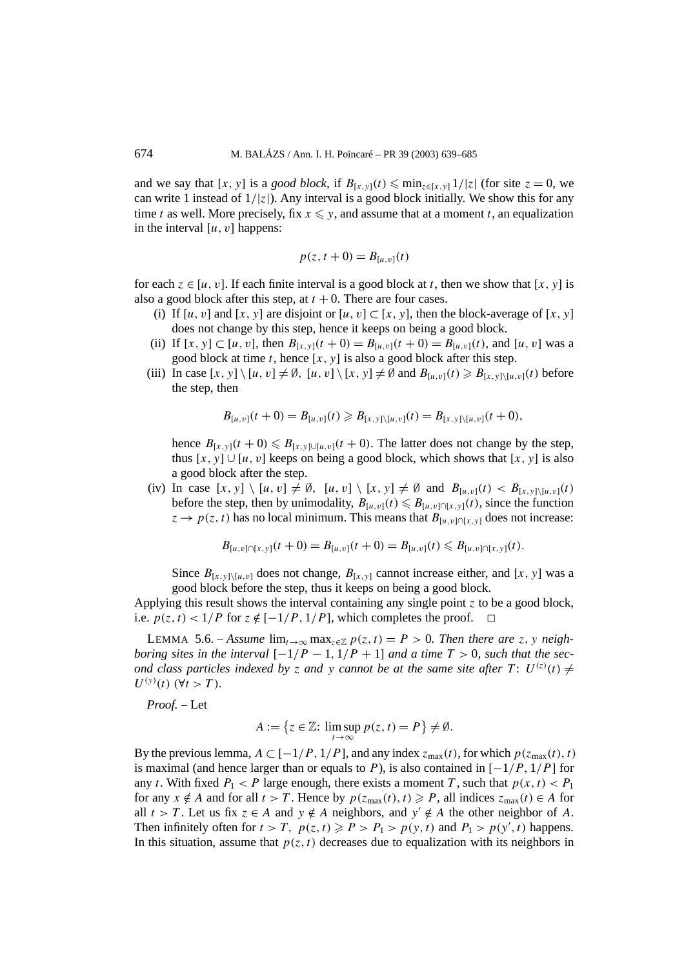and we say that [*x, y*] is a *good block*, if  $B_{[x,y]}(t) \leq \min_{z \in [x,y]} 1/|z|$  (for site  $z = 0$ , we can write 1 instead of  $1/|z|$ ). Any interval is a good block initially. We show this for any time *t* as well. More precisely, fix  $x \leq y$ , and assume that at a moment *t*, an equalization in the interval  $[u, v]$  happens:

$$
p(z, t+0) = B_{[u,v]}(t)
$$

for each  $z \in [u, v]$ . If each finite interval is a good block at *t*, then we show that [*x*, y] is also a good block after this step, at  $t + 0$ . There are four cases.

- (i) If  $[u, v]$  and  $[x, y]$  are disjoint or  $[u, v] \subset [x, y]$ , then the block-average of  $[x, y]$ does not change by this step, hence it keeps on being a good block.
- (ii) If  $[x, y] \subset [u, v]$ , then  $B_{[x, y]}(t + 0) = B_{[u, v]}(t + 0) = B_{[u, v]}(t)$ , and  $[u, v]$  was a good block at time  $t$ , hence  $[x, y]$  is also a good block after this step.
- (iii) In case  $[x, y] \setminus [u, v] \neq \emptyset$ ,  $[u, v] \setminus [x, y] \neq \emptyset$  and  $B_{[u, v]}(t) \geq B_{[x, y] \setminus [u, v]}(t)$  before the step, then

$$
B_{[u,v]}(t+0) = B_{[u,v]}(t) \geq B_{[x,y]\setminus [u,v]}(t) = B_{[x,y]\setminus [u,v]}(t+0),
$$

hence  $B_{[x,y]}(t+0) \le B_{[x,y] \cup [u,y]}(t+0)$ . The latter does not change by the step, thus  $[x, y] ∪ [u, v]$  keeps on being a good block, which shows that  $[x, y]$  is also a good block after the step.

(iv) In case  $[x, y] \setminus [u, v] \neq \emptyset$ ,  $[u, v] \setminus [x, y] \neq \emptyset$  and  $B_{[u, v]}(t) < B_{[x, y] \setminus [u, v]}(t)$ before the step, then by unimodality,  $B_{[u,v]}(t) \leq B_{[u,v]\cap [x,y]}(t)$ , since the function  $z \rightarrow p(z, t)$  has no local minimum. This means that  $B_{[u, v] \cap [x, y]}$  does not increase:

$$
B_{[u,v]\cap[x,y]}(t+0)=B_{[u,v]}(t+0)=B_{[u,v]}(t)\leq B_{[u,v]\cap[x,y]}(t).
$$

Since  $B_{[x,y]\setminus [u,v]}$  does not change,  $B_{[x,y]}$  cannot increase either, and [x, y] was a good block before the step, thus it keeps on being a good block.

Applying this result shows the interval containing any single point  $\zeta$  to be a good block, i.e.  $p(z, t) < 1/P$  for  $z \notin [-1/P, 1/P]$ , which completes the proof.  $\Box$ 

LEMMA 5.6. – *Assume*  $\lim_{t\to\infty} \max_{z\in\mathbb{Z}} p(z,t) = P > 0$ . Then there are *z*, *y* neigh*boring sites in the interval*  $[-1/P - 1, 1/P + 1]$  *and a time*  $T > 0$ *, such that the second class particles indexed by z and y cannot be at the same site after*  $T: U^{(z)}(t) \neq$  $U^{(y)}(t)$  ( $\forall t > T$ )*.* 

*Proof. –* Let

$$
A := \{ z \in \mathbb{Z} : \limsup_{t \to \infty} p(z, t) = P \} \neq \emptyset.
$$

By the previous lemma,  $A \subset [-1/P, 1/P]$ , and any index  $z_{\text{max}}(t)$ , for which  $p(z_{\text{max}}(t), t)$ is maximal (and hence larger than or equals to *P*), is also contained in [−1*/P ,* 1*/P*] for any *t*. With fixed  $P_1 < P$  large enough, there exists a moment *T*, such that  $p(x, t) < P_1$ for any  $x \notin A$  and for all  $t > T$ . Hence by  $p(z_{max}(t), t) \geq P$ , all indices  $z_{max}(t) \in A$  for all  $t > T$ . Let us fix  $z \in A$  and  $y \notin A$  neighbors, and  $y' \notin A$  the other neighbor of A. Then infinitely often for  $t > T$ ,  $p(z, t) \ge P > P_1 > p(y, t)$  and  $P_1 > p(y', t)$  happens. In this situation, assume that  $p(z, t)$  decreases due to equalization with its neighbors in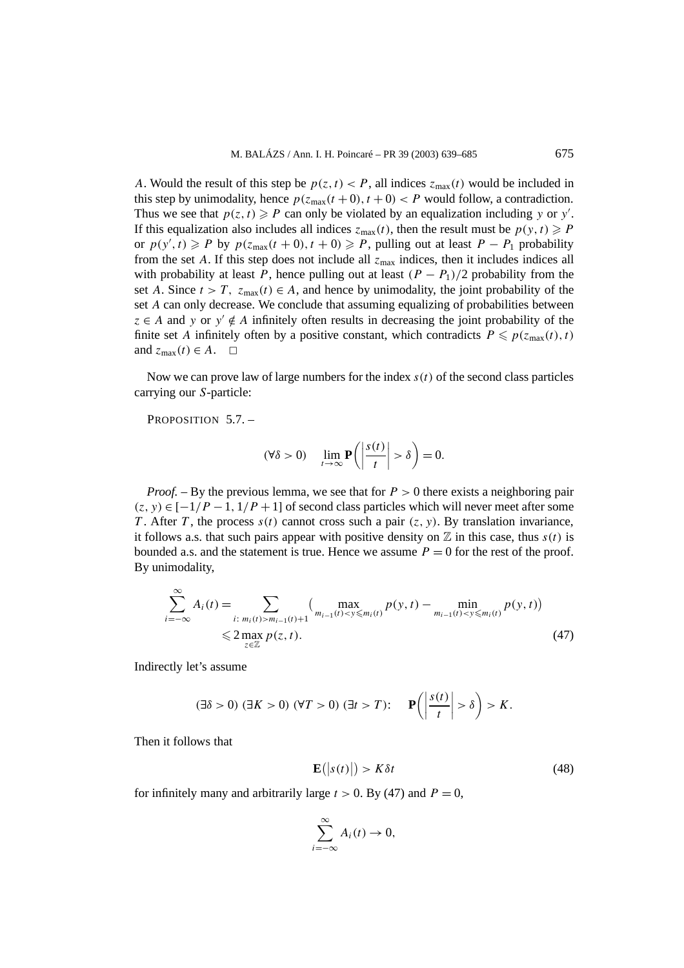*A*. Would the result of this step be  $p(z, t) < P$ , all indices  $z_{\text{max}}(t)$  would be included in this step by unimodality, hence  $p(z_{\text{max}}(t+0), t+0) < P$  would follow, a contradiction. Thus we see that  $p(z, t) \geq P$  can only be violated by an equalization including *y* or *y'*. If this equalization also includes all indices  $z_{\text{max}}(t)$ , then the result must be  $p(y, t) \geq P$ or  $p(y', t) \geq P$  by  $p(z_{max}(t + 0), t + 0) \geq P$ , pulling out at least  $P - P_1$  probability from the set *A*. If this step does not include all  $z_{\text{max}}$  indices, then it includes indices all with probability at least *P*, hence pulling out at least  $(P - P_1)/2$  probability from the set *A*. Since  $t > T$ ,  $z_{\text{max}}(t) \in A$ , and hence by unimodality, the joint probability of the set *A* can only decrease. We conclude that assuming equalizing of probabilities between  $z \in A$  and *y* or  $y' \notin A$  infinitely often results in decreasing the joint probability of the finite set *A* infinitely often by a positive constant, which contradicts  $P \leq p(z_{\text{max}}(t), t)$ and  $z_{\text{max}}(t) \in A$ .  $\Box$ 

Now we can prove law of large numbers for the index  $s(t)$  of the second class particles carrying our *S*-particle:

PROPOSITION 5.7. -

$$
(\forall \delta > 0) \quad \lim_{t \to \infty} \mathbf{P}\left(\left|\frac{s(t)}{t}\right| > \delta\right) = 0.
$$

*Proof. –* By the previous lemma, we see that for *P >* 0 there exists a neighboring pair  $(z, y) \in [-1/P - 1, 1/P + 1]$  of second class particles which will never meet after some *T* . After *T* , the process *s(t)* cannot cross such a pair *(z, y)*. By translation invariance, it follows a.s. that such pairs appear with positive density on  $\mathbb Z$  in this case, thus  $s(t)$  is bounded a.s. and the statement is true. Hence we assume  $P = 0$  for the rest of the proof. By unimodality,

$$
\sum_{i=-\infty}^{\infty} A_i(t) = \sum_{\substack{i:\ m_i(t) > m_{i-1}(t) + 1}} \left( \max_{m_{i-1}(t) < y \le m_i(t)} p(y, t) - \min_{m_{i-1}(t) < y \le m_i(t)} p(y, t) \right) \le 2 \max_{z \in \mathbb{Z}} p(z, t).
$$
\n(47)

Indirectly let's assume

$$
(\exists \delta > 0) \; (\exists K > 0) \; (\forall T > 0) \; (\exists t > T) \colon \quad \mathbf{P}\left(\left|\frac{s(t)}{t}\right| > \delta\right) > K.
$$

Then it follows that

$$
\mathbf{E}(|s(t)|) > K\delta t \tag{48}
$$

for infinitely many and arbitrarily large  $t > 0$ . By (47) and  $P = 0$ ,

$$
\sum_{i=-\infty}^{\infty} A_i(t) \to 0,
$$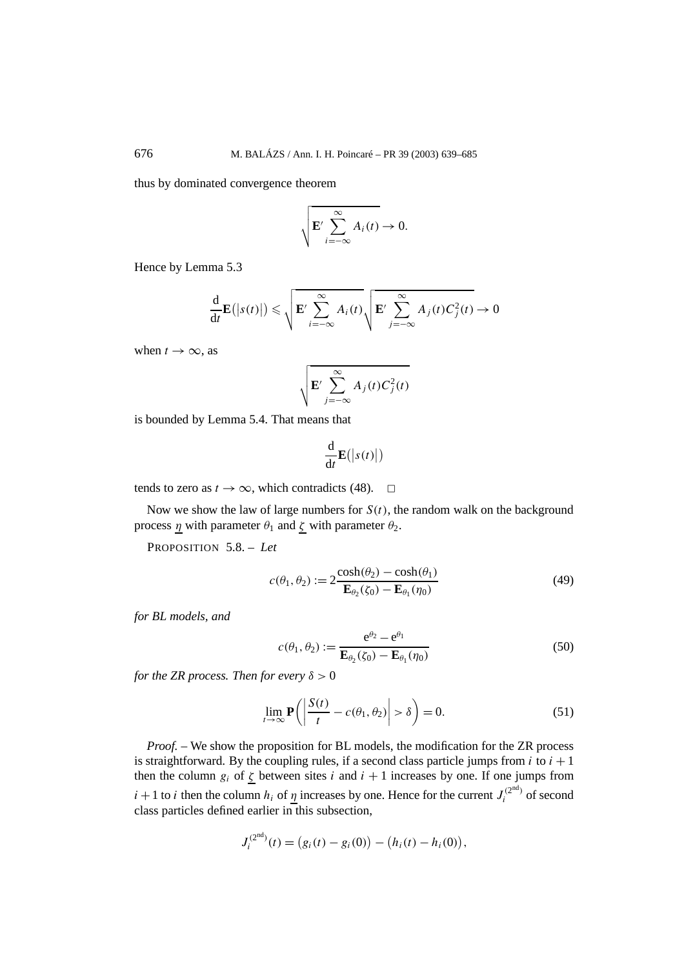thus by dominated convergence theorem

$$
\sqrt{\mathbf{E}'\sum_{i=-\infty}^{\infty}A_i(t)}\to 0.
$$

Hence by Lemma 5.3

$$
\frac{\mathrm{d}}{\mathrm{d}t} \mathbf{E}(|s(t)|) \leqslant \sqrt{\mathbf{E}' \sum_{i=-\infty}^{\infty} A_i(t)} \sqrt{\mathbf{E}' \sum_{j=-\infty}^{\infty} A_j(t) C_j^2(t)} \to 0
$$

when  $t \to \infty$ , as

$$
\sqrt{\mathbf{E}'\sum_{j=-\infty}^{\infty}A_j(t)C_j^2(t)}
$$

is bounded by Lemma 5.4. That means that

$$
\frac{\mathrm{d}}{\mathrm{d}t}\mathbf{E}\big(\big|s(t)\big|\big)
$$

tends to zero as  $t \to \infty$ , which contradicts (48).  $\Box$ 

Now we show the law of large numbers for  $S(t)$ , the random walk on the background process *η* with parameter  $θ_1$  and  $ζ$  with parameter  $θ_2$ .

PROPOSITION 5.8. – *Let*

$$
c(\theta_1, \theta_2) := 2 \frac{\cosh(\theta_2) - \cosh(\theta_1)}{\mathbf{E}_{\theta_2}(\zeta_0) - \mathbf{E}_{\theta_1}(\eta_0)}
$$
(49)

*for BL models, and*

$$
c(\theta_1, \theta_2) := \frac{\mathbf{e}^{\theta_2} - \mathbf{e}^{\theta_1}}{\mathbf{E}_{\theta_2}(\zeta_0) - \mathbf{E}_{\theta_1}(\eta_0)}
$$
(50)

*for the ZR process. Then for every*  $\delta > 0$ 

$$
\lim_{t \to \infty} \mathbf{P}\left(\left|\frac{S(t)}{t} - c(\theta_1, \theta_2)\right| > \delta\right) = 0.
$$
\n(51)

*Proof. –* We show the proposition for BL models, the modification for the ZR process is straightforward. By the coupling rules, if a second class particle jumps from  $i$  to  $i + 1$ then the column  $g_i$  of  $\zeta$  between sites *i* and  $i + 1$  increases by one. If one jumps from *i* + 1 to *i* then the column *h<sub>i</sub>* of <u>*η*</u> increases by one. Hence for the current  $J_i^{(2nd)}$  of second class particles defined earlier in this subsection,

$$
J_i^{(2nd)}(t) = (g_i(t) - g_i(0)) - (h_i(t) - h_i(0)),
$$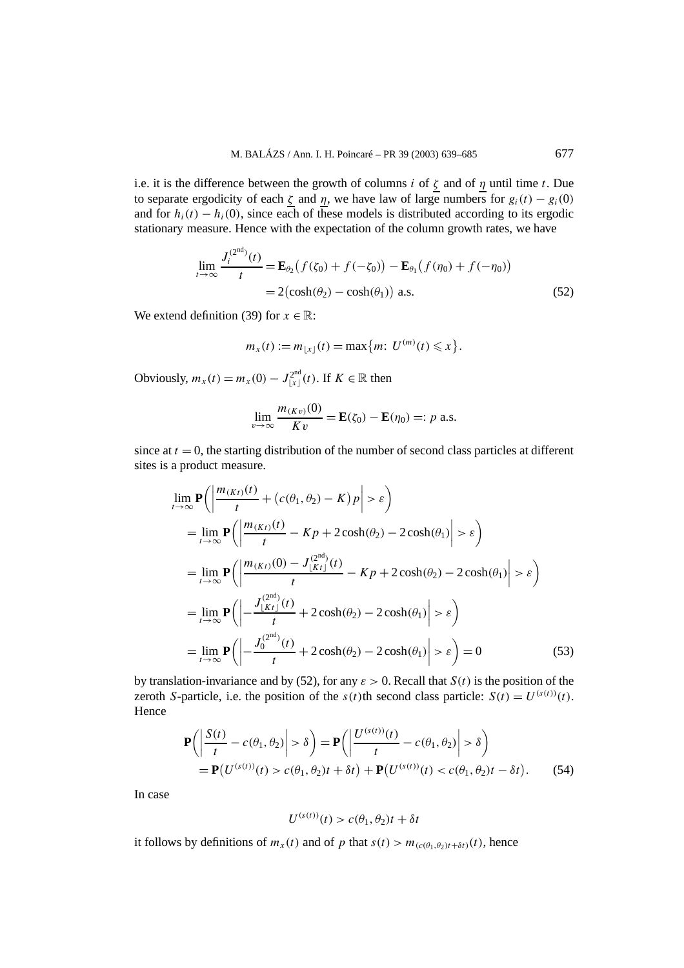i.e. it is the difference between the growth of columns *i* of *ζ* and of *η* until time *t*. Due to separate ergodicity of each  $\zeta$  and  $\eta$ , we have law of large numbers for  $g_i(t) - g_i(0)$ and for  $h_i(t) - h_i(0)$ , since each of these models is distributed according to its ergodic stationary measure. Hence with the expectation of the column growth rates, we have

$$
\lim_{t \to \infty} \frac{J_i^{(2nd)}(t)}{t} = \mathbf{E}_{\theta_2} (f(\zeta_0) + f(-\zeta_0)) - \mathbf{E}_{\theta_1} (f(\eta_0) + f(-\eta_0))
$$
  
= 2(\cosh(\theta\_2) - \cosh(\theta\_1)) \text{ a.s.} (52)

We extend definition (39) for  $x \in \mathbb{R}$ :

$$
m_x(t) := m_{\lfloor x \rfloor}(t) = \max\{m: U^{(m)}(t) \leq x\}.
$$

Obviously,  $m_x(t) = m_x(0) - J_{[x]}^{\text{2nd}}(t)$ . If  $K \in \mathbb{R}$  then

$$
\lim_{v \to \infty} \frac{m_{(Kv)}(0)}{Kv} = \mathbf{E}(\zeta_0) - \mathbf{E}(\eta_0) =: p \text{ a.s.}
$$

since at  $t = 0$ , the starting distribution of the number of second class particles at different sites is a product measure.

$$
\lim_{t \to \infty} \mathbf{P}\left(\left|\frac{m_{(Kt)}(t)}{t} + (c(\theta_1, \theta_2) - K)p\right| > \varepsilon\right)
$$
\n
$$
= \lim_{t \to \infty} \mathbf{P}\left(\left|\frac{m_{(Kt)}(t)}{t} - Kp + 2\cosh(\theta_2) - 2\cosh(\theta_1)\right| > \varepsilon\right)
$$
\n
$$
= \lim_{t \to \infty} \mathbf{P}\left(\left|\frac{m_{(Kt)}(0) - J_{\lfloor Kt \rfloor}^{(2nd)}(t)}{t} - Kp + 2\cosh(\theta_2) - 2\cosh(\theta_1)\right| > \varepsilon\right)
$$
\n
$$
= \lim_{t \to \infty} \mathbf{P}\left(\left|\frac{J_{\lfloor Kt \rfloor}^{(2nd)}(t)}{t} + 2\cosh(\theta_2) - 2\cosh(\theta_1)\right| > \varepsilon\right)
$$
\n
$$
= \lim_{t \to \infty} \mathbf{P}\left(\left|\frac{J_0^{(2nd)}(t)}{t} + 2\cosh(\theta_2) - 2\cosh(\theta_1)\right| > \varepsilon\right) = 0 \tag{53}
$$

by translation-invariance and by (52), for any  $\varepsilon > 0$ . Recall that  $S(t)$  is the position of the zeroth *S*-particle, i.e. the position of the  $s(t)$ th second class particle:  $S(t) = U^{(s(t))}(t)$ . Hence

$$
\mathbf{P}\left(\left|\frac{S(t)}{t} - c(\theta_1, \theta_2)\right| > \delta\right) = \mathbf{P}\left(\left|\frac{U^{(s(t))}(t)}{t} - c(\theta_1, \theta_2)\right| > \delta\right)
$$
  
=  $\mathbf{P}(U^{(s(t))}(t) > c(\theta_1, \theta_2)t + \delta t) + \mathbf{P}(U^{(s(t))}(t) < c(\theta_1, \theta_2)t - \delta t).$  (54)

In case

$$
U^{(s(t))}(t) > c(\theta_1, \theta_2)t + \delta t
$$

it follows by definitions of  $m_x(t)$  and of p that  $s(t) > m_{(c(\theta_1, \theta_2)t + \delta t)}(t)$ , hence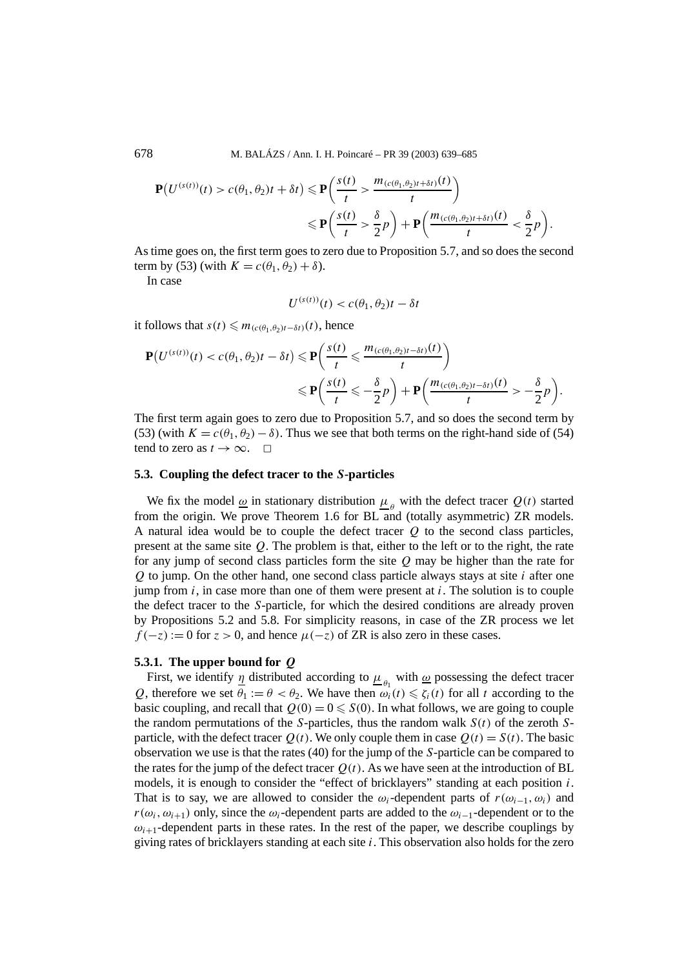$$
\mathbf{P}(U^{(s(t))}(t) > c(\theta_1, \theta_2)t + \delta t) \leq \mathbf{P}\left(\frac{s(t)}{t} > \frac{m_{(c(\theta_1, \theta_2)t + \delta t)}(t)}{t}\right)
$$
  
 
$$
\leq \mathbf{P}\left(\frac{s(t)}{t} > \frac{\delta}{2}p\right) + \mathbf{P}\left(\frac{m_{(c(\theta_1, \theta_2)t + \delta t)}(t)}{t} < \frac{\delta}{2}p\right).
$$

As time goes on, the first term goes to zero due to Proposition 5.7, and so does the second term by (53) (with  $K = c(\theta_1, \theta_2) + \delta$ ).

In case

$$
U^{(s(t))}(t) < c(\theta_1, \theta_2)t - \delta t
$$

it follows that  $s(t) \leq m_{(c(\theta_1, \theta_2)t - \delta t)}(t)$ , hence

$$
\mathbf{P}(U^{(s(t))}(t) < c(\theta_1, \theta_2)t - \delta t) \leq \mathbf{P}\left(\frac{s(t)}{t} \leq \frac{m_{(c(\theta_1, \theta_2)t - \delta t)}(t)}{t}\right) \\
\leq \mathbf{P}\left(\frac{s(t)}{t} \leq -\frac{\delta}{2}p\right) + \mathbf{P}\left(\frac{m_{(c(\theta_1, \theta_2)t - \delta t)}(t)}{t} > -\frac{\delta}{2}p\right).
$$

The first term again goes to zero due to Proposition 5.7, and so does the second term by (53) (with  $K = c(\theta_1, \theta_2) - \delta$ ). Thus we see that both terms on the right-hand side of (54) tend to zero as  $t \to \infty$ .  $\Box$ 

#### **5.3. Coupling the defect tracer to the** *S***-particles**

We fix the model  $\omega$  in stationary distribution  $\mu_{\rho}$  with the defect tracer  $Q(t)$  started from the origin. We prove Theorem 1.6 for BL and (totally asymmetric) ZR models. A natural idea would be to couple the defect tracer *Q* to the second class particles, present at the same site *Q*. The problem is that, either to the left or to the right, the rate for any jump of second class particles form the site *Q* may be higher than the rate for *Q* to jump. On the other hand, one second class particle always stays at site *i* after one jump from *i*, in case more than one of them were present at *i*. The solution is to couple the defect tracer to the *S*-particle, for which the desired conditions are already proven by Propositions 5.2 and 5.8. For simplicity reasons, in case of the ZR process we let  $f(-z) := 0$  for  $z > 0$ , and hence  $\mu(-z)$  of ZR is also zero in these cases.

## **5.3.1. The upper bound for** *Q*

First, we identify  $\eta$  distributed according to  $\mu_{\theta}$ , with  $\omega$  possessing the defect tracer *Q*, therefore we set  $\theta_1 := \theta < \theta_2$ . We have then  $\omega_i(t) \leq \zeta_i(t)$  for all *t* according to the basic coupling, and recall that  $Q(0) = 0 \le S(0)$ . In what follows, we are going to couple the random permutations of the *S*-particles, thus the random walk *S(t)* of the zeroth *S*particle, with the defect tracer  $Q(t)$ . We only couple them in case  $Q(t) = S(t)$ . The basic observation we use is that the rates (40) for the jump of the *S*-particle can be compared to the rates for the jump of the defect tracer  $Q(t)$ . As we have seen at the introduction of BL models, it is enough to consider the "effect of bricklayers" standing at each position *i*. That is to say, we are allowed to consider the  $\omega_i$ -dependent parts of  $r(\omega_{i-1}, \omega_i)$  and  $r(\omega_i, \omega_{i+1})$  only, since the  $\omega_i$ -dependent parts are added to the  $\omega_{i-1}$ -dependent or to the  $\omega_{i+1}$ -dependent parts in these rates. In the rest of the paper, we describe couplings by giving rates of bricklayers standing at each site *i*. This observation also holds for the zero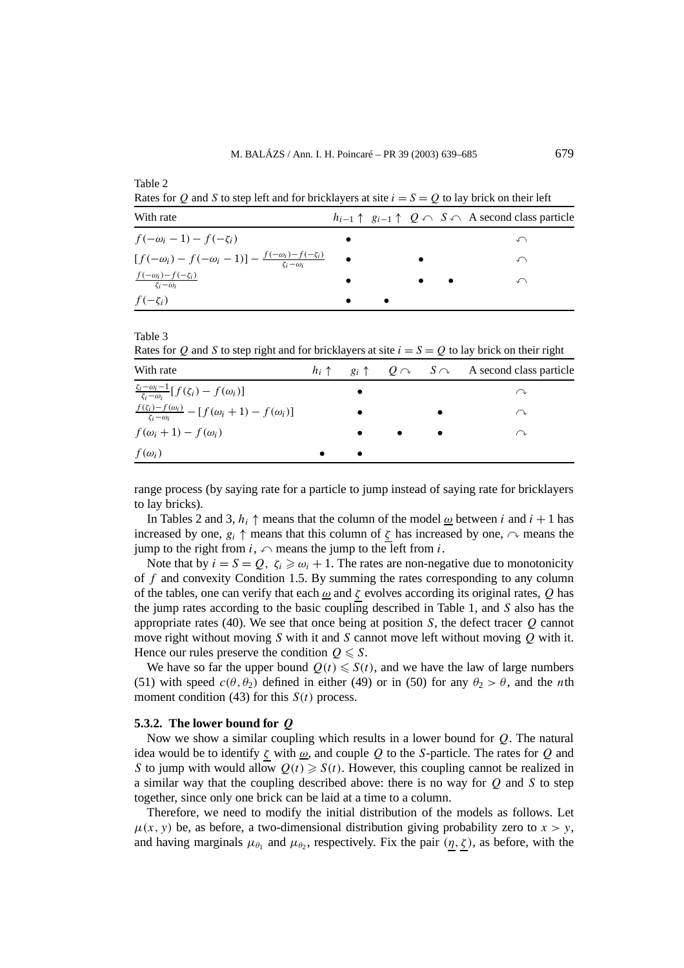Table 2

Rates for *Q* and *S* to step left and for bricklayers at site  $i = S = Q$  to lay brick on their left

| With rate                                                                                   |           |  | $h_{i-1} \uparrow g_{i-1} \uparrow Q \cap S \cap A$ second class particle |
|---------------------------------------------------------------------------------------------|-----------|--|---------------------------------------------------------------------------|
| $f(-\omega_i-1)-f(-\zeta_i)$                                                                |           |  |                                                                           |
| $[f(-\omega_i) - f(-\omega_i - 1)] - \frac{f(-\omega_i) - f(-\zeta_i)}{\zeta_i - \omega_i}$ |           |  |                                                                           |
| $\frac{f(-\omega_i)-f(-\zeta_i)}{\zeta_i-\omega_i}$                                         |           |  |                                                                           |
| $f(-\zeta_i)$                                                                               | $\bullet$ |  |                                                                           |

Table 3

Rates for *Q* and *S* to step right and for bricklayers at site  $i = S = Q$  to lay brick on their right

| With rate                                                                     |  |  | $h_i \uparrow$ $g_i \uparrow$ $Q \cap$ $S \cap$ A second class particle |
|-------------------------------------------------------------------------------|--|--|-------------------------------------------------------------------------|
| $\frac{\zeta_i-\omega_i-1}{\zeta_i-\omega_i}[f(\zeta_i)-f(\omega_i)]$         |  |  |                                                                         |
| $\frac{f(\zeta_i)-f(\omega_i)}{\zeta_i-\omega_i}-[f(\omega_i+1)-f(\omega_i)]$ |  |  | ⌒ℷ                                                                      |
| $f(\omega_i+1)-f(\omega_i)$                                                   |  |  | ↷                                                                       |
| $f(\omega_i)$                                                                 |  |  |                                                                         |

range process (by saying rate for a particle to jump instead of saying rate for bricklayers to lay bricks).

In Tables 2 and 3,  $h_i \uparrow$  means that the column of the model <u> $\omega$ </u> between *i* and  $i + 1$  has increased by one,  $g_i \uparrow$  means that this column of  $\zeta$  has increased by one,  $\sim$  means the jump to the right from  $i$ ,  $\curvearrowleft$  means the jump to the left from  $i$ .

Note that by  $i = S = Q$ ,  $\zeta_i \geq \omega_i + 1$ . The rates are non-negative due to monotonicity of *f* and convexity Condition 1.5. By summing the rates corresponding to any column of the tables, one can verify that each *ω* and *ζ* evolves according its original rates, *Q* has the jump rates according to the basic coupling described in Table 1, and *S* also has the appropriate rates (40). We see that once being at position *S*, the defect tracer *Q* cannot move right without moving *S* with it and *S* cannot move left without moving *Q* with it. Hence our rules preserve the condition  $Q \leq S$ .

We have so far the upper bound  $Q(t) \leq S(t)$ , and we have the law of large numbers (51) with speed  $c(\theta, \theta_2)$  defined in either (49) or in (50) for any  $\theta_2 > \theta$ , and the *n*th moment condition  $(43)$  for this  $S(t)$  process.

## **5.3.2. The lower bound for** *Q*

Now we show a similar coupling which results in a lower bound for *Q*. The natural idea would be to identify *ζ* with *ω*, and couple *Q* to the *S*-particle. The rates for *Q* and *S* to jump with would allow  $Q(t) \geq S(t)$ . However, this coupling cannot be realized in a similar way that the coupling described above: there is no way for *Q* and *S* to step together, since only one brick can be laid at a time to a column.

Therefore, we need to modify the initial distribution of the models as follows. Let  $\mu(x, y)$  be, as before, a two-dimensional distribution giving probability zero to  $x > y$ , and having marginals  $\mu_{\theta_1}$  and  $\mu_{\theta_2}$ , respectively. Fix the pair  $(\eta, \zeta)$ , as before, with the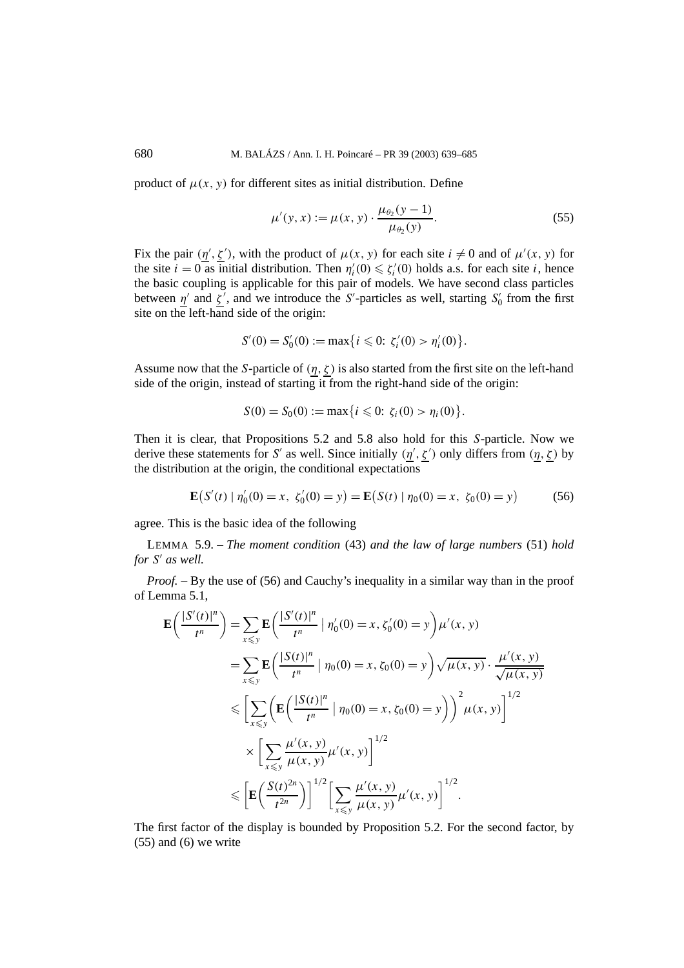product of  $\mu(x, y)$  for different sites as initial distribution. Define

$$
\mu'(y, x) := \mu(x, y) \cdot \frac{\mu_{\theta_2}(y - 1)}{\mu_{\theta_2}(y)}.
$$
\n(55)

Fix the pair  $(\eta', \zeta')$ , with the product of  $\mu(x, y)$  for each site  $i \neq 0$  and of  $\mu'(x, y)$  for the site  $i = 0$  as initial distribution. Then  $\eta_i'(0) \leq \zeta_i'(0)$  holds a.s. for each site *i*, hence the basic coupling is applicable for this pair of models. We have second class particles between  $\eta'$  and  $\zeta'$ , and we introduce the *S'*-particles as well, starting *S*<sup>'</sup> from the first site on the left-hand side of the origin:

$$
S'(0) = S'_0(0) := \max\{i \leq 0: \zeta'_i(0) > \eta'_i(0)\}.
$$

Assume now that the *S*-particle of  $(\eta, \zeta)$  is also started from the first site on the left-hand side of the origin, instead of starting it from the right-hand side of the origin:

$$
S(0) = S_0(0) := \max\{i \leq 0: \zeta_i(0) > \eta_i(0)\}.
$$

Then it is clear, that Propositions 5.2 and 5.8 also hold for this *S*-particle. Now we derive these statements for *S'* as well. Since initially  $(\eta', \zeta')$  only differs from  $(\eta, \zeta)$  by the distribution at the origin, the conditional expectations

$$
\mathbf{E}(S'(t) | \eta'_0(0) = x, \ \zeta'_0(0) = y) = \mathbf{E}(S(t) | \eta_0(0) = x, \ \zeta_0(0) = y)
$$
 (56)

agree. This is the basic idea of the following

LEMMA 5.9. – *The moment condition* (43) *and the law of large numbers* (51) *hold for S*! *as well.*

*Proof.* – By the use of (56) and Cauchy's inequality in a similar way than in the proof of Lemma 5.1,

$$
\mathbf{E}\left(\frac{|S'(t)|^n}{t^n}\right) = \sum_{x \le y} \mathbf{E}\left(\frac{|S'(t)|^n}{t^n} \mid \eta'_0(0) = x, \zeta'_0(0) = y\right) \mu'(x, y)
$$
  
\n
$$
= \sum_{x \le y} \mathbf{E}\left(\frac{|S(t)|^n}{t^n} \mid \eta_0(0) = x, \zeta_0(0) = y\right) \sqrt{\mu(x, y)} \cdot \frac{\mu'(x, y)}{\sqrt{\mu(x, y)}}
$$
  
\n
$$
\le \left[\sum_{x \le y} \left(\mathbf{E}\left(\frac{|S(t)|^n}{t^n} \mid \eta_0(0) = x, \zeta_0(0) = y\right)\right)^2 \mu(x, y)\right]^{1/2}
$$
  
\n
$$
\times \left[\sum_{x \le y} \frac{\mu'(x, y)}{\mu(x, y)} \mu'(x, y)\right]^{1/2}
$$
  
\n
$$
\le \left[\mathbf{E}\left(\frac{S(t)^{2n}}{t^{2n}}\right)\right]^{1/2} \left[\sum_{x \le y} \frac{\mu'(x, y)}{\mu(x, y)} \mu'(x, y)\right]^{1/2}.
$$

The first factor of the display is bounded by Proposition 5.2. For the second factor, by  $(55)$  and  $(6)$  we write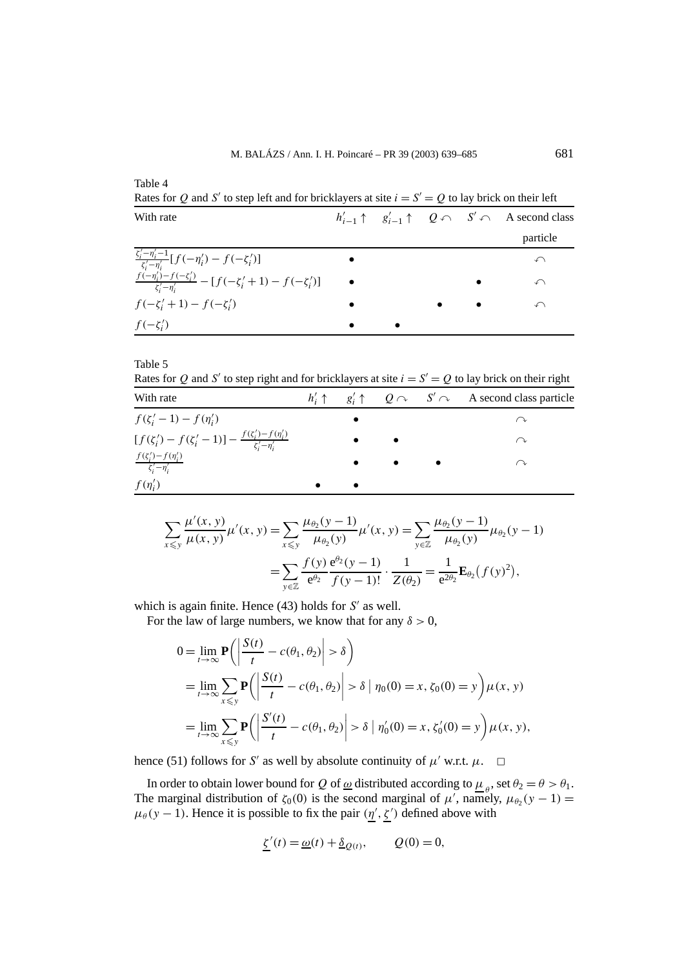Table 4

| Rates for $Q$ and $\beta$ to step felt and for oriental else at site $t = \beta - Q$ to lay offen on their felt |  |  |  |  |                                                                                           |  |
|-----------------------------------------------------------------------------------------------------------------|--|--|--|--|-------------------------------------------------------------------------------------------|--|
| With rate                                                                                                       |  |  |  |  | $h'_{i-1} \uparrow g'_{i-1} \uparrow Q \curvearrowleft S' \curvearrowleft A$ second class |  |
|                                                                                                                 |  |  |  |  | particle                                                                                  |  |
| $\frac{\zeta_i'-\eta_i'-1}{\zeta_i'-\eta_i'}[f(-\eta_i')-f(-\zeta_i')]$                                         |  |  |  |  | ↶                                                                                         |  |
| $\frac{f(-\eta'_i)-f(-\zeta'_i)}{\zeta'_i-\eta'_i}-[f(-\zeta'_i+1)-f(-\zeta'_i)]$                               |  |  |  |  | ∽                                                                                         |  |
| $f(-\zeta'_i+1)-f(-\zeta'_i)$                                                                                   |  |  |  |  | ↶                                                                                         |  |
| $f(-\zeta_i')$                                                                                                  |  |  |  |  |                                                                                           |  |

Rates for *Q* and *S*<sup>'</sup> to step left and for bricklayers at site  $i = S' = O$  to lay brick on their left

#### Table 5

Rates for *Q* and *S'* to step right and for bricklayers at site  $i = S' = Q$  to lay brick on their right

| With rate                                                                               |  |  | $h'_i \uparrow \quad g'_i \uparrow \quad Q \cap \quad S' \cap \quad A$ second class particle |
|-----------------------------------------------------------------------------------------|--|--|----------------------------------------------------------------------------------------------|
| $f(\zeta_i' - 1) - f(\eta_i')$                                                          |  |  | ╱ ╲                                                                                          |
| $[f(\zeta_i') - f(\zeta_i' - 1)] - \frac{f(\zeta_i') - f(\eta_i')}{\zeta_i' - \eta_i'}$ |  |  | ↷                                                                                            |
| $\frac{f(\zeta_i')-f(\eta_i')}{\zeta_i'-\eta_i'}$                                       |  |  | ╱ プ                                                                                          |
| $f(\eta'_i)$                                                                            |  |  |                                                                                              |

$$
\sum_{x \le y} \frac{\mu'(x, y)}{\mu(x, y)} \mu'(x, y) = \sum_{x \le y} \frac{\mu_{\theta_2}(y - 1)}{\mu_{\theta_2}(y)} \mu'(x, y) = \sum_{y \in \mathbb{Z}} \frac{\mu_{\theta_2}(y - 1)}{\mu_{\theta_2}(y)} \mu_{\theta_2}(y - 1)
$$

$$
= \sum_{y \in \mathbb{Z}} \frac{f(y)}{e^{\theta_2}} \frac{e^{\theta_2}(y - 1)}{f(y - 1)!} \cdot \frac{1}{Z(\theta_2)} = \frac{1}{e^{2\theta_2}} \mathbf{E}_{\theta_2}(f(y)^2),
$$

which is again finite. Hence (43) holds for *S'* as well.

For the law of large numbers, we know that for any  $\delta > 0$ ,

$$
0 = \lim_{t \to \infty} \mathbf{P}\left(\left|\frac{S(t)}{t} - c(\theta_1, \theta_2)\right| > \delta\right)
$$
  
= 
$$
\lim_{t \to \infty} \sum_{x \le y} \mathbf{P}\left(\left|\frac{S(t)}{t} - c(\theta_1, \theta_2)\right| > \delta \mid \eta_0(0) = x, \zeta_0(0) = y\right) \mu(x, y)
$$
  
= 
$$
\lim_{t \to \infty} \sum_{x \le y} \mathbf{P}\left(\left|\frac{S'(t)}{t} - c(\theta_1, \theta_2)\right| > \delta \mid \eta'_0(0) = x, \zeta'_0(0) = y\right) \mu(x, y),
$$

hence (51) follows for *S'* as well by absolute continuity of  $\mu'$  w.r.t.  $\mu$ .  $\Box$ 

In order to obtain lower bound for *Q* of <u> $\omega$ </u> distributed according to  $\mu_{\theta}$ , set  $\theta_2 = \theta > \theta_1$ . The marginal distribution of  $\zeta_0(0)$  is the second marginal of  $\mu'$ , namely,  $\mu_{\theta_2}(y-1) =$  $\mu_{\theta}(y-1)$ . Hence it is possible to fix the pair  $(\eta', \zeta')$  defined above with

$$
\underline{\zeta}'(t) = \underline{\omega}(t) + \underline{\delta}_{Q(t)}, \qquad Q(0) = 0,
$$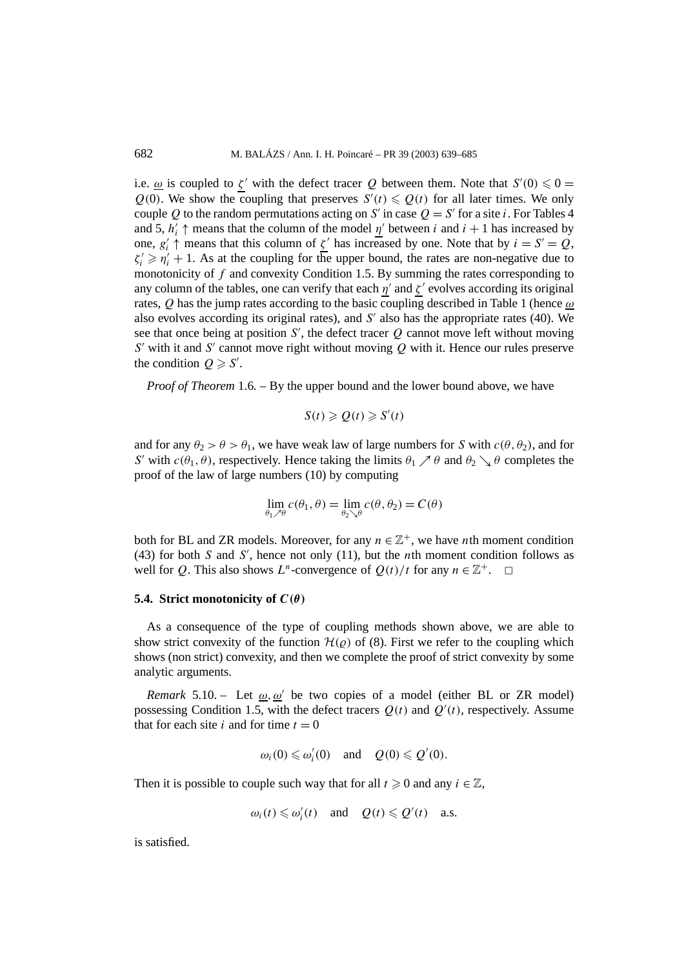i.e.  $\omega$  is coupled to  $\zeta'$  with the defect tracer Q between them. Note that  $S'(0) \leq 0$  =  $Q(0)$ . We show the coupling that preserves  $S'(t) \leq Q(t)$  for all later times. We only couple *Q* to the random permutations acting on *S'* in case  $Q = S'$  for a site *i*. For Tables 4 and 5,  $h'_i \uparrow$  means that the column of the model  $\underline{\eta'}$  between *i* and  $i + 1$  has increased by one,  $g_i' \uparrow$  means that this column of  $\underline{g'}$  has increased by one. Note that by  $i = S' = Q$ ,  $\zeta_i' \geqslant \eta_i' + 1$ . As at the coupling for the upper bound, the rates are non-negative due to monotonicity of *f* and convexity Condition 1.5. By summing the rates corresponding to any column of the tables, one can verify that each  $\eta'$  and  $\zeta'$  evolves according its original rates, *Q* has the jump rates according to the basic coupling described in Table 1 (hence *ω* also evolves according its original rates), and *S*! also has the appropriate rates (40). We see that once being at position  $S'$ , the defect tracer  $Q$  cannot move left without moving *S*! with it and *S*! cannot move right without moving *Q* with it. Hence our rules preserve the condition  $Q \ge S'$ .

*Proof of Theorem* 1.6*. –* By the upper bound and the lower bound above, we have

$$
S(t) \geqslant Q(t) \geqslant S'(t)
$$

and for any  $\theta_2 > \theta > \theta_1$ , we have weak law of large numbers for *S* with  $c(\theta, \theta_2)$ , and for *S*' with  $c(\theta_1, \theta)$ , respectively. Hence taking the limits  $\theta_1 \nearrow \theta$  and  $\theta_2 \searrow \theta$  completes the proof of the law of large numbers (10) by computing

$$
\lim_{\theta_1 \nearrow \theta} c(\theta_1, \theta) = \lim_{\theta_2 \searrow \theta} c(\theta, \theta_2) = C(\theta)
$$

both for BL and ZR models. Moreover, for any  $n \in \mathbb{Z}^+$ , we have *n*th moment condition (43) for both  $S$  and  $S'$ , hence not only (11), but the  $n$ th moment condition follows as well for *Q*. This also shows  $L^n$ -convergence of  $Q(t)/t$  for any  $n \in \mathbb{Z}^+$ .  $\Box$ 

#### **5.4. Strict monotonicity of**  $C(\theta)$

As a consequence of the type of coupling methods shown above, we are able to show strict convexity of the function  $\mathcal{H}(\rho)$  of (8). First we refer to the coupling which shows (non strict) convexity, and then we complete the proof of strict convexity by some analytic arguments.

*Remark* 5.10. – Let  $\omega$ ,  $\omega'$  be two copies of a model (either BL or ZR model) possessing Condition 1.5, with the defect tracers  $Q(t)$  and  $Q'(t)$ , respectively. Assume that for each site *i* and for time  $t = 0$ 

$$
\omega_i(0) \leq \omega'_i(0)
$$
 and  $Q(0) \leq Q'(0)$ .

Then it is possible to couple such way that for all  $t \geq 0$  and any  $i \in \mathbb{Z}$ ,

$$
\omega_i(t) \leq \omega'_i(t)
$$
 and  $Q(t) \leq Q'(t)$  a.s.

is satisfied.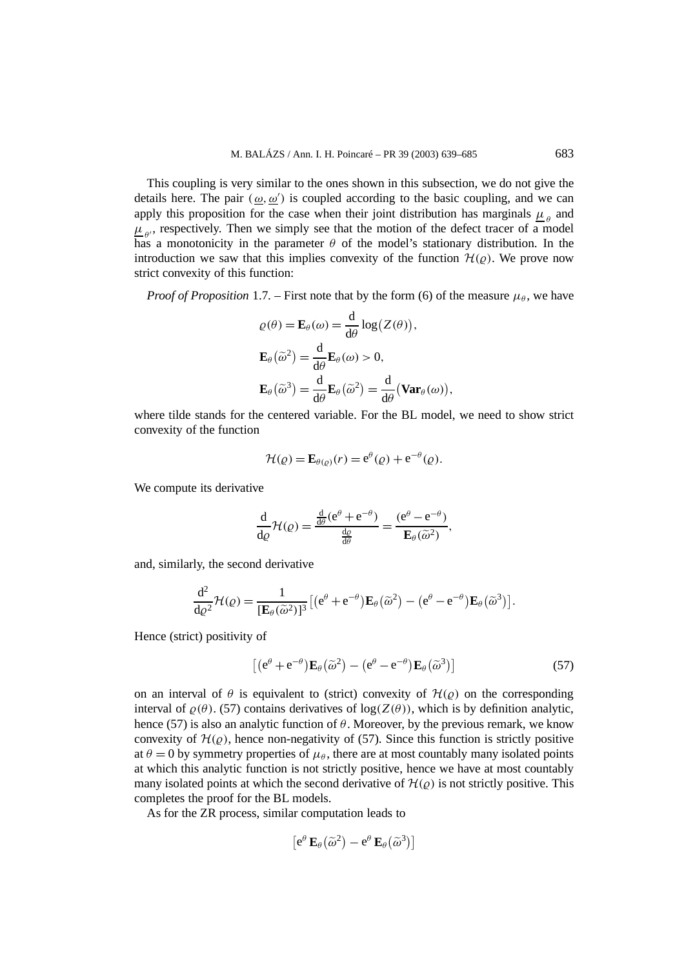This coupling is very similar to the ones shown in this subsection, we do not give the details here. The pair  $(\omega, \omega')$  is coupled according to the basic coupling, and we can apply this proposition for the case when their joint distribution has marginals  $\mu_{\rho}$  and  $\mu_{\rho}$ , respectively. Then we simply see that the motion of the defect tracer of a model has a monotonicity in the parameter  $\theta$  of the model's stationary distribution. In the introduction we saw that this implies convexity of the function  $\mathcal{H}(\rho)$ . We prove now strict convexity of this function:

*Proof of Proposition* 1.7. – First note that by the form (6) of the measure  $\mu_\theta$ , we have

$$
\varrho(\theta) = \mathbf{E}_{\theta}(\omega) = \frac{d}{d\theta} \log(Z(\theta)),
$$
  

$$
\mathbf{E}_{\theta}(\widetilde{\omega}^2) = \frac{d}{d\theta} \mathbf{E}_{\theta}(\omega) > 0,
$$
  

$$
\mathbf{E}_{\theta}(\widetilde{\omega}^3) = \frac{d}{d\theta} \mathbf{E}_{\theta}(\widetilde{\omega}^2) = \frac{d}{d\theta} (\mathbf{Var}_{\theta}(\omega)),
$$

where tilde stands for the centered variable. For the BL model, we need to show strict convexity of the function

$$
\mathcal{H}(\varrho) = \mathbf{E}_{\theta(\varrho)}(r) = e^{\theta}(\varrho) + e^{-\theta}(\varrho).
$$

We compute its derivative

$$
\frac{\mathrm{d}}{\mathrm{d}\varrho}\mathcal{H}(\varrho) = \frac{\frac{\mathrm{d}}{\mathrm{d}\theta}(e^{\theta} + e^{-\theta})}{\frac{\mathrm{d}\varrho}{\mathrm{d}\theta}} = \frac{(e^{\theta} - e^{-\theta})}{\mathbf{E}_{\theta}(\widetilde{\omega}^2)},
$$

and, similarly, the second derivative

$$
\frac{\mathrm{d}^2}{\mathrm{d}\varrho^2} \mathcal{H}(\varrho) = \frac{1}{\left[\mathbf{E}_{\theta}(\widetilde{\omega}^2)\right]^3} \left[ \left( e^{\theta} + e^{-\theta} \right) \mathbf{E}_{\theta}(\widetilde{\omega}^2) - \left( e^{\theta} - e^{-\theta} \right) \mathbf{E}_{\theta}(\widetilde{\omega}^3) \right].
$$

Hence (strict) positivity of

$$
\left[ (e^{\theta} + e^{-\theta}) \mathbf{E}_{\theta}(\tilde{\omega}^2) - (e^{\theta} - e^{-\theta}) \mathbf{E}_{\theta}(\tilde{\omega}^3) \right]
$$
 (57)

on an interval of  $\theta$  is equivalent to (strict) convexity of  $\mathcal{H}(\varrho)$  on the corresponding interval of  $\rho(\theta)$ . (57) contains derivatives of log( $Z(\theta)$ ), which is by definition analytic, hence (57) is also an analytic function of  $\theta$ . Moreover, by the previous remark, we know convexity of  $\mathcal{H}(\rho)$ , hence non-negativity of (57). Since this function is strictly positive at  $\theta = 0$  by symmetry properties of  $\mu_{\theta}$ , there are at most countably many isolated points at which this analytic function is not strictly positive, hence we have at most countably many isolated points at which the second derivative of  $\mathcal{H}(\rho)$  is not strictly positive. This completes the proof for the BL models.

As for the ZR process, similar computation leads to

$$
\left[e^{\theta} \mathbf{E}_{\theta}(\widetilde{\omega}^2) - e^{\theta} \mathbf{E}_{\theta}(\widetilde{\omega}^3)\right]
$$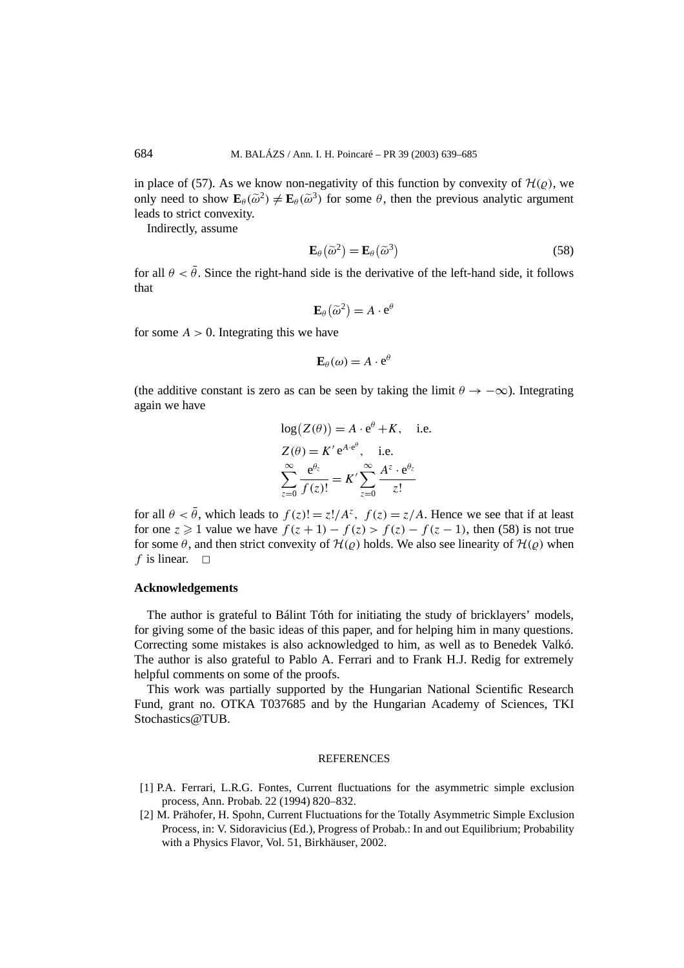in place of (57). As we know non-negativity of this function by convexity of  $\mathcal{H}(\rho)$ , we only need to show  $\mathbf{E}_{\theta}(\tilde{\omega}^2) \neq \mathbf{E}_{\theta}(\tilde{\omega}^3)$  for some  $\theta$ , then the previous analytic argument leads to strict convexity.

Indirectly, assume

$$
\mathbf{E}_{\theta}(\widetilde{\omega}^2) = \mathbf{E}_{\theta}(\widetilde{\omega}^3)
$$
 (58)

for all  $\theta < \bar{\theta}$ . Since the right-hand side is the derivative of the left-hand side, it follows that

$$
\mathbf{E}_{\theta}(\widetilde{\omega}^2) = A \cdot \mathbf{e}^{\theta}
$$

for some  $A > 0$ . Integrating this we have

$$
\mathbf{E}_{\theta}(\omega) = A \cdot \mathbf{e}^{\theta}
$$

(the additive constant is zero as can be seen by taking the limit  $\theta \rightarrow -\infty$ ). Integrating again we have

$$
log(Z(\theta)) = A \cdot e^{\theta} + K, \quad \text{i.e.}
$$
  
\n
$$
Z(\theta) = K' e^{A \cdot e^{\theta}}, \quad \text{i.e.}
$$
  
\n
$$
\sum_{z=0}^{\infty} \frac{e^{\theta_z}}{f(z)!} = K' \sum_{z=0}^{\infty} \frac{A^z \cdot e^{\theta_z}}{z!}
$$

for all  $\theta < \bar{\theta}$ , which leads to  $f(z) = z! / A^z$ ,  $f(z) = z/A$ . Hence we see that if at least for one  $z \geq 1$  value we have  $f(z+1) - f(z) > f(z) - f(z-1)$ , then (58) is not true for some  $\theta$ , and then strict convexity of  $\mathcal{H}(\rho)$  holds. We also see linearity of  $\mathcal{H}(\rho)$  when *f* is linear.  $\Box$ 

### **Acknowledgements**

The author is grateful to Bálint Tóth for initiating the study of bricklayers' models, for giving some of the basic ideas of this paper, and for helping him in many questions. Correcting some mistakes is also acknowledged to him, as well as to Benedek Valkó. The author is also grateful to Pablo A. Ferrari and to Frank H.J. Redig for extremely helpful comments on some of the proofs.

This work was partially supported by the Hungarian National Scientific Research Fund, grant no. OTKA T037685 and by the Hungarian Academy of Sciences, TKI Stochastics@TUB.

#### **REFERENCES**

- [1] P.A. Ferrari, L.R.G. Fontes, Current fluctuations for the asymmetric simple exclusion process, Ann. Probab. 22 (1994) 820–832.
- [2] M. Prähofer, H. Spohn, Current Fluctuations for the Totally Asymmetric Simple Exclusion Process, in: V. Sidoravicius (Ed.), Progress of Probab.: In and out Equilibrium; Probability with a Physics Flavor, Vol. 51, Birkhäuser, 2002.